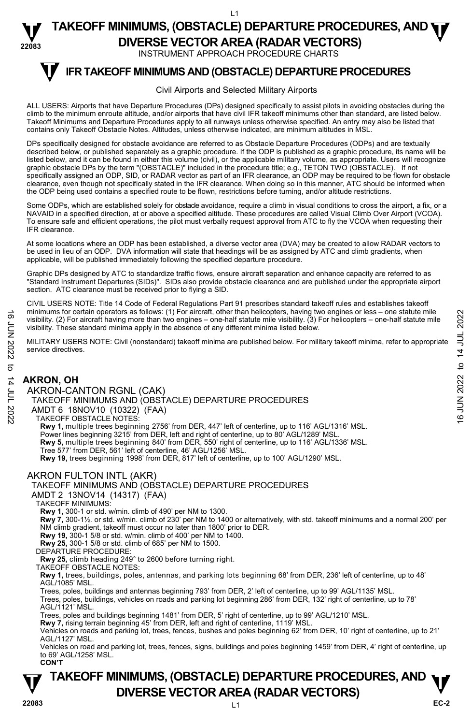INSTRUMENT APPROACH PROCEDURE CHARTS

# **V** IFR TAKEOFF MINIMUMS AND (OBSTACLE) DEPARTURE PROCEDURES

#### Civil Airports and Selected Military Airports

ALL USERS: Airports that have Departure Procedures (DPs) designed specifically to assist pilots in avoiding obstacles during the climb to the minimum enroute altitude, and/or airports that have civil IFR takeoff minimums other than standard, are listed below. Takeoff Minimums and Departure Procedures apply to all runways unless otherwise specified. An entry may also be listed that contains only Takeoff Obstacle Notes. Altitudes, unless otherwise indicated, are minimum altitudes in MSL.

DPs specifically designed for obstacle avoidance are referred to as Obstacle Departure Procedures (ODPs) and are textually described below, or published separately as a graphic procedure. If the ODP is published as a graphic procedure, its name will be<br>listed below, and it can be found in either this volume (civil), or the applicable military graphic obstacle DPs by the term "(OBSTACLE)" included in the procedure title; e.g., TETON TWO (OBSTACLE). If not specifically assigned an ODP, SID, or RADAR vector as part of an IFR clearance, an ODP may be required to be flown for obstacle clearance, even though not specifically stated in the IFR clearance. When doing so in this manner, ATC should be informed when the ODP being used contains a specified route to be flown, restrictions before turning, and/or altitude restrictions.

Some ODPs, which are established solely for obstacle avoidance, require a climb in visual conditions to cross the airport, a fix, or a NAVAID in a specified direction, at or above a specified altitude. These procedures are called Visual Climb Over Airport (VCOA). To ensure safe and efficient operations, the pilot must verbally request approval from ATC to fly the VCOA when requesting their IFR clearance.

At some locations where an ODP has been established, a diverse vector area (DVA) may be created to allow RADAR vectors to be used in lieu of an ODP. DVA information will state that headings will be as assigned by ATC and climb gradients, when applicable, will be published immediately following the specified departure procedure.

Graphic DPs designed by ATC to standardize traffic flows, ensure aircraft separation and enhance capacity are referred to as "Standard Instrument Departures (SIDs)". SIDs also provide obstacle clearance and are published under the appropriate airport section. ATC clearance must be received prior to flying a SID.

CIVIL USERS NOTE: Title 14 Code of Federal Regulations Part 91 prescribes standard takeoff rules and establishes takeoff minimums for certain operators as follows: (1) For aircraft, other than helicopters, having two engines or less – one statute mile visibility. (2) For aircraft having more than two engines – one-half statute mile visibility. (3) For helicopters – one-half statute mile visibility. These standard minima apply in the absence of any different minima listed below. From internal of order and operators as follows: (1) For arcraft, other than helicopters, naving two engines<br>
visibility. (2) For aircraft having more than two engines – one-half statute mile visibility. (3) For helicopt

MILITARY USERS NOTE: Civil (nonstandard) takeoff minima are published below. For military takeoff minima, refer to appropriate service directives.

## **AKRON, OH**

AKRON-CANTON RGNL (CAK)

TAKEOFF MINIMUMS AND (OBSTACLE) DEPARTURE PROCEDURES

AMDT 6 18NOV10 (10322) (FAA)

TAKEOFF OBSTACLE NOTES:

**Rwy 1,** multiple trees beginning 2756' from DER, 447' left of centerline, up to 116' AGL/1316' MSL.

Power lines beginning 3215' from DER, left and right of centerline, up to 80' AGL/1289' MSL.

**Rwy 5,** multiple trees beginning 840' from DER, 550' right of centerline, up to 116' AGL/1336' MSL.

Tree 577' from DER, 561' left of centerline, 46' AGL/1256' MSL.

**Rwy 19,** trees beginning 1998' from DER, 817' left of centerline, up to 100' AGL/1290' MSL.

#### AKRON FULTON INTL (AKR)

#### TAKEOFF MINIMUMS AND (OBSTACLE) DEPARTURE PROCEDURES

AMDT 2 13NOV14 (14317) (FAA)

TAKEOFF MINIMUMS:

**Rwy 1,** 300-1 or std. w/min. climb of 490' per NM to 1300.

**Rwy 7,** 300-1½*.* or std. w/min. climb of 230' per NM to 1400 or alternatively, with std. takeoff minimums and a normal 200' per NM climb gradient, takeoff must occur no later than 1800' prior to DER.

**Rwy 19,** 300-1 5/8 or std. w/min. climb of 400' per NM to 1400.

**Rwy 25,** 300-1 5/8 or std. climb of 685' per NM to 1500.

DEPARTURE PROCEDURE:

**Rwy 25,** climb heading 249° to 2600 before turning right.

TAKEOFF OBSTACLE NOTES: **Rwy 1,** trees, buildings, poles, antennas, and parking lots beginning 68' from DER, 236' left of centerline, up to 48' AGL/1085' MSL.

Trees, poles, buildings and antennas beginning 793' from DER, 2' left of centerline, up to 99' AGL/1135' MSL. Trees, poles, buildings, vehicles on roads and parking lot beginning 286' from DER, 132' right of centerline, up to 78' AGL/1121' MSL.

Trees, poles and buildings beginning 1481' from DER, 5' right of centerline, up to 99' AGL/1210' MSL.

**Rwy 7,** rising terrain beginning 45' from DER, left and right of centerline, 1119' MSL.

Vehicles on roads and parking lot, trees, fences, bushes and poles beginning 62' from DER, 10' right of centerline, up to 21' AGL/1127' MSL.

Vehicles on road and parking lot, trees, fences, signs, buildings and poles beginning 1459' from DER, 4' right of centerline, up to 69' AGL/1258' MSL. **CON'T**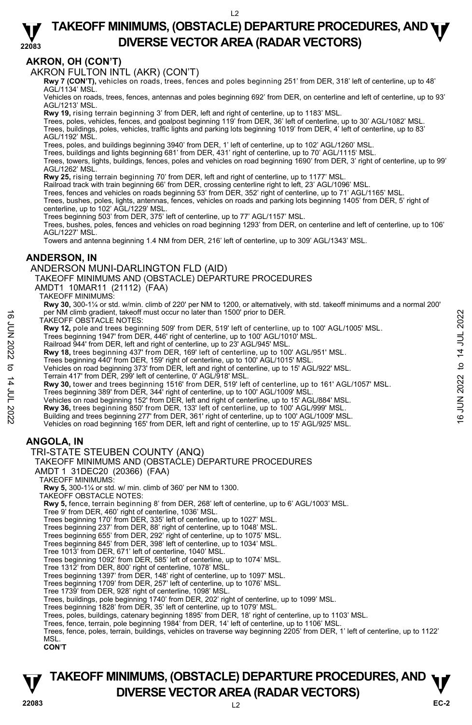#### **22083 TAKEOFF MINIMUMS, (OBSTACLE) DEPARTURE PROCEDURES, AND <b>WE**<br>DREBSE VECTOR AREA (BADAR VECTORS) **DIVERSE VECTOR AREA (RADAR VECTORS)**

## **AKRON, OH (CON'T)**

AKRON FULTON INTL (AKR) (CON'T)

 **Rwy 7 (CON'T),** vehicles on roads, trees, fences and poles beginning 251' from DER, 318' left of centerline, up to 48' AGL/1134' MSL.

Vehicles on roads, trees, fences, antennas and poles beginning 692' from DER, on centerline and left of centerline, up to 93' AGL/1213' MSL.

**Rwy 19,** rising terrain beginning 3' from DER, left and right of centerline, up to 1183' MSL.

Trees, poles, vehicles, fences, and goalpost beginning 119' from DER, 36' left of centerline, up to 30' AGL/1082' MSL. Trees, buildings, poles, vehicles, traffic lights and parking lots beginning 1019' from DER, 4' left of centerline, up to 83' AGL/1192' MSL.

Trees, poles, and buildings beginning 3940' from DER, 1' left of centerline, up to 102' AGL/1260' MSL.

Trees, buildings and lights beginning 681' from DER, 431' right of centerline, up to 70' AGL/1115' MSL.

Trees, towers, lights, buildings, fences, poles and vehicles on road beginning 1690' from DER, 3' right of centerline, up to 99' AGL/1262' MSL.

**Rwy 25,** rising terrain beginning 70' from DER, left and right of centerline, up to 1177' MSL.

Railroad track with train beginning 66' from DER, crossing centerline right to left, 23' AGL/1096' MSL.

Trees, fences and vehicles on roads beginning 53' from DER, 352' right of centerline, up to 71' AGL/1165' MSL.<br>Trees, bushes, poles, lights, antennas, fences, vehicles on roads and parking lots beginning 1405' from DER, 5' centerline, up to 102' AGL/1229' MSL.

Trees beginning 503' from DER, 375' left of centerline, up to 77' AGL/1157' MSL.

Trees, bushes, poles, fences and vehicles on road beginning 1293' from DER, on centerline and left of centerline, up to 106' AGL/1227' MSL.

Towers and antenna beginning 1.4 NM from DER, 216' left of centerline, up to 309' AGL/1343' MSL.

## **ANDERSON, IN**

#### ANDERSON MUNI-DARLINGTON FLD (AID)

TAKEOFF MINIMUMS AND (OBSTACLE) DEPARTURE PROCEDURES

AMDT1 10MAR11 (21112) (FAA)

TAKEOFF MINIMUMS:

**Rwy 30,** 300-1¼ or std. w/min. climb of 220' per NM to 1200, or alternatively, with std. takeoff minimums and a normal 200' per NM climb gradient, takeoff must occur no later than 1500' prior to DER.

TAKEOFF OBSTACLE NOTES:

**Rwy 12,** pole and trees beginning 509' from DER, 519' left of centerline, up to 100' AGL/1005' MSL.<br>Trees beginning 1947' from DER, 446' right of centerline, up to 100' AGL/1010' MSL.

Railroad 944' from DER, left and right of centerline, up to 23' AGL/945' MSL.

**Rwy 18,** trees beginning 437' from DER, 169' left of centerline, up to 100' AGL/951' MSL.<br>Trees beginning 440' from DER, 159' right of centerline, up to 100' AGL/1015' MSL.

Vehicles on road beginning 373' from DER, left and right of centerline, up to 15' AGL/922' MSL.

Terrain 417' from DER, 299' left of centerline, 0' AGL/918' MSL.

**Rwy 30,** tower and trees beginning 1516' from DER, 519' left of centerline, up to 161' AGL/1057' MSL. Trees beginning 389' from DER, 344' right of centerline, up to 100' AGL/1009' MSL. The NM climb gradient, takeoff must occur no later than 1500' prior to DER.<br>
TAKEOFF OBSTACLE NOTES:<br> **Rwy 12,** pole and trees beginning 509' from DER, 519' left of centerline, up to 100' AGL/1005' MSL.<br>
Trees beginning 1

Vehicles on road beginning 152' from DER, left and right of centerline, up to 15' AGL/884' MSL.

**Rwy 36,** trees beginning 850' from DER, 133' left of centerline, up to 100' AGL/999' MSL.

Building and trees beginning 277' from DER, 361' right of centerline, up to 100' AGL/1009' MSL.

Vehicles on road beginning 165' from DER, left and right of centerline, up to 15' AGL/925' MSL.

## **ANGOLA, IN**

#### TRI-STATE STEUBEN COUNTY (ANQ)

#### TAKEOFF MINIMUMS AND (OBSTACLE) DEPARTURE PROCEDURES

AMDT 1 31DEC20 (20366) (FAA)

TAKEOFF MINIMUMS:

**Rwy 5,** 300-1¼ or std. w/ min. climb of 360' per NM to 1300. TAKEOFF OBSTACLE NOTES:

**Rwy 5,** fence, terrain beginning 8' from DER, 268' left of centerline, up to 6' AGL/1003' MSL.

Tree 9' from DER, 460' right of centerline, 1036' MSL.

Trees beginning 170' from DER, 335' left of centerline, up to 1027' MSL. Trees beginning 237' from DER, 88' right of centerline, up to 1048' MSL.

Trees beginning 655' from DER, 292' right of centerline, up to 1075' MSL.

Trees beginning 845' from DER, 398' left of centerline, up to 1034' MSL.

Tree 1013' from DER, 671' left of centerline, 1040' MSL.

Trees beginning 1092' from DER, 585' left of centerline, up to 1074' MSL.

Tree 1312' from DER, 800' right of centerline, 1078' MSL.

Trees beginning 1397' from DER, 148' right of centerline, up to 1097' MSL. Trees beginning 1709' from DER, 257' left of centerline, up to 1076' MSL.

Tree 1739' from DER, 928' right of centerline, 1098' MSL.

Trees, buildings, pole beginning 1740' from DER, 202' right of centerline, up to 1099' MSL. Trees beginning 1828' from DER, 35' left of centerline, up to 1079' MSL.

Trees, poles, buildings, catenary beginning 1895' from DER, 18' right of centerline, up to 1103' MSL.

Trees, fence, terrain, pole beginning 1984' from DER, 14' left of centerline, up to 1106' MSL.

Trees, fence, poles, terrain, buildings, vehicles on traverse way beginning 2205' from DER, 1' left of centerline, up to 1122' MSL.

**CON'T**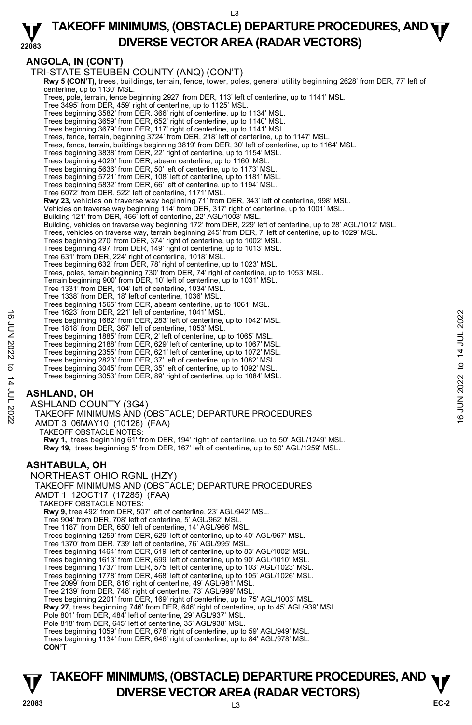#### **22083 TAKEOFF MINIMUMS, (OBSTACLE) DEPARTURE PROCEDURES, AND <b>WE**<br>DREBSE VECTOR AREA (BADAR VECTORS) **DIVERSE VECTOR AREA (RADAR VECTORS)**

## **ANGOLA, IN (CON'T)**

TRI-STATE STEUBEN COUNTY (ANQ) (CON'T) **Rwy 5 (CON'T),** trees, buildings, terrain, fence, tower, poles, general utility beginning 2628' from DER, 77' left of centerline, up to 1130' MSL. Trees, pole, terrain, fence beginning 2927' from DER, 113' left of centerline, up to 1141' MSL. Tree 3495' from DER, 459' right of centerline, up to 1125' MSL. Trees beginning 3582' from DER, 366' right of centerline, up to 1134' MSL. Trees beginning 3659' from DER, 652' right of centerline, up to 1140' MSL. Trees beginning 3679' from DER, 117' right of centerline, up to 1141' MSL. Trees, fence, terrain, beginning 3724' from DER, 218' left of centerline, up to 1147' MSL. Trees, fence, terrain, buildings beginning 3819' from DER, 30' left of centerline, up to 1164' MSL. Trees beginning 3838' from DER, 22' right of centerline, up to 1154' MSL. Trees beginning 4029' from DER, abeam centerline, up to 1160' MSL. Trees beginning 5636' from DER, 50' left of centerline, up to 1173' MSL. Trees beginning 5721' from DER, 108' left of centerline, up to 1181' MSL. Trees beginning 5832' from DER, 66' left of centerline, up to 1194' MSL. Tree 6072' from DER, 522' left of centerline, 1171' MSL. **Rwy 23,** vehicles on traverse way beginning 71' from DER, 343' left of centerline, 998' MSL. Vehicles on traverse way beginning 114' from DER, 317' right of centerline, up to 1001' MSL. Building 121' from DER, 456' left of centerline, 22' AGL/1003' MSL. Building, vehicles on traverse way beginning 172' from DER, 229' left of centerline, up to 28' AGL/1012' MSL. Trees, vehicles on traverse way, terrain beginning 245' from DER, 7' left of centerline, up to 1029' MSL.<br>Trees beginning 270' from DER, 374' right of centerline, up to 1002' MSL.<br>Trees beginning 497' from DER, 149' right Tree 631' from DER, 224' right of centerline, 1018' MSL. Trees beginning 632' from DER, 78' right of centerline, up to 1023' MSL. Trees, poles, terrain beginning 730' from DER, 74' right of centerline, up to 1053' MSL. Terrain beginning 900' from DER, 10' left of centerline, up to 1031' MSL. Tree 1331' from DER, 104' left of centerline, 1034' MSL. Tree 1338' from DER, 18' left of centerline, 1036' MSL. Trees beginning 1565' from DER, abeam centerline, up to 1061' MSL. Tree 1623' from DER, 221' left of centerline, 1041' MSL. Trees beginning 1682' from DER, 283' left of centerline, up to 1042' MSL. Tree 1818' from DER, 367' left of centerline, 1053' MSL. Trees beginning 1885' from DER, 2' left of centerline, up to 1065' MSL. Trees beginning 2188' from DER, 629' left of centerline, up to 1067' MSL. Trees beginning 2355' from DER, 621' left of centerline, up to 1072' MSL. Trees beginning 2823' from DER, 37' left of centerline, up to 1082' MSL. Trees beginning 3045' from DER, 35' left of centerline, up to 1092' MSL. Trees beginning 3053' from DER, 89' right of centerline, up to 1084' MSL. **ASHLAND, OH**  ASHLAND COUNTY (3G4) TAKEOFF MINIMUMS AND (OBSTACLE) DEPARTURE PROCEDURES AMDT 3 06MAY10 (10126) (FAA) TAKEOFF OBSTACLE NOTES: **Rwy 1,** trees beginning 61' from DER, 194' right of centerline, up to 50' AGL/1249' MSL. **Rwy 19,** trees beginning 5' from DER, 167' left of centerline, up to 50' AGL/1259' MSL. **ASHTABULA, OH**  NORTHEAST OHIO RGNL (HZY) TAKEOFF MINIMUMS AND (OBSTACLE) DEPARTURE PROCEDURES AMDT 1 12OCT17 (17285) (FAA) TAKEOFF OBSTACLE NOTES: **Rwy 9,** tree 492' from DER, 507' left of centerline, 23' AGL/942' MSL. Tree 904' from DER, 708' left of centerline, 5' AGL/962' MSL. Tree 1187' from DER, 650' left of centerline, 14' AGL/966' MSL. Trees beginning 1259' from DER, 629' left of centerline, up to 40' AGL/967' MSL. Tree 1370' from DER, 739' left of centerline, 76' AGL/995' MSL. Trees beginning 1464' from DER, 619' left of centerline, up to 83' AGL/1002' MSL. Trees beginning 1613' from DER, 699' left of centerline, up to 90' AGL/1010' MSL. Trees beginning 1737' from DER, 575' left of centerline, up to 103' AGL/1023' MSL. Trees beginning 1778' from DER, 468' left of centerline, up to 105' AGL/1026' MSL. Tree 2099' from DER, 816' right of centerline, 49' AGL/981' MSL. Tree 2139' from DER, 748' right of centerline, 73' AGL/999' MSL. Trees beginning 2201' from DER, 169' right of centerline, up to 75' AGL/1003' MSL.<br>**Rwy 27,** trees beginning 746' from DER, 646' right of centerline, up to 45' AGL/939' MSL. Pole 801' from DER, 484' left of centerline, 29' AGL/937' MSL. Pole 818' from DER, 645' left of centerline, 35' AGL/938' MSL. Trees beginning 1059' from DER, 678' right of centerline, up to 59' AGL/949' MSL. Trees beginning 1134' from DER, 646' right of centerline, up to 84' AGL/978' MSL. **CON'T** Tree 1623' from DER, 221' left of centerline, 1041' MSL.<br>
Tree beginning 1682' from DER, 263' left of centerline, up to 1042' MSL.<br>
Tree beginning 1682' from DER, 2' left of centerline, up to 1065' MSL.<br>
Trees beginning 2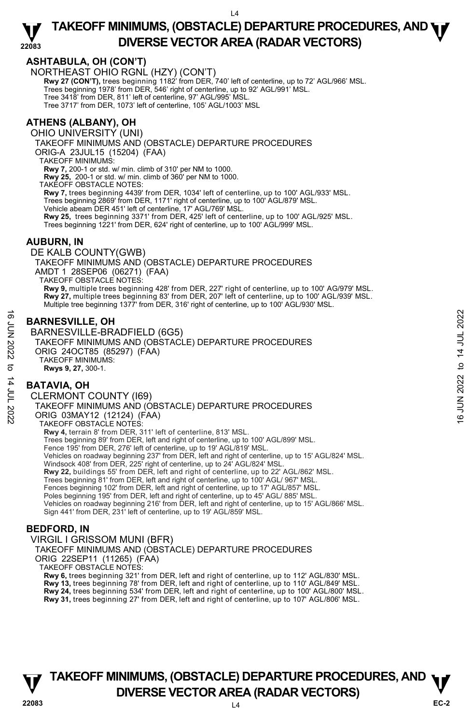## **ASHTABULA, OH (CON'T)**

NORTHEAST OHIO RGNL (HZY) (CON'T)

**Rwy 27 (CON'T),** trees beginning 1182' from DER, 740' left of centerline, up to 72' AGL/966' MSL.<br>Trees beginning 1978' from DER, 546' right of centerline, up to 92' AGL/991' MSL.

Tree 3418' from DER, 811' left of centerline, 97' AGL/995' MSL.

Tree 3717' from DER, 1073' left of centerline, 105' AGL/1003' MSL

## **ATHENS (ALBANY), OH**

OHIO UNIVERSITY (UNI)

TAKEOFF MINIMUMS AND (OBSTACLE) DEPARTURE PROCEDURES

ORIG-A 23JUL15 (15204) (FAA)

TAKEOFF MINIMUMS:

**Rwy 7,** 200-1 or std. w/ min. climb of 310' per NM to 1000.

**Rwy 25,** 200-1 or std. w/ min. climb of 360' per NM to 1000.

TAKEOFF OBSTACLE NOTES:

**Rwy 7,** trees beginning 4439' from DER, 1034' left of centerline, up to 100' AGL/933' MSL.<br>Trees beginning 2869' from DER, 1171' right of centerline, up to 100' AGL/879' MSL.

Vehicle abeam DER 451' left of centerline, 17' AGL/769' MSL.

**Rwy 25,** trees beginning 3371' from DER, 425' left of centerline, up to 100' AGL/925' MSL. Trees beginning 1221' from DER, 624' right of centerline, up to 100' AGL/999' MSL.

#### **AUBURN, IN**

DE KALB COUNTY(GWB) TAKEOFF MINIMUMS AND (OBSTACLE) DEPARTURE PROCEDURES AMDT 1 28SEP06 (06271) (FAA) TAKEOFF OBSTACLE NOTES: **Rwy 9,** multiple trees beginning 428' from DER, 227' right of centerline, up to 100' AG/979' MSL. **Rwy 27,** multiple trees beginning 83' from DER, 207' left of centerline, up to 100' AGL/939' MSL.<br>Multiple tree beginning 1377' from DER, 316' right of centerline, up to 100' AGL/930' MSL.

## **BARNESVILLE, OH**

BARNESVILLE-BRADFIELD (6G5) TAKEOFF MINIMUMS AND (OBSTACLE) DEPARTURE PROCEDURES ORIG 24OCT85 (85297) (FAA) TAKEOFF MINIMUMS: **Rwys 9, 27,** 300-1. **BARNESVILLE, OH**<br>  $\frac{1}{2}$ <br> **BARNESVILLE-BRADFIELD** (6G5)<br>
TAKEOFF MINIMUMS AND (OBSTACLE) DEPARTURE PROCEDURES<br>
ORIG 24OCT85 (85297) (FAA)<br>
TAKEOFF MINIMUMS:<br> **BATAVIA, OH<br>
CLERMONT COUNTY (I69)**<br>
TAKEOFF MINIMUMS AND

#### **BATAVIA, OH**

CLERMONT COUNTY (I69) TAKEOFF MINIMUMS AND (OBSTACLE) DEPARTURE PROCEDURES ORIG 03MAY12 (12124) (FAA) TAKEOFF OBSTACLE NOTES: **Rwy 4,** terrain 8' from DER, 311' left of centerline, 813' MSL. Trees beginning 89' from DER, left and right of centerline, up to 100' AGL/899' MSL. Fence 195' from DER, 276' left of centerline, up to 19' AGL/819' MSL. Vehicles on roadway beginning 237' from DER, left and right of centerline, up to 15' AGL/824' MSL. Windsock 408' from DER, 225' right of centerline, up to 24' AGL/824' MSL.<br>**Rwy 22,** buildings 55' from DER, left and right of centerline, up to 22' AGL/862' MSL. Trees beginning 81' from DER, left and right of centerline, up to 100' AGL/ 967' MSL. Fences beginning 102' from DER, left and right of centerline, up to 17' AGL/857' MSL. Poles beginning 195' from DER, left and right of centerline, up to 45' AGL/ 885' MSL. Vehicles on roadway beginning 216' from DER, left and right of centerline, up to 15' AGL/866' MSL. Sign 441' from DER, 231' left of centerline, up to 19' AGL/859' MSL.

#### **BEDFORD, IN**

VIRGIL I GRISSOM MUNI (BFR) TAKEOFF MINIMUMS AND (OBSTACLE) DEPARTURE PROCEDURES ORIG 22SEP11 (11265) (FAA) TAKEOFF OBSTACLE NOTES: **Rwy 6,** trees beginning 321' from DER, left and right of centerline, up to 112' AGL/830' MSL. **Rwy 13,** trees beginning 78' from DER, left and right of centerline, up to 110' AGL/849' MSL. **Rwy 24,** trees beginning 534' from DER, left and right of centerline, up to 100' AGL/800' MSL.

**Rwy 31,** trees beginning 27' from DER, left and right of centerline, up to 107' AGL/806' MSL.

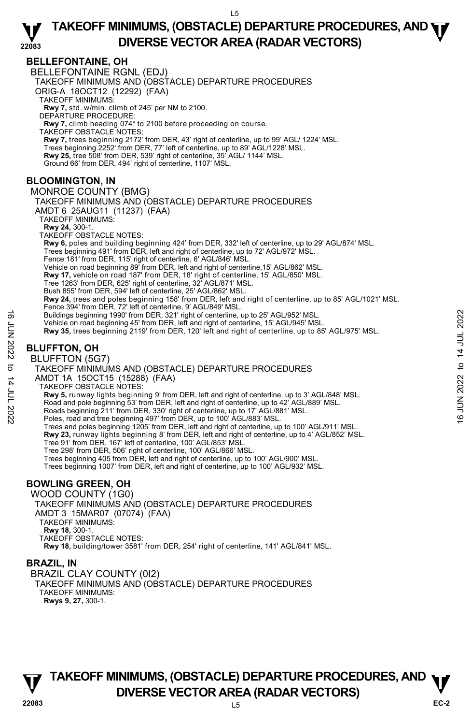## **BELLEFONTAINE, OH**

BELLEFONTAINE RGNL (EDJ)

TAKEOFF MINIMUMS AND (OBSTACLE) DEPARTURE PROCEDURES

ORIG-A 18OCT12 (12292) (FAA)

TAKEOFF MINIMUMS:

**Rwy 7,** std. w/min. climb of 245' per NM to 2100. DEPARTURE PROCEDURE:

**Rwy 7,** climb heading 074° to 2100 before proceeding on course.

TAKEOFF OBSTACLE NOTES:

**Rwy 7,** trees beginning 2172' from DER, 43' right of centerline, up to 99' AGL/ 1224' MSL.<br>Trees beginning 2252' from DER, 77' left of centerline, up to 89' AGL/1228' MSL. **Rwy 25,** tree 508' from DER, 539' right of centerline, 35' AGL/ 1144' MSL.

Ground 66' from DER, 494' right of centerline, 1107' MSL.

## **BLOOMINGTON, IN**

MONROE COUNTY (BMG) TAKEOFF MINIMUMS AND (OBSTACLE) DEPARTURE PROCEDURES AMDT 6 25AUG11 (11237) (FAA) TAKEOFF MINIMUMS: **Rwy 24,** 300-1. TAKEOFF OBSTACLE NOTES: **Rwy 6,** poles and building beginning 424' from DER, 332' left of centerline, up to 29' AGL/874' MSL.<br>Trees beginning 491' from DER, left and right of centerline, up to 72' AGL/972' MSL. Fence 181' from DER, 115' right of centerline, 6' AGL/846' MSL. Vehicle on road beginning 89' from DER, left and right of centerline,15' AGL/862' MSL. **Rwy 17,** vehicle on road 187' from DER, 18' right of centerline, 15' AGL/850' MSL.<br>Tree 1263' from DER, 625' right of centerline, 32' AGL/871' MSL. Bush 855' from DER, 594' left of centerline, 25' AGL/862' MSL. **Rwy 24,** trees and poles beginning 158' from DER, left and right of centerline, up to 85' AGL/1021' MSL. Fence 394' from DER, 72' left of centerline, 9' AGL/849' MSL. Buildings beginning 1990' from DER, 321' right of centerline, up to 25' AGL/952' MSL. Vehicle on road beginning 45' from DER, left and right of centerline, 15' AGL/945' MSL. **Rwy 35,** trees beginning 2119' from DER, 120' left and right of centerline, up to 85' AGL/975' MSL. Buildings beginning 1990' from DER, 321' right of centerline, up to 25' AGL/952' MSL.<br>
Vehicle on road beginning 2119' from DER, 120' left and right of centerline, 15' AGL/945' MSL.<br>
RW 35, trees beginning 2119' from DE

## **BLUFFTON, OH**

BLUFFTON (5G7)

TAKEOFF MINIMUMS AND (OBSTACLE) DEPARTURE PROCEDURES

AMDT 1A 15OCT15 (15288) (FAA)

TAKEOFF OBSTACLE NOTES:

**Rwy 5,** runway lights beginning 9' from DER, left and right of centerline, up to 3' AGL/848' MSL.

Road and pole beginning 53' from DER, left and right of centerline, up to 42' AGL/889' MSL.

Roads beginning 211' from DER, 330' right of centerline, up to 17' AGL/881' MSL.

Poles, road and tree beginning 497' from DER, up to 100' AGL/883' MSL.

Trees and poles beginning 1205' from DER, left and right of centerline, up to 100' AGL/911' MSL.

**Rwy 23,** runway lights beginning 8' from DER, left and right of centerline, up to 4' AGL/852' MSL.<br>Tree 91' from DER, 167' left of centerline, 100' AGL/853' MSL.

Tree 298' from DER, 506' right of centerline, 100' AGL/866' MSL.

Trees beginning 405 from DER, left and right of centerline, up to 100' AGL/900' MSL.

Trees beginning 1007' from DER, left and right of centerline, up to 100' AGL/932' MSL.

## **BOWLING GREEN, OH**

WOOD COUNTY (1G0) TAKEOFF MINIMUMS AND (OBSTACLE) DEPARTURE PROCEDURES AMDT 3 15MAR07 (07074) (FAA) TAKEOFF MINIMUMS: **Rwy 18,** 300-1. TAKEOFF OBSTACLE NOTES: **Rwy 18,** building/tower 3581' from DER, 254' right of centerline, 141' AGL/841' MSL.

## **BRAZIL, IN**

BRAZIL CLAY COUNTY (0I2) TAKEOFF MINIMUMS AND (OBSTACLE) DEPARTURE PROCEDURES TAKEOFF MINIMUMS: **Rwys 9, 27,** 300-1.

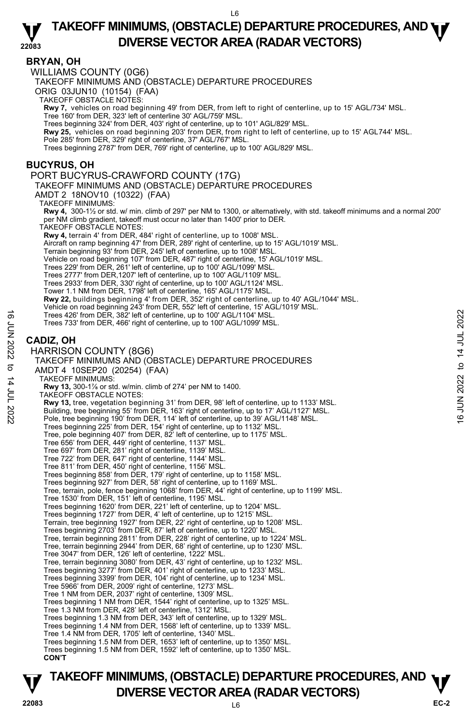#### **BRYAN, OH**

WILLIAMS COUNTY (0G6)

TAKEOFF MINIMUMS AND (OBSTACLE) DEPARTURE PROCEDURES

ORIG 03JUN10 (10154) (FAA)

TAKEOFF OBSTACLE NOTES:

**Rwy 7,** vehicles on road beginning 49' from DER, from left to right of centerline, up to 15' AGL/734' MSL.

Tree 160' from DER, 323' left of centerline 30' AGL/759' MSL. Trees beginning 324' from DER, 403' right of centerline, up to 101' AGL/829' MSL.

**Rwy 25,** vehicles on road beginning 203' from DER, from right to left of centerline, up to 15' AGL744' MSL.

Pole 285' from DER, 329' right of centerline, 37' AGL/767' MSL.

Trees beginning 2787' from DER, 769' right of centerline, up to 100' AGL/829' MSL.

## **BUCYRUS, OH**

#### PORT BUCYRUS-CRAWFORD COUNTY (17G)

TAKEOFF MINIMUMS AND (OBSTACLE) DEPARTURE PROCEDURES

AMDT 2 18NOV10 (10322) (FAA)

TAKEOFF MINIMUMS:

**Rwy 4,** 300-1½ or std. w/ min. climb of 297' per NM to 1300, or alternatively, with std. takeoff minimums and a normal 200' per NM climb gradient, takeoff must occur no later than 1400' prior to DER. TAKEOFF OBSTACLE NOTES:

**Rwy 4,** terrain 4' from DER, 484' right of centerline, up to 1008' MSL.

Aircraft on ramp beginning 47' from DER, 289' right of centerline, up to 15' AGL/1019' MSL.

Terrain beginning 93' from DER, 245' left of centerline, up to 1008' MSL.

Vehicle on road beginning 107' from DER, 487' right of centerline, 15' AGL/1019' MSL.

- Trees 229' from DER, 261' left of centerline, up to 100' AGL/1099' MSL.
- Trees 2777' from DER,1207' left of centerline, up to 100' AGL/1109' MSI
- Trees 2933' from DER, 330' right of centerline, up to 100' AGL/1124' MSL.

Tower 1.1 NM from DER, 1798' left of centerline, 165' AGL/1175' MSL.

- 
- **Rwy 22,** buildings beginning 4' from DER, 352' right of centerline, up to 40' AGL/1044' MSL.<br>Vehicle on road beginning 243' from DER, 552' left of centerline, 15' AGL/1019' MSL.
- Trees 426' from DER, 382' left of centerline, up to 100' AGL/1104' MSL.
- Trees 733' from DER, 466' right of centerline, up to 100' AGL/1099' MSL.

## **CADIZ, OH**

#### HARRISON COUNTY (8G6)

TAKEOFF MINIMUMS AND (OBSTACLE) DEPARTURE PROCEDURES AMDT 4 10SEP20 (20254) (FAA) TAKEOFF MINIMUMS: **Rwy 13,** 300-1⅞ or std. w/min. climb of 274' per NM to 1400. TAKEOFF OBSTACLE NOTES: **Rwy 13,** tree, vegetation beginning 31' from DER, 98' left of centerline, up to 1133' MSL. Building, tree beginning 55' from DER, 163' right of centerline, up to 17' AGL/1127' MSL. Pole, tree beginning 190' from DER, 114' left of centerline, up to 39' AGL/1148' MSL. Trees beginning 225' from DER, 154' right of centerline, up to 1132' MSL. Tree, pole beginning 407' from DER, 82' left of centerline, up to 1175' MSL. Tree 656' from DER, 449' right of centerline, 1137' MSL. Tree 697' from DER, 281' right of centerline, 1139' MSL. Tree 722' from DER, 647' right of centerline, 1144' MSL. Tree 811' from DER, 450' right of centerline, 1156' MSL. Trees beginning 858' from DER, 179' right of centerline, up to 1158' MSL. Trees beginning 927' from DER, 58' right of centerline, up to 1169' MSL. Tree, terrain, pole, fence beginning 1068' from DER, 44' right of centerline, up to 1199' MSL. Tree 1530' from DER, 151' left of centerline, 1195' MSL. Trees beginning 1620' from DER, 221' left of centerline, up to 1204' MSL. Trees beginning 1727' from DER, 4' left of centerline, up to 1215' MSL. Terrain, tree beginning 1927' from DER, 22' right of centerline, up to 1208' MSL. Trees beginning 2703' from DER, 87' left of centerline, up to 1220' MSL. Tree, terrain beginning 2811' from DER, 228' right of centerline, up to 1224' MSL. Tree, terrain beginning 2944' from DER, 68' right of centerline, up to 1230' MSL. Tree 3047' from DER, 126' left of centerline, 1222' MSL. Tree, terrain beginning 3080' from DER, 43' right of centerline, up to 1232' MSL. Trees beginning 3277' from DER, 401' right of centerline, up to 1233' MSL. Trees beginning 3399' from DER, 104' right of centerline, up to 1234' MSL. Tree 5966' from DER, 2009' right of centerline, 1273' MSL. Tree 1 NM from DER, 2037' right of centerline, 1309' MSL. Trees beginning 1 NM from DER, 1544' right of centerline, up to 1325' MSL. Tree 1.3 NM from DER, 428' left of centerline, 1312' MSL. Trees beginning 1.3 NM from DER, 343' left of centerline, up to 1329' MSL. Trees beginning 1.4 NM from DER, 1568' left of centerline, up to 1339' MSL. Tree 1.4 NM from DER, 1705' left of centerline, 1340' MSL. Trees beginning 1.5 NM from DER, 1653' left of centerline, up to 1350' MSL. Trees beginning 1.5 NM from DER, 1592' left of centerline, up to 1350' MSL. **CON'T** Trees 426' from DER, 382' left of centerline, up to 100' AGL/1104' MSL.<br>
Trees 733' from DER, 466' right of centerline, up to 100' AGL/1099' MSL.<br>
CADIZ, OH<br>
HARRISON COUNTY (8G6)<br>
TAKEOFF MINIMUMS AND (OBSTACLE) DEPARTUR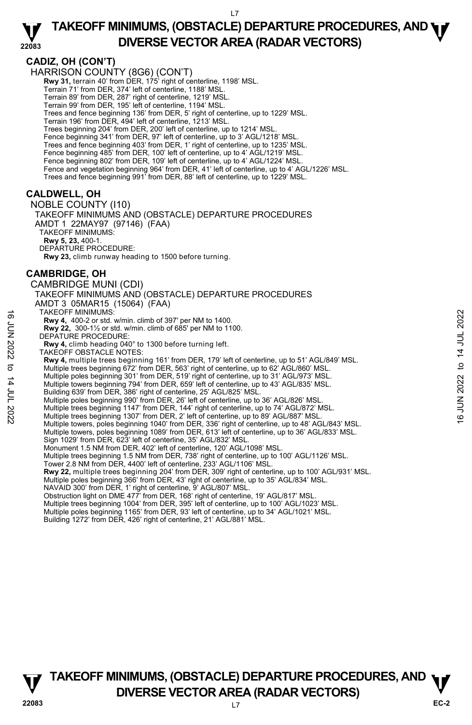#### **22083 TAKEOFF MINIMUMS, (OBSTACLE) DEPARTURE PROCEDURES, AND <b>WE**<br>DREBSE VECTOR AREA (BADAR VECTORS) **DIVERSE VECTOR AREA (RADAR VECTORS)**

## **CADIZ, OH (CON'T)**

HARRISON COUNTY (8G6) (CON'T) **Rwy 31,** terrain 40' from DER, 175' right of centerline, 1198' MSL. Terrain 71' from DER, 374' left of centerline, 1188' MSL. Terrain 89' from DER, 287' right of centerline, 1219' MSL. Terrain 99' from DER, 195' left of centerline, 1194' MSL. Trees and fence beginning 136' from DER, 5' right of centerline, up to 1229' MSL. Terrain 196' from DER, 494' left of centerline, 1213' MSL. Trees beginning 204' from DER, 200' left of centerline, up to 1214' MSL. Fence beginning 341' from DER, 97' left of centerline, up to 3' AGL/1218' MSI Trees and fence beginning 403' from DER, 1' right of centerline, up to 1235' MSL. Fence beginning 485' from DER, 100' left of centerline, up to 4' AGL/1219' MSL. Fence beginning 802' from DER, 109' left of centerline, up to 4' AGL/1224' MSL. Fence and vegetation beginning 964' from DER, 41' left of centerline, up to 4' AGL/1226' MSL. Trees and fence beginning 991' from DER, 88' left of centerline, up to 1229' MSL. **CALDWELL, OH**  NOBLE COUNTY (I10) TAKEOFF MINIMUMS AND (OBSTACLE) DEPARTURE PROCEDURES AMDT 1 22MAY97 (97146) (FAA) TAKEOFF MINIMUMS: **Rwy 5, 23,** 400-1. DEPARTURE PROCEDURE: **Rwy 23,** climb runway heading to 1500 before turning. **CAMBRIDGE, OH**  CAMBRIDGE MUNI (CDI) TAKEOFF MINIMUMS AND (OBSTACLE) DEPARTURE PROCEDURES AMDT 3 05MAR15 (15064) (FAA) TAKEOFF MINIMUMS: **Rwy 4,** 400-2 or std. w/min. climb of 397' per NM to 1400. **Rwy 22,** 300-1½ or std. w/min. climb of 685' per NM to 1100. Rwy 22, 300-11/2 or std. w<br>DEPATURE PROCEDURE: **Rwy 4,** climb heading 040° to 1300 before turning left. TAKEOFF OBSTACLE NOTES: **Rwy 4,** multiple trees beginning 161' from DER, 179' left of centerline, up to 51' AGL/849' MSL. Multiple trees beginning 672' from DER, 563' right of centerline, up to 62' AGL/860' MSL. Multiple poles beginning 301' from DER, 519' right of centerline, up to 31' AGL/973' MSL. Multiple towers beginning 794' from DER, 659' left of centerline, up to 43' AGL/835' MSL. Building 639' from DER, 386' right of centerline, 25' AGL/825' MSL. Multiple poles beginning 990' from DER, 26' left of centerline, up to 36' AGL/826' MSL. TAKEOFF MINIMUMS:<br>
Let  $\overline{R}$ <br>
Example 2. 300-1½ or std. w/min. climb of 397' per NM to 1400.<br>
DEPATURE PROCEDURE:<br>
Rwy 22, 300-1½ or std. w/min. climb of 685' per NM to 1100.<br>
New 4, entimb heading 040° to 1300 before Multiple towers, poles beginning 1040' from DER, 336' right of centerline, up to 48' AGL/843' MSL. Multiple towers, poles beginning 1089' from DER, 613' left of centerline, up to 36' AGL/833' MSL. Sign 1029' from DER, 623' left of centerline, 35' AGL/832' MSL. Monument 1.5 NM from DER, 402' left of centerline, 120' AGL/1098' MSL. Multiple trees beginning 1.5 NM from DER, 738' right of centerline, up to 100' AGL/1126' MSL. Tower 2.8 NM from DER, 4400' left of centerline, 233' AGL/1106' MSL.<br>**Rwy 22,** multiple trees beginning 204' from DER, 309' right of centerline, up to 100' AGL/931' MSL. Multiple poles beginning 366' from DER, 43' right of centerline, up to 35' AGL/834' MSL. NAVAID 300' from DER, 1' right of centerline, 9' AGL/807' MSL. Obstruction light on DME 477' from DER, 168' right of centerline, 19' AGL/817' MSL. Multiple trees beginning 1004' from DER, 395' left of centerline, up to 100' AGL/1023' MSL. Multiple poles beginning 1165' from DER, 93' left of centerline, up to 34' AGL/1021' MSL. Building 1272' from DER, 426' right of centerline, 21' AGL/881' MSL.

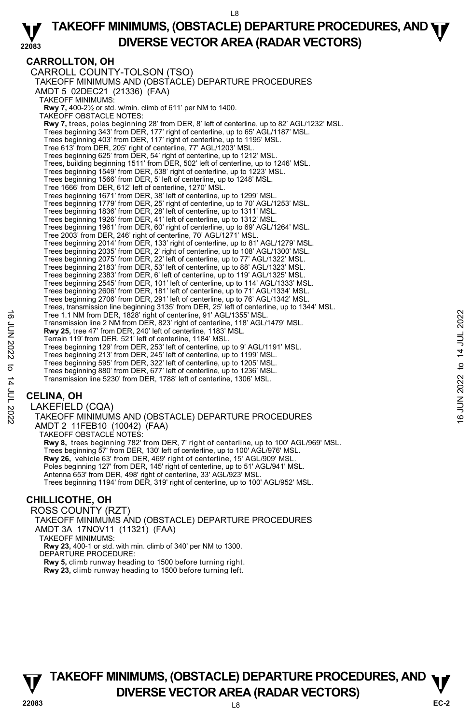## **CARROLLTON, OH**

CARROLL COUNTY-TOLSON (TSO) TAKEOFF MINIMUMS AND (OBSTACLE) DEPARTURE PROCEDURES AMDT 5 02DEC21 (21336) (FAA) TAKEOFF MINIMUMS: **Rwy 7,** 400-2½ or std. w/min. climb of 611' per NM to 1400. TAKEOFF OBSTACLE NOTES: **Rwy 7,** trees, poles beginning 28' from DER, 8' left of centerline, up to 82' AGL/1232' MSL. Trees beginning 343' from DER, 177' right of centerline, up to 65' AGL/1187' MSL. Trees beginning 403' from DER, 117' right of centerline, up to 1195' MSL. Tree 613' from DER, 205' right of centerline, 77' AGL/1203' MSL. Trees beginning 625' from DER, 54' right of centerline, up to 1212' MSL. Trees, building beginning 1511' from DER, 502' left of centerline, up to 1246' MSL. Trees beginning 1549' from DER, 538' right of centerline, up to 1223' MSL. Trees beginning 1566' from DER, 5' left of centerline, up to 1248' MSL. Tree 1666' from DER, 612' left of centerline, 1270' MSL. Trees beginning 1671' from DER, 38' left of centerline, up to 1299' MSL. Trees beginning 1779' from DER, 25' right of centerline, up to 70' AGL/1253' MSL. Trees beginning 1836' from DER, 28' left of centerline, up to 1311' MSL. Trees beginning 1926' from DER, 41' left of centerline, up to 1312' MSL. Trees beginning 1961' from DER, 60' right of centerline, up to 69' AGL/1264' MSL. Tree 2003' from DER, 246' right of centerline, 70' AGL/1271' MSL. Trees beginning 2014' from DER, 133' right of centerline, up to 81' AGL/1279' MSL. Trees beginning 2035' from DER, 2' right of centerline, up to 108' AGL/1300' MSL. Trees beginning 2075' from DER, 22' left of centerline, up to 77' AGL/1322' MSL. Trees beginning 2183' from DER, 53' left of centerline, up to 88' AGL/1323' MSL. Trees beginning 2383' from DER, 6' left of centerline, up to 119' AGL/1325' MSL. Trees beginning 2545' from DER, 101' left of centerline, up to 114' AGL/1333' MSL. Trees beginning 2606' from DER, 181' left of centerline, up to 71' AGL/1334' MSL. Trees beginning 2706' from DER, 291' left of centerline, up to 76' AGL/1342' MSL. Trees, transmission line beginning 3135' from DER, 25' left of centerline, up to 1344' MSL. Tree 1.1 NM from DER, 1828' right of centerline, 91' AGL/1355' MSL. Transmission line 2 NM from DER, 823' right of centerline, 118' AGL/1479' MSL. **Rwy 25,** tree 47' from DER, 240' left of centerline, 1183' MSL. Terrain 119' from DER, 521' left of centerline, 1184' MSL. Trees beginning 129' from DER, 253' left of centerline, up to 9' AGL/1191' MSL. Trees beginning 213' from DER, 245' left of centerline, up to 1199' MSL. Trees beginning 595' from DER, 322' left of centerline, up to 1205' MSL. Trees beginning 880' from DER, 677' left of centerline, up to 1236' MSL. Transmission line 5230' from DER, 1788' left of centerline, 1306' MSL. Tree 1.1 NM from DER, 1828' right of centerline, 91' AGL/1355' MSL.<br>
Transmission line 2 NM from DER, 323' right of centerline, 118' AGL/1479' MSL.<br>
Term in 119' from DER, 521' left of centerline, 1184' MSL.<br>
Term in 119'

## **CELINA, OH**

LAKEFIELD (CQA) TAKEOFF MINIMUMS AND (OBSTACLE) DEPARTURE PROCEDURES AMDT 2 11FEB10 (10042) (FAA) TAKEOFF OBSTACLE NOTES: **Rwy 8,** trees beginning 782' from DER, 7' right of centerline, up to 100' AGL/969' MSL. Trees beginning 57' from DER, 130' left of centerline, up to 100' AGL/976' MSL. **Rwy 26,** vehicle 63' from DER, 469' right of centerline, 15' AGL/909' MSL. Poles beginning 127' from DER, 145' right of centerline, up to 51' AGL/941' MSL. Antenna 653' from DER, 498' right of centerline, 33' AGL/923' MSL. Trees beginning 1194' from DER, 319' right of centerline, up to 100' AGL/952' MSL.

## **CHILLICOTHE, OH**

ROSS COUNTY (RZT) TAKEOFF MINIMUMS AND (OBSTACLE) DEPARTURE PROCEDURES AMDT 3A 17NOV11 (11321) (FAA) TAKEOFF MINIMUMS:

**Rwy 23,** 400-1 or std. with min. climb of 340' per NM to 1300. DEPARTURE PROCEDURE:

**Rwy 5,** climb runway heading to 1500 before turning right. **Rwy 23,** climb runway heading to 1500 before turning left.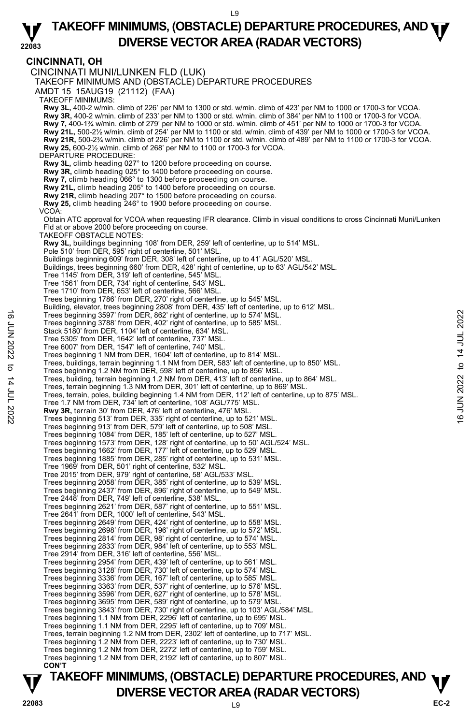## **CINCINNATI, OH**

CINCINNATI MUNI/LUNKEN FLD (LUK) TAKEOFF MINIMUMS AND (OBSTACLE) DEPARTURE PROCEDURES AMDT 15 15AUG19 (21112) (FAA) TAKEOFF MINIMUMS: **Rwy 3L**, 400-2 w/min. climb of 226' per NM to 1300 or std. w/min. climb of 423' per NM to 1000 or 1700-3 for VCOA.<br>**Rwy 3R,** 400-2 w/min. climb of 233' per NM to 1300 or std. w/min. climb of 384' per NM to 1100 or 1700-3 **Rwy 7,** 400-1¾ w/min. climb of 279' per NM to 1000 or std. w/min. climb of 451' per NM to 1000 or 1700-3 for VCOA. **Rwy 21L,** 500-2½ w/min. climb of 254' per NM to 1100 or std. w/min. climb of 439' per NM to 1000 or 1700-3 for VCOA. **Rwy 21R,** 500-2¾ w/min. climb of 226' per NM to 1100 or std. w/min. climb of 489' per NM to 1100 or 1700-3 for VCOA. **Rwy 25,** 600-2½ w/min. climb of 268' per NM to 1100 or 1700-3 for VCOA. DEPARTURE PROCEDURE: **Rwy 3L,** climb heading 027° to 1200 before proceeding on course. **Rwy 3R,** climb heading 025° to 1400 before proceeding on course. **Rwy 7,** climb heading 066° to 1300 before proceeding on course. **Rwy 21L,** climb heading 205° to 1400 before proceeding on course. **Rwy 21R,** climb heading 207° to 1500 before proceeding on course. **Rwy 25,** climb heading 246° to 1900 before proceeding on course. VCOA: Obtain ATC approval for VCOA when requesting IFR clearance. Climb in visual conditions to cross Cincinnati Muni/Lunken Fld at or above 2000 before proceeding on course. TAKEOFF OBSTACLE NOTES: **Rwy 3L,** buildings beginning 108' from DER, 259' left of centerline, up to 514' MSL.<br>Pole 510' from DER, 595' right of centerline, 501' MSL. Buildings beginning 609' from DER, 308' left of centerline, up to 41' AGL/520' MSL. Buildings, trees beginning 660' from DER, 428' right of centerline, up to 63' AGL/542' MSL. Tree 1145' from DER, 319' left of centerline, 545' MSL. Tree 1561' from DER, 734' right of centerline, 543' MSL. Tree 1710' from DER, 653' left of centerline, 566' MSL. Trees beginning 1786' from DER, 270' right of centerline, up to 545' MSL. Building, elevator, trees beginning 2808' from DER, 435' left of centerline, up to 612' MSL. Trees beginning 3597' from DER, 862' right of centerline, up to 574' MSL. Trees beginning 3788' from DER, 402' right of centerline, up to 585' MSL. Stack 5180' from DER, 1104' left of centerline, 634' MSL. Tree 5305' from DER, 1642' left of centerline, 737' MSL. Tree 6007' from DER, 1547' left of centerline, 740' MSL. Trees beginning 1 NM from DER, 1604' left of centerline, up to 814' MSL.<br>Trees, buildings, terrain beginning 1.1 NM from DER, 583' left of centerline, up to 850' MSL. Trees beginning 1.2 NM from DER, 598' left of centerline, up to 856' MSL. Trees, building, terrain beginning 1.2 NM from DER, 413' left of centerline, up to 864' MSL. Trees, terrain beginning 1.3 NM from DER, 301' left of centerline, up to 869' MSL. Trees, terrain, poles, building beginning 1.4 NM from DER, 112' left of centerline, up to 875' MSL. Tree 1.7 NM from DER, 734' left of centerline, 108' AGL/775' MSL. **Rwy 3R,** terrain 30' from DER, 476' left of centerline, 476' MSL. Trees beginning 513' from DER, 335' right of centerline, up to 521' MSL. Trees beginning 913' from DER, 579' left of centerline, up to 508' MSL. Trees beginning 1084' from DER, 185' left of centerline, up to 527' MSL. Trees beginning 1573' from DER, 128' right of centerline, up to 50' AGL/524' MSL. Trees beginning 1662' from DER, 177' left of centerline, up to 529' MSL. Trees beginning 1885' from DER, 285' right of centerline, up to 531' MSL. Tree 1969' from DER, 501' right of centerline, 532' MSL. Tree 2015' from DER, 979' right of centerline, 58' AGL/533' MSL. Trees beginning 2058' from DER, 385' right of centerline, up to 539' MSL. Trees beginning 2437' from DER, 896' right of centerline, up to 549' MSL. Tree 2448' from DER, 749' left of centerline, 538' MSL. Trees beginning 2621' from DER, 587' right of centerline, up to 551' MSL. Tree 2641' from DER, 1000' left of centerline, 543' MSL.<br>Trees beginning 2649' from DER, 424' right of centerline, up to 558' MSL.<br>Trees beginning 2698' from DER, 196' right of centerline, up to 572' MSL. Trees beginning 2814' from DER, 98' right of centerline, up to 574' MSL. Trees beginning 2833' from DER, 984' left of centerline, up to 553' MSL. Tree 2914' from DER, 316' left of centerline, 556' MSL. Trees beginning 2954' from DER, 439' left of centerline, up to 561' MSL. Trees beginning 3128' from DER, 730' left of centerline, up to 574' MSL. Trees beginning 3336' from DER, 167' left of centerline, up to 585' MSL. Trees beginning 3363' from DER, 537' right of centerline, up to 576' MSL. Trees beginning 3596' from DER, 627' right of centerline, up to 578' MSL. Trees beginning 3695' from DER, 589' right of centerline, up to 579' MSL. Trees beginning 3843' from DER, 730' right of centerline, up to 103' AGL/584' MSL. Trees beginning 1.1 NM from DER, 2296' left of centerline, up to 695' MSL. Trees beginning 1.1 NM from DER, 2295' left of centerline, up to 709' MSL. Trees, terrain beginning 1.2 NM from DER, 2302' left of centerline, up to 717' MSL. Trees beginning 1.2 NM from DER, 2223' left of centerline, up to 730' MSL. Trees beginning 1.2 NM from DER, 2272' left of centerline, up to 759' MSL. Trees beginning 1.2 NM from DER, 2192' left of centerline, up to 807' MSL. **CON'T**  Trees beginning 3597' from DER, 862' right of centerline, up to 574' MSL.<br>
Test beginning 3788' from DER, 402' right of centerline, 614' MSL.<br>
Tree 5305' from DER, 1642' left of centerline, 737' MSL.<br>
Tree 6007' from DER,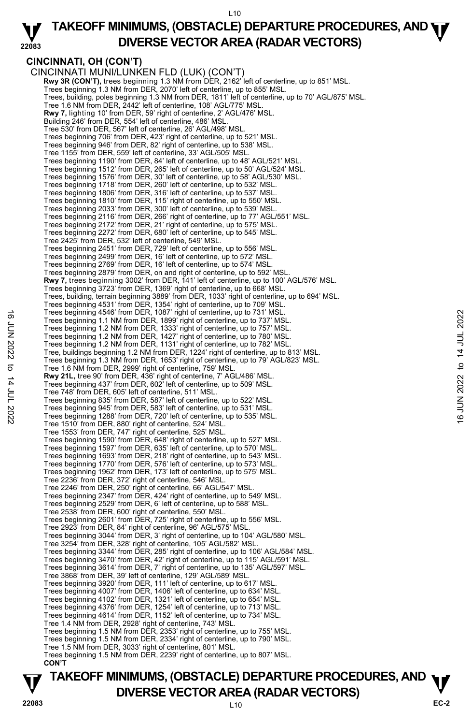#### **22083 TAKEOFF MINIMUMS, (OBSTACLE) DEPARTURE PROCEDURES, AND <b>WE**<br>DREBSE VECTOR AREA (BADAR VECTORS) **DIVERSE VECTOR AREA (RADAR VECTORS)**

## **CINCINNATI, OH (CON'T)**

CINCINNATI MUNI/LUNKEN FLD (LUK) (CON'T) **Rwy 3R (CON'T),** trees beginning 1.3 NM from DER, 2162' left of centerline, up to 851' MSL.<br>Trees beginning 1.3 NM from DER, 2070' left of centerline, up to 855' MSL. Trees, building, poles beginning 1.3 NM from DER, 1811' left of centerline, up to 70' AGL/875' MSL. Tree 1.6 NM from DER, 2442' left of centerline, 108' AGL/775' MSL. **Rwy 7,** lighting 10' from DER, 59' right of centerline, 2' AGL/476' MSL. Building 246' from DER, 554' left of centerline, 486' MSL. Tree 530' from DER, 567' left of centerline, 26' AGL/498' MSL. Trees beginning 706' from DER, 423' right of centerline, up to 521' MSL. Trees beginning 946' from DER, 82' right of centerline, up to 538' MSL. Tree 1155' from DER, 559' left of centerline, 33' AGL/505' MSL. Trees beginning 1190' from DER, 84' left of centerline, up to 48' AGL/521' MSL. Trees beginning 1512' from DER, 265' left of centerline, up to 50' AGL/524' MSL. Trees beginning 1576' from DER, 30' left of centerline, up to 58' AGL/530' MSL. Trees beginning 1718' from DER, 260' left of centerline, up to 532' MSL. Trees beginning 1806' from DER, 316' left of centerline, up to 537' MSL. Trees beginning 1810' from DER, 115' right of centerline, up to 550' MSL. Trees beginning 2033' from DER, 300' left of centerline, up to 539' MSL. Trees beginning 2116' from DER, 266' right of centerline, up to 77' AGL/551' MSL. Trees beginning 2172' from DER, 21' right of centerline, up to 575' MSL. Trees beginning 2272' from DER, 680' left of centerline, up to 545' MSL. Tree 2425' from DER, 532' left of centerline, 549' MSL. Trees beginning 2451' from DER, 729' left of centerline, up to 556' MSL. Trees beginning 2499' from DER, 16' left of centerline, up to 572' MSL. Trees beginning 2769' from DER, 16' left of centerline, up to 574' MSL. Trees beginning 2879' from DER, on and right of centerline, up to 592' MSL. **Rwy 7,** trees beginning 3002' from DER, 141' left of centerline, up to 100' AGL/576' MSL. Trees beginning 3723' from DER, 1369' right of centerline, up to 668' MSL. Trees, building, terrain beginning 3889' from DER, 1033' right of centerline, up to 694' MSL. Trees beginning 4531' from DER, 1354' right of centerline, up to 709' MSL. Trees beginning 4546' from DER, 1087' right of centerline, up to 731' MSL. Trees beginning 1.1 NM from DER, 1899' right of centerline, up to 737' MSL. Trees beginning 1.2 NM from DER, 1333' right of centerline, up to 757' MSL. Trees beginning 1.2 NM from DER, 1427' right of centerline, up to 780' MSL. Trees beginning 1.2 NM from DER, 1131' right of centerline, up to 782' MSL. Tree, buildings beginning 1.2 NM from DER, 1224' right of centerline, up to 813' MSL. Trees beginning 1.3 NM from DER, 1653' right of centerline, up to 79' AGL/823' MSL. Tree 1.6 NM from DER, 2999' right of centerline, 759' MSL. **Rwy 21L,** tree 90' from DER, 436' right of centerline, 7' AGL/486' MSL. Trees beginning 437' from DER, 602' left of centerline, up to 509' MSL. Tree 748' from DER, 605' left of centerline, 511' MSL. Trees beginning 835' from DER, 587' left of centerline, up to 522' MSL. Trees beginning 945' from DER, 583' left of centerline, up to 531' MSL. Trees beginning 1288' from DER, 720' left of centerline, up to 535' MSL. Tree 1510' from DER, 880' right of centerline, 524' MSL. Tree 1553' from DER, 747' right of centerline, 525' MSL. Trees beginning 1590' from DER, 648' right of centerline, up to 527' MSL. Trees beginning 1597' from DER, 635' left of centerline, up to 570' MSL. Trees beginning 1693' from DER, 218' right of centerline, up to 543' MSL. Trees beginning 1770' from DER, 576' left of centerline, up to 573' MSL. Trees beginning 1962' from DER, 173' left of centerline, up to 575' MSL. Tree 2236' from DER, 372' right of centerline, 546' MSL. Tree 2246' from DER, 250' right of centerline, 66' AGL/547' MSL. Trees beginning 2347' from DER, 424' right of centerline, up to 549' MSL. Trees beginning 2529' from DER, 6' left of centerline, up to 588' MSL. Tree 2538' from DER, 600' right of centerline, 550' MSL. Trees beginning 2601' from DER, 725' right of centerline, up to 556' MSL. Tree 2923' from DER, 84' right of centerline, 96' AGL/575' MSL. Trees beginning 3044' from DER, 3' right of centerline, up to 104' AGL/580' MSL. Tree 3254' from DER, 328' right of centerline, 105' AGL/582' MSL. Trees beginning 3344' from DER, 285' right of centerline, up to 106' AGL/584' MSL. Trees beginning 3470' from DER, 42' right of centerline, up to 115' AGL/591' MSL. Trees beginning 3614' from DER, 7' right of centerline, up to 135' AGL/597' MSL. Tree 3868' from DER, 39' left of centerline, 129' AGL/589' MSL. Trees beginning 3920' from DER, 111' left of centerline, up to 617' MSL. Trees beginning 4007' from DER, 1406' left of centerline, up to 634' MSL. Trees beginning 4102' from DER, 1321' left of centerline, up to 654' MSL. Trees beginning 4376' from DER, 1254' left of centerline, up to 713' MSL. Trees beginning 4614' from DER, 1152' left of centerline, up to 734' MSL. Tree 1.4 NM from DER, 2928' right of centerline, 743' MSL. Trees beginning 1.5 NM from DER, 2353' right of centerline, up to 755' MSL. Trees beginning 1.5 NM from DER, 2334' right of centerline, up to 790' MSL. Tree 1.5 NM from DER, 3033' right of centerline, 801' MSL. Trees beginning 1.5 NM from DER, 2239' right of centerline, up to 807' MSL. **CON'T**  Trees beginning 443" from DER, 108" right of centerline, up to 731" MSL.<br>
Trees beginning 1.2 NM from DER, 1333" right of centerline, up to 737" MSL.<br>
Trees beginning 1.2 NM from DER, 1333" right of centerline, up to 782"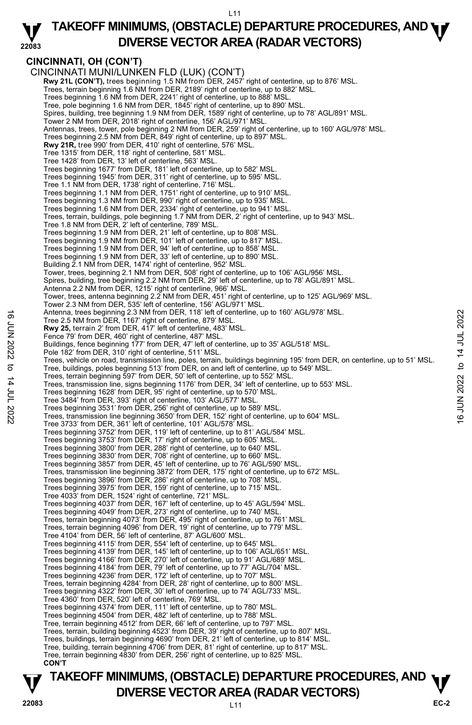#### **22083 TAKEOFF MINIMUMS, (OBSTACLE) DEPARTURE PROCEDURES, AND <b>WE**<br>DREBSE VECTOR AREA (BADAR VECTORS) **DIVERSE VECTOR AREA (RADAR VECTORS)**

## **CINCINNATI, OH (CON'T)**

CINCINNATI MUNI/LUNKEN FLD (LUK) (CON'T) **Rwy 21L (CON'T),** trees beginning 1.5 NM from DER, 2457' right of centerline, up to 876' MSL. Trees, terrain beginning 1.6 NM from DER, 2189' right of centerline, up to 882' MSL. Trees beginning 1.6 NM from DER, 2241' right of centerline, up to 888' MSL. Tree, pole beginning 1.6 NM from DER, 1845' right of centerline, up to 890' MSL. Spires, building, tree beginning 1.9 NM from DER, 1589' right of centerline, up to 78' AGL/891' MSL. Tower 2 NM from DER, 2018' right of centerline, 156' AGL/971' MSL. Antennas, trees, tower, pole beginning 2 NM from DER, 259' right of centerline, up to 160' AGL/978' MSL. Trees beginning 2.5 NM from DER, 849' right of centerline, up to 897' MSL.<br>**Rwy 21R,** tree 990' from DER, 410' right of centerline, 576' MSL. Tree 1315' from DER, 118' right of centerline, 581' MSL. Tree 1428' from DER, 13' left of centerline, 563' MSL.<br>Trees beginning 1677' from DER, 181' left of centerline, up to 582' MSL.<br>Trees beginning 1945' from DER, 311' right of centerline, up to 595' MSL. Tree 1.1 NM from DER, 1738' right of centerline, 716' MSL. Trees beginning 1.1 NM from DER, 1751' right of centerline, up to 910' MSL. Trees beginning 1.3 NM from DER, 990' right of centerline, up to 935' MSL. Trees beginning 1.6 NM from DER, 2334' right of centerline, up to 941' MSL. Trees, terrain, buildings, pole beginning 1.7 NM from DER, 2' right of centerline, up to 943' MSL. Tree 1.8 NM from DER, 2' left of centerline, 789' MSL. Trees beginning 1.9 NM from DER, 21' left of centerline, up to 808' MSL. Trees beginning 1.9 NM from DER, 101' left of centerline, up to 817' MSL. Trees beginning 1.9 NM from DER, 94' left of centerline, up to 858' MSL. Trees beginning 1.9 NM from DER, 33' left of centerline, up to 890' MSL. Building 2.1 NM from DER, 1474' right of centerline, 952' MSL. Tower, trees, beginning 2.1 NM from DER, 508' right of centerline, up to 106' AGL/956' MSL. Spires, building, tree beginning 2.2 NM from DER, 29' left of centerline, up to 78' AGL/891' MSL. Antenna 2.2 NM from DER, 1215' right of centerline, 966' MSL. Tower, trees, antenna beginning 2.2 NM from DER, 451' right of centerline, up to 125' AGL/969' MSL. Tower 2.3 NM from DER, 535' left of centerline, 156' AGL/971' MSL. Antenna, trees beginning 2.3 NM from DER, 118' left of centerline, up to 160' AGL/978' MSL. Tree 2.5 NM from DER, 1167' right of centerline, 879' MSL. **Rwy 25,** terrain 2' from DER, 417' left of centerline, 483' MSL. Fence 79' from DER, 460' right of centerline, 487' MSL. Buildings, fence beginning 177' from DER, 47' left of centerline, up to 35' AGL/518' MSL. Pole 182' from DER, 310' right of centerline, 511' MSL. Trees, vehicle on road, transmission line, poles, terrain, buildings beginning 195' from DER, on centerline, up to 51' MSL. Tree, buildings, poles beginning 513' from DER, on and left of centerline, up to 549' MSL. Trees, terrain beginning 597' from DER, 50' left of centerline, up to 552' MSL. Trees, transmission line, signs beginning 1176' from DER, 34' left of centerline, up to 553' MSL. Trees beginning 1628' from DER, 95' right of centerline, up to 570' MSL. Tree 3484' from DER, 393' right of centerline, 103' AGL/577' MSL. Antenna, trees beginning 2.3 NM from DER, 118' right of centerline, and S' MSL.<br>
Tree 2.5 NM from DER, 417' left of centerline, 483' MSL.<br>
Fence 79' from DER, 40' right of centerline, 487' MSL.<br>
Dialidings, fence beginning Tree 3733' from DER, 361' left of centerline, 101' AGL/578' MSL. Trees beginning 3752' from DER, 119' left of centerline, up to 81' AGL/584' MSL. Trees beginning 3753' from DER, 17' right of centerline, up to 605' MSL. Trees beginning 3800' from DER, 288' right of centerline, up to 640' MSL. Trees beginning 3830' from DER, 708' right of centerline, up to 660' MSL. Trees beginning 3857' from DER, 45' left of centerline, up to 76' AGL/590' MSL. Trees, transmission line beginning 3872' from DER, 175' right of centerline, up to 672' MSL. Trees beginning 3896' from DER, 286' right of centerline, up to 708' MSL. Trees beginning 3975' from DER, 159' right of centerline, up to 715' MSL. Tree 4033' from DER, 1524' right of centerline, 721' MSL. Trees beginning 4037' from DER, 167' left of centerline, up to 45' AGL/594' MSL. Trees beginning 4049' from DER, 273' right of centerline, up to 740' MSL. Trees, terrain beginning 4073' from DER, 495' right of centerline, up to 761' MSL. Trees, terrain beginning 4096' from DER, 19' right of centerline, up to 779' MSL. Tree 4104' from DER, 56' left of centerline, 87' AGL/600' MSL. Trees beginning 4115' from DER, 554' left of centerline, up to 645' MSL. Trees beginning 4139' from DER, 145' left of centerline, up to 106' AGL/651' MSL. Trees beginning 4166' from DER, 270' left of centerline, up to 91' AGL/689' MSL. Trees beginning 4184' from DER, 79' left of centerline, up to 77' AGL/704' MSL. Trees beginning 4236' from DER, 172' left of centerline, up to 707' MSL. Trees, terrain beginning 4284' from DER, 28' right of centerline, up to 800' MSL. Trees beginning 4322' from DER, 30' left of centerline, up to 74' AGL/733' MSL. Tree 4360' from DER, 520' left of centerline, 769' MSL. Trees beginning 4374' from DER, 111' left of centerline, up to 780' MSL. Trees beginning 4504' from DER, 482' left of centerline, up to 788' MSL. Tree, terrain beginning 4512' from DER, 66' left of centerline, up to 797' MSL. Trees, terrain, building beginning 4523' from DER, 39' right of centerline, up to 807' MSL. Trees, buildings, terrain beginning 4690' from DER, 21' left of centerline, up to 814' MSL. Tree, building, terrain beginning 4706' from DER, 81' right of centerline, up to 817' MSL. Tree, terrain beginning 4830' from DER, 256' right of centerline, up to 825' MSL.  **CON'T**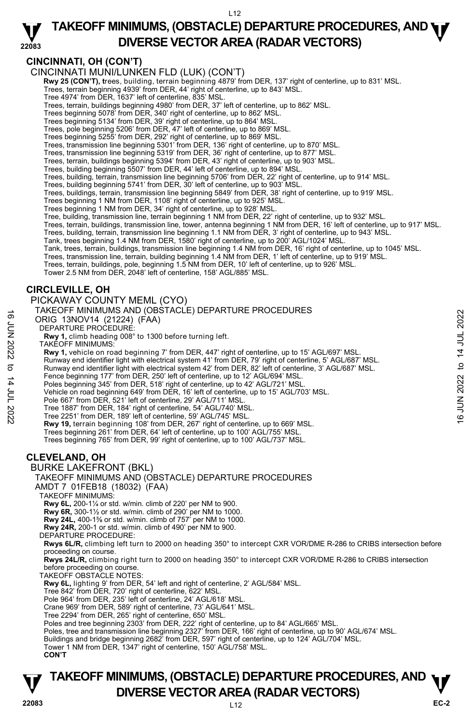## **CINCINNATI, OH (CON'T)**

#### CINCINNATI MUNI/LUNKEN FLD (LUK) (CON'T)

- **Rwy 25 (CON'T), t**rees, building, terrain beginning 4879' from DER, 137' right of centerline, up to 831' MSL.<br>Trees, terrain beginning 4939' from DER, 44' right of centerline, up to 843' MSL.
	-
	- Tree 4974' from DER, 1637' left of centerline, 835' MSL.
	- Trees, terrain, buildings beginning 4980' from DER, 37' left of centerline, up to 862' MSL. Trees beginning 5078' from DER, 340' right of centerline, up to 862' MSL.
	-
	- Trees beginning 5134' from DER, 39' right of centerline, up to 864' MSL.
	- Trees, pole beginning 5206' from DER, 47' left of centerline, up to 869' MSL.
	-
	- Trees beginning 5255' from DER, 292' right of centerline, up to 869' MSL.<br>Trees, transmission line beginning 5301' from DER, 136' right of centerline, up to 870' MSL.<br>Trees, transmission line beginning 5319' from DER, 36'
	-
	- Trees, terrain, buildings beginning 5394' from DER, 43' right of centerline, up to 903' MSL. Trees, building beginning 5507' from DER, 44' left of centerline, up to 894' MSL.
	-
	- Trees, building, terrain, transmission line beginning 5706' from DER, 22' right of centerline, up to 914' MSL.
	- Trees, building beginning 5741' from DER, 30' left of centerline, up to 903' MSL.
	- Trees, buildings, terrain, transmission line beginning 5849' from DER, 38' right of centerline, up to 919' MSL.<br>Trees beginning 1 NM from DER, 1108' right of centerline, up to 925' MSL.
	-
	- Trees beginning 1 NM from DER, 34' right of centerline, up to 928' MSL.
	- Tree, building, transmission line, terrain beginning 1 NM from DER, 22' right of centerline, up to 932' MSL.
	- Trees, terrain, buildings, transmission line, tower, antenna beginning 1 NM from DER, 16' left of centerline, up to 917' MSL.
	- Trees, building, terrain, transmission line beginning 1.1 NM from DER, 3' right of centerline, up to 943' MSL.
	-
	- Tank, trees beginning 1.4 NM from DER, 1580' right of centerline, up to 200' AGL/1024' MSL.<br>Tank, trees, terrain, buildings, transmission line beginning 1.4 NM from DER, 16' right of centerline, up to 1045' MSL.
	- Trees, transmission line, terrain, building beginning 1.4 NM from DER, 1' left of centerline, up to 919' MSL.
	- Trees, terrain, buildings, pole, beginning 1.5 NM from DER, 10' left of centerline, up to 926' MSL.
	- Tower 2.5 NM from DER, 2048' left of centerline, 158' AGL/885' MSL.

#### **CIRCLEVILLE, OH**

PICKAWAY COUNTY MEML (CYO)

#### TAKEOFF MINIMUMS AND (OBSTACLE) DEPARTURE PROCEDURES

- ORIG 13NOV14 (21224) (FAA)
- DEPARTURE PROCEDURE:
- **Rwy 1,** climb heading 008° to 1300 before turning left.
- TAKEOFF MINIMUMS:
- **Rwy 1,** vehicle on road beginning 7' from DER, 447' right of centerline, up to 15' AGL/697' MSL.
- Runway end identifier light with electrical system 41' from DER, 79' right of centerline, 5' AGL/687' MSL.
- Runway end identifier light with electrical system 42' from DER, 82' left of centerline, 3' AGL/687' MSL. 16 TANCUT MINIMUM 201224) (FAA)<br>
DERARTURE PROCEDURE:<br>
DEPARTURE PROCEDURE:<br>
Now 1, elimb heading 008" to 1300 before turning left.<br>
TAKEGFF MINIMUMS:<br>
Rwy 1, vehicle on road beginning 7' from DER, 447' right of centerlin
	- Fence beginning 177' from DER, 250' left of centerline, up to 12' AGL/694' MSL.
	- Poles beginning 345' from DER, 518' right of centerline, up to 42' AGL/721' MSL.
	- Vehicle on road beginning 649' from DER, 16' left of centerline, up to 15' AGL/703' MSL.
	- Pole 667' from DER, 521' left of centerline, 29' AGL/711' MSL.
	- Tree 1887' from DER, 184' right of centerline, 54' AGL/740' MSL. Tree 2251' from DER, 189' left of centerline, 59' AGL/745' MSL.
	-
	- **Rwy 19,** terrain beginning 108' from DER, 267' right of centerline, up to 669' MSL. Trees beginning 261' from DER, 64' left of centerline, up to 100' AGL/755' MSL.
	- Trees beginning 765' from DER, 99' right of centerline, up to 100' AGL/737' MSL.

#### **CLEVELAND, OH**

#### BURKE LAKEFRONT (BKL)

#### TAKEOFF MINIMUMS AND (OBSTACLE) DEPARTURE PROCEDURES

AMDT 7 01FEB18 (18032) (FAA)

#### TAKEOFF MINIMUMS:

**Rwy 6L,** 200-1¼ or std. w/min. climb of 220' per NM to 900.

**Rwy 6R,** 300-1½ or std. w/min. climb of 290' per NM to 1000.

- **Rwy 24L,** 400-1⅜ or std. w/min. climb of 757' per NM to 1000.
- **Rwy 24R,** 200-1 or std. w/min. climb of 490' per NM to 900.
- DEPARTURE PROCEDURE:

**Rwys 6L/R,** climbing left turn to 2000 on heading 350° to intercept CXR VOR/DME R-286 to CRIBS intersection before proceeding on course.

**Rwys 24L/R,** climbing right turn to 2000 on heading 350° to intercept CXR VOR/DME R-286 to CRIBS intersection before proceeding on course.

TAKEOFF OBSTACLE NOTES:

**Rwy 6L,** lighting 9' from DER, 54' left and right of centerline, 2' AGL/584' MSL.

- Tree 842' from DER, 720' right of centerline, 622' MSL.
- Pole 964' from DER, 235' left of centerline, 24' AGL/618' MSL.
- Crane 969' from DER, 589' right of centerline, 73' AGL/641' MSL.
- Tree 2294' from DER, 265' right of centerline, 650' MSL.
- 
- Poles and tree beginning 2303' from DER, 222' right of centerline, up to 84' AGL/665' MSL. Poles, tree and transmission line beginning 2327' from DER, 166' right of centerline, up to 90' AGL/674' MSL.
- Buildings and bridge beginning 2682' from DER, 597' right of centerline, up to 124' AGL/704' MSL.
- Tower 1 NM from DER, 1347' right of centerline, 150' AGL/758' MSL.

**CON'T**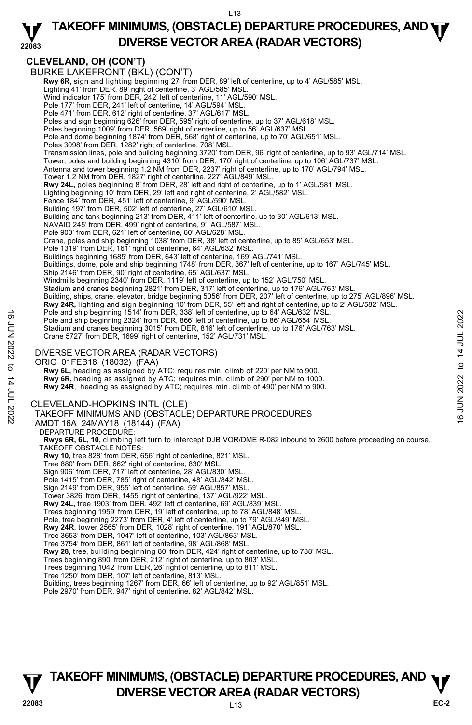#### **22083 TAKEOFF MINIMUMS, (OBSTACLE) DEPARTURE PROCEDURES, AND <b>WE**<br>DREBSE VECTOR AREA (BADAR VECTORS) **DIVERSE VECTOR AREA (RADAR VECTORS)**

# **CLEVELAND, OH (CON'T)**

BURKE LAKEFRONT (BKL) (CON'T)  **Rwy 6R,** sign and lighting beginning 27' from DER, 89' left of centerline, up to 4' AGL/585' MSL. Lighting 41' from DER, 89' right of centerline, 3' AGL/585' MSL. Wind indicator 175' from DER, 242' left of centerline, 11' AGL/590' MSL. Pole 177' from DER, 241' left of centerline, 14' AGL/594' MSL. Pole 471' from DER, 612' right of centerline, 37' AGL/617' MSL. Poles and sign beginning 626' from DER, 595' right of centerline, up to 37' AGL/618' MSL. Poles beginning 1009' from DER, 569' right of centerline, up to 56' AGL/637' MSL. Pole and dome beginning 1874' from DER, 568' right of centerline, up to 70' AGL/651' MSL. Poles 3098' from DER, 1282' right of centerline, 708' MSL. Transmission lines, pole and building beginning 3720' from DER, 96' right of centerline, up to 93' AGL/714' MSL. Tower, poles and building beginning 4310' from DER, 170' right of centerline, up to 106' AGL/737' MSL.<br>Antenna and tower beginning 1.2 NM from DER, 2237' right of centerline, up to 170' AGL/794' MSL.<br>Tower 1.2 NM from DER, **Rwy 24L,** poles beginning 8' from DER, 28' left and right of centerline, up to 1' AGL/581' MSL. Lighting beginning 10' from DER, 29' left and right of centerline, 2' AGL/582' MSL. Fence 184' from DER, 451' left of centerline, 9' AGL/590' MSL. Building 197' from DER, 502' left of centerline, 27' AGL/610' MSL. Building and tank beginning 213' from DER, 411' left of centerline, up to 30' AGL/613' MSL.<br>NAVAID 245' from DER, 499' right of centerline, 9' AGL/587' MSL. Pole 900' from DER, 621' left of centerline, 60' AGL/628' MSL. Crane, poles and ship beginning 1038' from DER, 38' left of centerline, up to 85' AGL/653' MSL. Pole 1319' from DER, 161' right of centerline, 64' AGL/632' MSL. Buildings beginning 1685' from DER, 643' left of centerline, 169' AGL/741' MSL. Buildings, dome, pole and ship beginning 1748' from DER, 367' left of centerline, up to 167' AGL/745' MSL. Ship 2146' from DER, 90' right of centerline, 65' AGL/637' MSL. Windmills beginning 2340' from DER, 1119' left of centerline, up to 152' AGL/750' MSL. Stadium and cranes beginning 2821' from DER, 317' left of centerline, up to 176' AGL/763' MSL. Building, ships, crane, elevator, bridge beginning 5056' from DER, 207' left of centerline, up to 275' AGL/896' MSL. **Rwy 24R,** lighting and sign beginning 10' from DER, 55' left and right of centerline, up to 2' AGL/582' MSL. Pole and ship beginning 1514' from DER, 338' left of centerline, up to 64' AGL/632' MSL. Pole and ship beginning 2324' from DER, 866' left of centerline, up to 86' AGL/654' MSL. Stadium and cranes beginning 3015' from DER, 816' left of centerline, up to 176' AGL/763' MSL.<br>Crane 5727' from DER, 1699' right of centerline, 152' AGL/731' MSL. DIVERSE VECTOR AREA (RADAR VECTORS) ORIG 01FEB18 (18032) (FAA)  **Rwy 6L,** heading as assigned by ATC; requires min. climb of 220' per NM to 900. **Rwy 6R,** heading as assigned by ATC; requires min. climb of 290' per NM to 1000. **Rwy 24R**, heading as assigned by ATC; requires min. climb of 490' per NM to 900. CLEVELAND-HOPKINS INTL (CLE) TAKEOFF MINIMUMS AND (OBSTACLE) DEPARTURE PROCEDURES AMDT 16A 24MAY18 (18144) (FAA) DEPARTURE PROCEDURE: **Rwys 6R, 6L, 10,** climbing left turn to intercept DJB VOR/DME R-082 inbound to 2600 before proceeding on course. TAKEOFF OBSTACLE NOTES: **Rwy 10,** tree 828' from DER, 656' right of centerline, 821' MSL. Tree 880' from DER, 662' right of centerline, 830' MSL. Sign 906' from DER, 717' left of centerline, 28' AGL/830' MSL. Pole 1415' from DER, 785' right of centerline, 48' AGL/842' MSL. Sign 2149' from DER, 955' left of centerline, 59' AGL/857' MSL. Tower 3826' from DER, 1455' right of centerline, 137' AGL/922' MSL. **Rwy 24L,** tree 1903' from DER, 492' left of centerline, 69' AGL/839' MSL. Trees beginning 1959' from DER, 19' left of centerline, up to 78' AGL/848' MSL. Pole, tree beginning 2273' from DER, 4' left of centerline, up to 79' AGL/849' MSL.<br>**Rwy 24R**, tower 2565' from DER, 1028' right of centerline, 191' AGL/870' MSL. Tree 3653' from DER, 1047' left of centerline, 103' AGL/863' MSL. Tree 3754' from DER, 861' left of centerline, 98' AGL/868' MSL. **Rwy 28,** tree, building beginning 80' from DER, 424' right of centerline, up to 788' MSL. Trees beginning 890' from DER, 212' right of centerline, up to 803' MSL. Trees beginning 1042' from DER, 26' right of centerline, up to 811' MSL. Tree 1250' from DER, 107' left of centerline, 813' MSL. Building, trees beginning 1267' from DER, 66' left of centerline, up to 92' AGL/851' MSL. Fole and ship beginning 1314' from DER, 366' left of centerline, up to 86' AGL/654' MSL.<br>
Pole and ship beginning 3024' from DER, 866' left of centerline, up to 86' AGL/654' MSL.<br>
Stadium and cranes beginning 3015' from D

Pole 2970' from DER, 947' right of centerline, 82' AGL/842' MSL.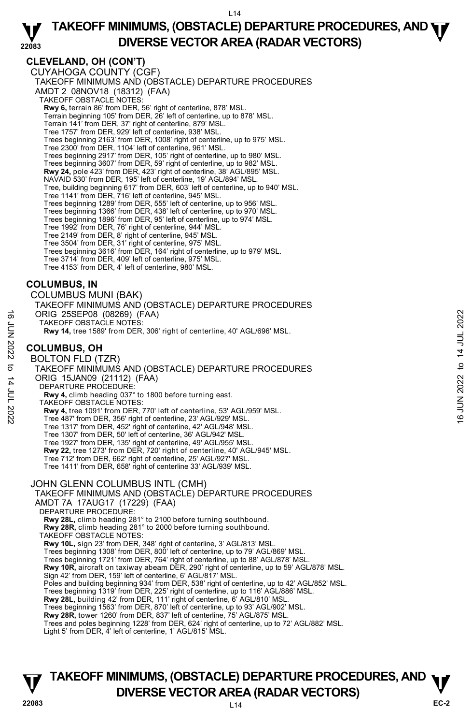## **CLEVELAND, OH (CON'T)**

CUYAHOGA COUNTY (CGF) TAKEOFF MINIMUMS AND (OBSTACLE) DEPARTURE PROCEDURES AMDT 2 08NOV18 (18312) (FAA) TAKEOFF OBSTACLE NOTES: **Rwy 6,** terrain 86' from DER, 56' right of centerline, 878' MSL. Terrain beginning 105' from DER, 26' left of centerline, up to 878' MSL. Terrain 141' from DER, 37' right of centerline, 879' MSL. Tree 1757' from DER, 929' left of centerline, 938' MSL. Trees beginning 2163' from DER, 1008' right of centerline, up to 975' MSL. Tree 2300' from DER, 1104' left of centerline, 961' MSL. Trees beginning 2917' from DER, 105' right of centerline, up to 980' MSL. Trees beginning 3607' from DER, 59' right of centerline, up to 982' MSL. **Rwy 24,** pole 423' from DER, 423' right of centerline, 38' AGL/895' MSL. NAVAID 530' from DER, 195' left of centerline, 19' AGL/894' MSL. Tree, building beginning 617' from DER, 603' left of centerline, up to 940' MSL. Tree 1141' from DER, 716' left of centerline, 945' MSL. Trees beginning 1289' from DER, 555' left of centerline, up to 956' MSL. Trees beginning 1366' from DER, 438' left of centerline, up to 970' MSL. Trees beginning 1896' from DER, 95' left of centerline, up to 974' MSL. Tree 1992' from DER, 76' right of centerline, 944' MSL. Tree 2149' from DER, 8' right of centerline, 945' MSL. Tree 3504' from DER, 31' right of centerline, 975' MSL. Trees beginning 3616' from DER, 164' right of centerline, up to 979' MSL. Tree 3714' from DER, 409' left of centerline, 975' MSL. Tree 4153' from DER, 4' left of centerline, 980' MSL.

## **COLUMBUS, IN**

COLUMBUS MUNI (BAK) TAKEOFF MINIMUMS AND (OBSTACLE) DEPARTURE PROCEDURES ORIG 25SEP08 (08269) (FAA) TAKEOFF OBSTACLE NOTES: **Rwy 14,** tree 1589' from DER, 306' right of centerline, 40' AGL/696' MSL.

## **COLUMBUS, OH**

BOLTON FLD (TZR) TAKEOFF MINIMUMS AND (OBSTACLE) DEPARTURE PROCEDURES ORIG 15JAN09 (21112) (FAA) DEPARTURE PROCEDURE **Rwy 4,** climb heading 037° to 1800 before turning east. TAKEOFF OBSTACLE NOTES: **Rwy 4,** tree 1091' from DER, 770' left of centerline, 53' AGL/959' MSL. Tree 487' from DER, 356' right of centerline, 23' AGL/929' MSL. G ORIG 25SEP08 (08269) (FAA)<br>
TAKEOFF OBSTACLE NOTES:<br>
FRANCE TO BOLTON FLD (TZR)<br>
BOLTON FLD (TZR)<br>
TAKEOFF MINIMUMS AND (OBSTACLE) DEPARTURE PROCEDURES<br>
COLUMBUS, OH<br>
BOLTON FLD (TZR)<br>
TAKEOFF MINIMUMS AND (OBSTACLE)

Tree 1317' from DER, 452' right of centerline, 42' AGL/948' MSL.

Tree 1307' from DER, 50' left of centerline, 36' AGL/942' MSL. Tree 1927' from DER, 135' right of centerline, 49' AGL/955' MSL.

**Rwy 22,** tree 1273' from DER, 720' right of centerline, 40' AGL/945' MSL.

Tree 712' from DER, 662' right of centerline, 25' AGL/927' MSL.

Tree 1411' from DER, 658' right of centerline 33' AGL/939' MSL.

#### JOHN GLENN COLUMBUS INTL (CMH)

TAKEOFF MINIMUMS AND (OBSTACLE) DEPARTURE PROCEDURES AMDT 7A 17AUG17 (17229) (FAA)

DEPARTURE PROCEDURE:

**Rwy 28L,** climb heading 281° to 2100 before turning southbound. **Rwy 28R,** climb heading 281° to 2000 before turning southbound.

TAKEOFF OBSTACLE NOTES:

**Rwy 10L,** sign 23' from DER, 348' right of centerline, 3' AGL/813' MSL.<br>Trees beginning 1308' from DER, 800' left of centerline, up to 79' AGL/869' MSL.

Trees beginning 1721' from DER, 764' right of centerline, up to 88' AGL/878' MSL.

**Rwy 10R,** aircraft on taxiway abeam DER, 290' right of centerline, up to 59' AGL/878' MSL. Sign 42' from DER, 159' left of centerline, 6' AGL/817' MSL.

Poles and building beginning 934' from DER, 538' right of centerline, up to 42' AGL/852' MSL.

Trees beginning 1319' from DER, 225' right of centerline, up to 116' AGL/886' MSL.

**Rwy 28L**, building 42' from DER, 111' right of centerline, 6' AGL/810' MSL. Trees beginning 1563' from DER, 870' left of centerline, up to 93' AGL/902' MSL.

**Rwy 28R,** tower 1260' from DER, 837' left of centerline, 75' AGL/875' MSL.

Trees and poles beginning 1228' from DER, 624' right of centerline, up to 72' AGL/882' MSL. Light 5' from DER, 4' left of centerline, 1' AGL/815' MSL.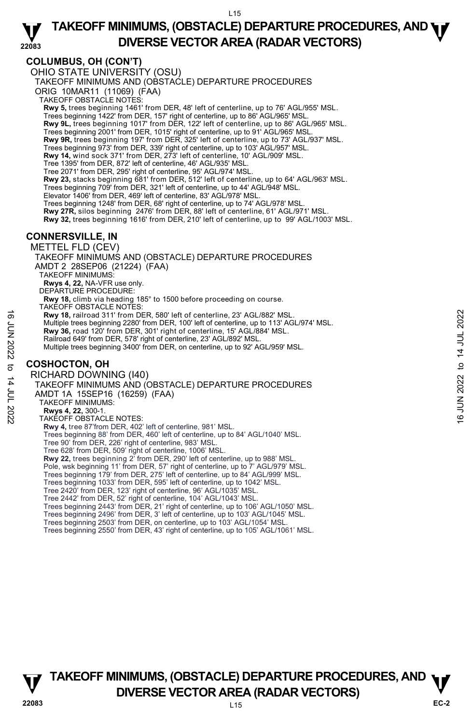## **COLUMBUS, OH (CON'T)**

OHIO STATE UNIVERSITY (OSU) TAKEOFF MINIMUMS AND (OBSTACLE) DEPARTURE PROCEDURES ORIG 10MAR11 (11069) (FAA) TAKEOFF OBSTACLE NOTES: **Rwy 5,** trees beginning 1461' from DER, 48' left of centerline, up to 76' AGL/955' MSL. Trees beginning 1422' from DER, 157' right of centerline, up to 86' AGL/965' MSL. **Rwy 9L,** trees beginning 1017' from DER, 122' left of centerline, up to 86' AGL/965' MSL. Trees beginning 2001' from DER, 1015' right of centerline, up to 91' AGL/965' MSL. **Rwy 9R,** trees beginning 197' from DER, 325' left of centerline, up to 73' AGL/937' MSL.<br>Trees beginning 973' from DER, 339' right of centerline, up to 103' AGL/957' MSL. **Rwy 14,** wind sock 371' from DER, 273' left of centerline, 10' AGL/909' MSL. Tree 1395' from DER, 872' left of centerline, 46' AGL/935' MSL. Tree 2071' from DER, 295' right of centerline, 95' AGL/974' MSL. **Rwy 23,** stacks beginning 681' from DER, 512' left of centerline, up to 64' AGL/963' MSL. Trees beginning 709' from DER, 321' left of centerline, up to 44' AGL/948' MSL. Elevator 1406' from DER, 469' left of centerline, 83' AGL/978' MSL. Trees beginning 1248' from DER, 68' right of centerline, up to 74' AGL/978' MSL. **Rwy 27R,** silos beginning 2476' from DER, 88' left of centerline, 61' AGL/971' MSL. **Rwy 32,** trees beginning 1616' from DER, 210' left of centerline, up to 99' AGL/1003' MSL. **CONNERSVILLE, IN**  METTEL FLD (CEV) TAKEOFF MINIMUMS AND (OBSTACLE) DEPARTURE PROCEDURES AMDT 2 28SEP06 (21224) (FAA) TAKEOFF MINIMUMS: **Rwys 4, 22,** NA-VFR use only. DEPARTURE PROCEDURE: **Rwy 18,** climb via heading 185° to 1500 before proceeding on course. TAKEOFF OBSTACLE NOTES: **Rwy 18,** railroad 311' from DER, 580' left of centerline, 23' AGL/882' MSL. Multiple trees beginning 2280' from DER, 100' left of centerline, up to 113' AGL/974' MSL. **Rwy 36,** road 120' from DER, 301' right of centerline, 15' AGL/884' MSL. Railroad 649' from DER, 578' right of centerline, 23' AGL/892' MSL. Multiple trees beginning 3400' from DER, on centerline, up to 92' AGL/959' MSL. **COSHOCTON, OH**  RICHARD DOWNING (I40) TAKEOFF MINIMUMS AND (OBSTACLE) DEPARTURE PROCEDURES AMDT 1A 15SEP16 (16259) (FAA) TAKEOFF MINIMUMS: **Rwys 4, 22,** 300-1. TAKEOFF OBSTACLE NOTES: **Rwy 4,** tree 87'from DER, 402' left of centerline, 981' MSL. Trees beginning 88' from DER, 460' left of centerline, up to 84' AGL/1040' MSL. Tree 90' from DER, 226' right of centerline, 983' MSL. Tree 628' from DER, 509' right of centerline, 1006' MSL. **Rwy 22,** trees beginning 2' from DER, 290' left of centerline, up to 988' MSL. Pole, wsk beginning 11' from DER, 57' right of centerline, up to 7' AGL/979' MSL. Trees beginning 179' from DER, 275' left of centerline, up to 84' AGL/999' MSL. Trees beginning 1033' from DER, 595' left of centerline, up to 1042' MSL. Tree 2420' from DER, 123' right of centerline, 96' AGL/1035' MSL. Tree 2442' from DER, 52' right of centerline, 104' AGL/1043' MSL. Trees beginning 2443' from DER, 21' right of centerline, up to 106' AGL/1050' MSL. Trees beginning 2496' from DER, 3' left of centerline, up to 103' AGL/1045' MSL. Trees beginning 2503' from DER, on centerline, up to 103' AGL/1054' MSL. Trees beginning 2550' from DER, 43' right of centerline, up to 105' AGL/1061' MSL. Note these beginning 2280' from DER, 580' left of centerline, 23' AGL/882' MSL.<br>
Multiple trees beginning 2280' from DER, 301' right of centerline, 15' AGL/884' MSL.<br>
Railroad 649' from DER, 578' right of centerline, 15'

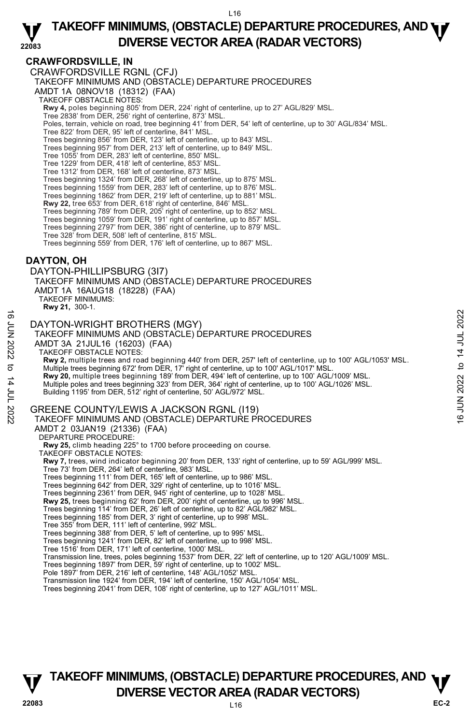## **CRAWFORDSVILLE, IN**

CRAWFORDSVILLE RGNL (CFJ) TAKEOFF MINIMUMS AND (OBSTACLE) DEPARTURE PROCEDURES AMDT 1A 08NOV18 (18312) (FAA) TAKEOFF OBSTACLE NOTES: **Rwy 4,** poles beginning 805' from DER, 224' right of centerline, up to 27' AGL/829' MSL.<br>Tree 2838' from DER, 256' right of centerline, 873' MSL. Poles, terrain, vehicle on road, tree beginning 41' from DER, 54' left of centerline, up to 30' AGL/834' MSL. Tree 822' from DER, 95' left of centerline, 841' MSL. Trees beginning 856' from DER, 123' left of centerline, up to 843' MSL. Trees beginning 957' from DER, 213' left of centerline, up to 849' MSL. Tree 1055' from DER, 283' left of centerline, 850' MSL. Tree 1229' from DER, 418' left of centerline, 853' MSL. Tree 1312' from DER, 168' left of centerline, 873' MSL. Trees beginning 1324' from DER, 268' left of centerline, up to 875' MSL.<br>Trees beginning 1559' from DER, 283' left of centerline, up to 876' MSL.<br>Trees beginning 1862' from DER, 219' left of centerline, up to 881' MSL. **Rwy 22,** tree 653' from DER, 618' right of centerline, 846' MSL. Trees beginning 789' from DER, 205' right of centerline, up to 852' MSL. Trees beginning 1059' from DER, 191' right of centerline, up to 857' MSL. Trees beginning 2797' from DER, 386' right of centerline, up to 879' MSL. Tree 328' from DER, 508' left of centerline, 815' MSL. Trees beginning 559' from DER, 176' left of centerline, up to 867' MSL.

## **DAYTON, OH**

DAYTON-PHILLIPSBURG (3I7)

TAKEOFF MINIMUMS AND (OBSTACLE) DEPARTURE PROCEDURES AMDT 1A 16AUG18 (18228) (FAA)

TAKEOFF MINIMUMS: **Rwy 21,** 300-1.

DAYTON-WRIGHT BROTHERS (MGY)

TAKEOFF MINIMUMS AND (OBSTACLE) DEPARTURE PROCEDURES AMDT 3A 21JUL16 (16203) (FAA) TAKEOFF OBSTACLE NOTES: **Rwy 2,** multiple trees and road beginning 440' from DER, 257' left of centerline, up to 100' AGL/1053' MSL. Multiple trees beginning 672' from DER, 17' right of centerline, up to 100' AGL/1017' MSL. **Rwy 20,** multiple trees beginning 189' from DER, 494' left of centerline, up to 100' AGL/1009' MSL.<br>Multiple poles and trees beginning 323' from DER, 364' right of centerline, up to 100' AGL/1026' MSL. Building 1195' from DER, 512' right of centerline, 50' AGL/972' MSL. GREENE COUNTY/LEWIS A JACKSON RGNL (I19) TAKEOFF MINIMUMS AND (OBSTACLE) DEPARTURE PROCEDURES AMDT 2 03JAN19 (21336) (FAA) DEPARTURE PROCEDURE: **Rwy 25,** climb heading 225° to 1700 before proceeding on course. TAKEOFF OBSTACLE NOTES: **Rwy 7,** trees, wind indicator beginning 20' from DER, 133' right of centerline, up to 59' AGL/999' MSL. Tree 73' from DER, 264' left of centerline, 983' MSL. Trees beginning 111' from DER, 165' left of centerline, up to 986' MSL. Trees beginning 642' from DER, 329' right of centerline, up to 1016' MSL. Trees beginning 2361' from DER, 945' right of centerline, up to 1028' MSL.<br>**Rwy 25,** trees beginning 62' from DER, 200' right of centerline, up to 996' MSL. Trees beginning 114' from DER, 26' left of centerline, up to 82' AGL/982' MSL. Trees beginning 185' from DER, 3' right of centerline, up to 998' MSL. Tree 355' from DER, 111' left of centerline, 992' MSL. Trees beginning 388' from DER, 5' left of centerline, up to 995' MSL. Trees beginning 1241' from DER, 82' left of centerline, up to 998' MSL. Tree 1516' from DER, 171' left of centerline, 1000' MSL.  $\n   
\n**CA**\n**DA**\n**YTON-WRIGHT BROTHERS (MGY)**\n  
\n 7AKEOFF MINIMUMS AND (OBSTACLE) DEPARTURE PROCEDURES\n  
\n AMDT 3A 21JUL16 (16203) (FAA)\n  
\n 7AKEOFF OBSTACLE NOTES:\n   
\n 7-KKEOFF OBSTACLE NOTES:\n   
\n 7-KUEOFF OBSTACLE NOTES:\n   
\n 7-KUEDF  
\n 8-KUZ, multiple trees beginning 672 from DER, 17 right of centerline, up to 100' AGL/1017' MSL.\n   
\n 8-K$ 

Transmission line, trees, poles beginning 1537' from DER, 22' left of centerline, up to 120' AGL/1009' MSL.

Trees beginning 1897' from DER, 59' right of centerline, up to 1002' MSL.

Pole 1897' from DER, 216' left of centerline, 148' AGL/1052' MSL.

Transmission line 1924' from DER, 194' left of centerline, 150' AGL/1054' MSL.

Trees beginning 2041' from DER, 108' right of centerline, up to 127' AGL/1011' MSL.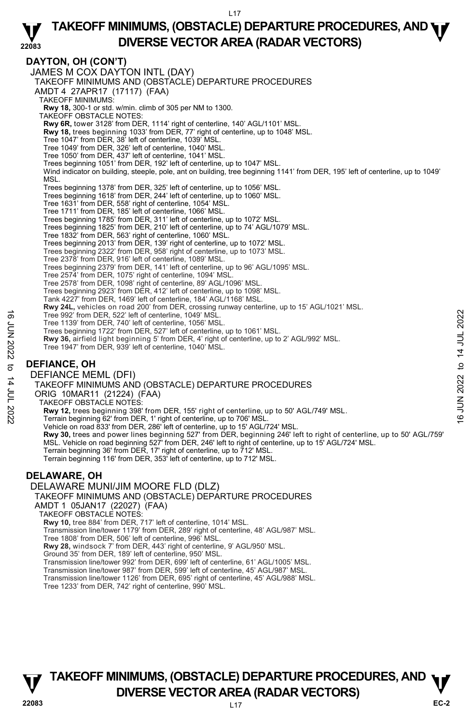**DAYTON, OH (CON'T)**  JAMES M COX DAYTON INTL (DAY) TAKEOFF MINIMUMS AND (OBSTACLE) DEPARTURE PROCEDURES AMDT 4 27APR17 (17117) (FAA) TAKEOFF MINIMUMS: **Rwy 18,** 300-1 or std. w/min. climb of 305 per NM to 1300. TAKEOFF OBSTACLE NOTES: **Rwy 6R,** tower 3128' from DER, 1114' right of centerline, 140' AGL/1101' MSL. **Rwy 18,** trees beginning 1033' from DER, 77' right of centerline, up to 1048' MSL. Tree 1047' from DER, 38' left of centerline, 1039' MSL. Tree 1049' from DER, 326' left of centerline, 1040' MSL. Tree 1050' from DER, 437' left of centerline, 1041' MSL. Trees beginning 1051' from DER, 192' left of centerline, up to 1047' MSL. Wind indicator on building, steeple, pole, ant on building, tree beginning 1141' from DER, 195' left of centerline, up to 1049' MSL. Trees beginning 1378' from DER, 325' left of centerline, up to 1056' MSL. Trees beginning 1618' from DER, 244' left of centerline, up to 1060' MSL. Tree 1631' from DER, 558' right of centerline, 1054' MSL. Tree 1711' from DER, 185' left of centerline, 1066' MSL. Trees beginning 1785' from DER, 311' left of centerline, up to 1072' MSL.<br>Trees beginning 1825' from DER, 210' left of centerline, up to 74' AGL/1079' MSL. Tree 1832' from DER, 563' right of centerline, 1060' MSL. Trees beginning 2013' from DER, 139' right of centerline, up to 1072' MSL. Trees beginning 2322' from DER, 958' right of centerline, up to 1073' MSL. Tree 2378' from DER, 916' left of centerline, 1089' MSL. Trees beginning 2379' from DER, 141' left of centerline, up to 96' AGL/1095' MSL. Tree 2574' from DER, 1075' right of centerline, 1094' MSL. Tree 2578' from DER, 1098' right of centerline, 89' AGL/1096' MSL. Trees beginning 2923' from DER, 412' left of centerline, up to 1098' MSL. Tank 4227' from DER, 1469' left of centerline, 184' AGL/1168' MSL. **Rwy 24L,** vehicles on road 200' from DER, crossing runway centerline, up to 15' AGL/1021' MSL. Tree 992' from DER, 522' left of centerline, 1049' MSL. Tree 1139' from DER, 740' left of centerline, 1056' MSL. Trees beginning 1722' from DER, 527' left of centerline, up to 1061' MSL. **Rwy 36,** airfield light beginning 5' from DER, 4' right of centerline, up to 2' AGL/992' MSL. Tree 1947' from DER, 939' left of centerline, 1040' MSL. **DEFIANCE, OH**  DEFIANCE MEML (DFI) TAKEOFF MINIMUMS AND (OBSTACLE) DEPARTURE PROCEDURES ORIG 10MAR11 (21224) (FAA) TAKEOFF OBSTACLE NOTES: Tree 992' from DER, 522' left of centerline, 1049' MSL.<br>
Tree 1439' from DER, 740' left of centerline, up to 1061' MSL.<br>
Tree beginning 1722' from DER, 827' left of centerline, up to 1061' MSL.<br> **Rwy 36,** airfield light be Vehicle on road 833' from DER, 286' left of centerline, up to 15' AGL/724' MSL. **Rwy 30,** trees and power lines beginning 527' from DER, beginning 246' left to right of centerline, up to 50' AGL/759'<br>MSL. Vehicle on road beginning 527' from DER, 246' left to right of centerline, up to 15' AGL/724' MSL Terrain beginning 36' from DER, 17' right of centerline, up to 712' MSL. Terrain beginning 116' from DER, 353' left of centerline, up to 712' MSL. **DELAWARE, OH**  DELAWARE MUNI/JIM MOORE FLD (DLZ) TAKEOFF MINIMUMS AND (OBSTACLE) DEPARTURE PROCEDURES AMDT 1 05JAN17 (22027) (FAA) TAKEOFF OBSTACLE NOTES: **Rwy 10,** tree 884' from DER, 717' left of centerline, 1014' MSL. Transmission line/tower 1179' from DER, 289' right of centerline, 48' AGL/987' MSL. Tree 1808' from DER, 506' left of centerline, 996' MSL. **Rwy 28,** windsock 7' from DER, 443' right of centerline, 9' AGL/950' MSL. Ground 35' from DER, 189' left of centerline, 950' MSL. Transmission line/tower 992' from DER, 699' left of centerline, 61' AGL/1005' MSL. Transmission line/tower 987' from DER, 599' left of centerline, 45' AGL/987' MSL. Transmission line/tower 1126' from DER, 695' right of centerline, 45' AGL/988' MSL. Tree 1233' from DER, 742' right of centerline, 990' MSL.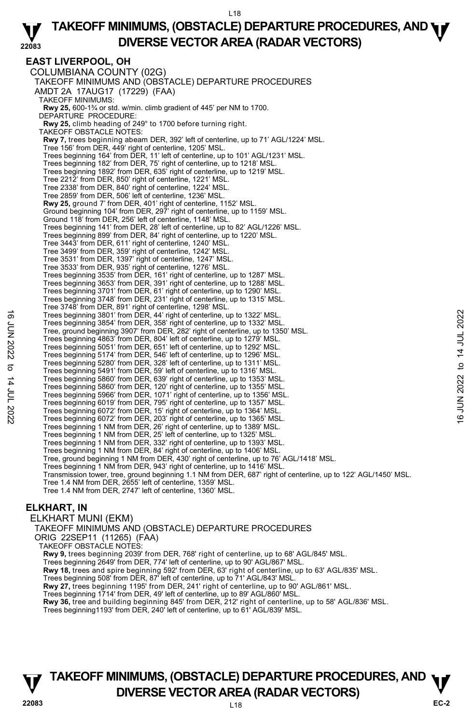**EAST LIVERPOOL, OH**  COLUMBIANA COUNTY (02G) TAKEOFF MINIMUMS AND (OBSTACLE) DEPARTURE PROCEDURES AMDT 2A 17AUG17 (17229) (FAA) TAKEOFF MINIMUMS: **Rwy 25,** 600-1¾ or std. w/min. climb gradient of 445' per NM to 1700. DEPARTURE PROCEDURE: **Rwy 25,** climb heading of 249° to 1700 before turning right. TAKEOFF OBSTACLE NOTES: **Rwy 7,** trees beginning abeam DER, 392' left of centerline, up to 71' AGL/1224' MSL.<br>Tree 156' from DER, 449' right of centerline, 1205' MSL. Trees beginning 164' from DER, 11' left of centerline, up to 101' AGL/1231' MSL. Trees beginning 182' from DER, 75' right of centerline, up to 1218' MSL. Trees beginning 1892' from DER, 635' right of centerline, up to 1219' MSL. Tree 2212' from DER, 850' right of centerline, 1221' MSL. Tree 2338' from DER, 840' right of centerline, 1224' MSL. Tree 2859' from DER, 506' left of centerline, 1236' MSL. **Rwy 25,** ground 7' from DER, 401' right of centerline, 1152' MSL. Ground beginning 104' from DER, 297' right of centerline, up to 1159' MSL. Ground 118' from DER, 256' left of centerline, 1148' MSL. Trees beginning 141' from DER, 28' left of centerline, up to 82' AGL/1226' MSL. Trees beginning 899' from DER, 84' right of centerline, up to 1220' MSL. Tree 3443' from DER, 611' right of centerline, 1240' MSL. Tree 3499' from DER, 359' right of centerline, 1242' MSL. Tree 3531' from DER, 1397' right of centerline, 1247' MSL. Tree 3533' from DER, 935' right of centerline, 1276' MSL. Trees beginning 3535' from DER, 161' right of centerline, up to 1287' MSL. Trees beginning 3653' from DER, 391' right of centerline, up to 1288' MSL. Trees beginning 3701' from DER, 61' right of centerline, up to 1290' MSL. Trees beginning 3748' from DER, 231' right of centerline, up to 1315' MSL. Tree 3748' from DER, 891' right of centerline, 1298' MSL. Trees beginning 3801' from DER, 44' right of centerline, up to 1322' MSL. Trees beginning 3854' from DER, 358' right of centerline, up to 1332' MSL. Tree, ground beginning 3907' from DER, 282' right of centerline, up to 1350' MSL. Trees beginning 4863' from DER, 804' left of centerline, up to 1279' MSL. Trees beginning 5051' from DER, 651' left of centerline, up to 1292' MSL. Trees beginning 5174' from DER, 546' left of centerline, up to 1296' MSL. Trees beginning 5280' from DER, 328' left of centerline, up to 1311' MSL. Trees beginning 5491' from DER, 59' left of centerline, up to 1316' MSL. Trees beginning 5860' from DER, 639' right of centerline, up to 1353' MSL. Trees beginning 5860' from DER, 120' right of centerline, up to 1355' MSL. Trees beginning 5966' from DER, 1071' right of centerline, up to 1356' MSL. Trees beginning 6019' from DER, 795' right of centerline, up to 1357' MSL. Trees beginning 6072' from DER, 15' right of centerline, up to 1364' MSL. Trees beginning 6072' from DER, 203' right of centerline, up to 1365' MSL. Trees beginning 1 NM from DER, 26' right of centerline, up to 1389' MSL. Trees beginning 1 NM from DER, 25' left of centerline, up to 1325' MSL. Trees beginning 1 NM from DER, 332' right of centerline, up to 1393' MSL. Trees beginning 1 NM from DER, 84' right of centerline, up to 1406' MSL. Tree, ground beginning 1 NM from DER, 430' right of centerline, up to 76' AGL/1418' MSL. Trees beginning 1 NM from DER, 943' right of centerline, up to 1416' MSL. Transmission tower, tree, ground beginning 1.1 NM from DER, 687' right of centerline, up to 122' AGL/1450' MSL. Tree 1.4 NM from DER, 2655' left of centerline, 1359' MSL. Tree 1.4 NM from DER, 2747' left of centerline, 1360' MSL. Trees beginning 3801' from DER, 44' right of centerline, up to 1322' MSL.<br>
Tree, ground beginning 3907' from DER, 282' right of centerline, up to 1332' MSL.<br>
Tree, ground beginning 3907' from DER, 652' ight of centerline,

#### **ELKHART, IN**

ELKHART MUNI (EKM) TAKEOFF MINIMUMS AND (OBSTACLE) DEPARTURE PROCEDURES ORIG 22SEP11 (11265) (FAA) TAKEOFF OBSTACLE NOTES: **Rwy 9,** trees beginning 2039' from DER, 768' right of centerline, up to 68' AGL/845' MSL. Trees beginning 2649' from DER, 774' left of centerline, up to 90' AGL/867' MSL. **Rwy 18,** trees and spire beginning 592' from DER, 63' right of centerline, up to 63' AGL/835' MSL.<br>Trees beginning 508' from DER, 87' left of centerline, up to 71' AGL/843' MSL. **Rwy 27,** trees beginning 1195' from DER, 241' right of centerline, up to 90' AGL/861' MSL. Trees beginning 1714' from DER, 49' left of centerline, up to 89' AGL/860' MSL.<br>**Rwy 36,** tree and building beginning 845' from DER, 212' right of centerline, up to 58' AGL/836' MSL. Trees beginning1193' from DER, 240' left of centerline, up to 61' AGL/839' MSL.

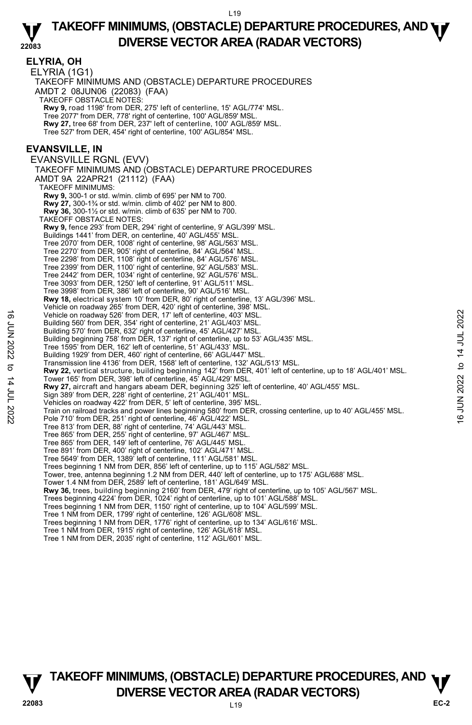|                   | <b>ELYRIA, OH</b><br>ELYRIA (1G1)<br>TAKEOFF MINIMUMS AND (OBSTACLE) DEPARTURE PROCEDURES<br>AMDT 2 08JUN06 (22083) (FAA)<br>TAKEOFF OBSTACLE NOTES:<br>Rwy 9, road 1198' from DER, 275' left of centerline, 15' AGL/774' MSL.<br>Tree 2077' from DER, 778' right of centerline, 100' AGL/859' MSL.<br>Rwy 27, tree 68' from DER, 237' left of centerline, 100' AGL/859' MSL.<br>Tree 527' from DER, 454' right of centerline, 100' AGL/854' MSL.<br><b>EVANSVILLE, IN</b><br>EVANSVILLE RGNL (EVV) |                |
|-------------------|-----------------------------------------------------------------------------------------------------------------------------------------------------------------------------------------------------------------------------------------------------------------------------------------------------------------------------------------------------------------------------------------------------------------------------------------------------------------------------------------------------|----------------|
|                   | TAKEOFF MINIMUMS AND (OBSTACLE) DEPARTURE PROCEDURES                                                                                                                                                                                                                                                                                                                                                                                                                                                |                |
|                   | AMDT 9A 22APR21 (21112) (FAA)                                                                                                                                                                                                                                                                                                                                                                                                                                                                       |                |
|                   | <b>TAKEOFF MINIMUMS:</b><br><b>Rwy 9, 300-1 or std. w/min. climb of 695' per NM to 700.</b>                                                                                                                                                                                                                                                                                                                                                                                                         |                |
|                   | <b>Rwy 27, 300-1</b> <sup>3</sup> / <sub>4</sub> or std. w/min. climb of 402' per NM to 800.                                                                                                                                                                                                                                                                                                                                                                                                        |                |
|                   | <b>Rwy 36, 300-1</b> % or std. w/min. climb of 635' per NM to 700.<br>TAKEOFF OBSTACLE NOTES:                                                                                                                                                                                                                                                                                                                                                                                                       |                |
|                   | Rwy 9, fence 293' from DER, 294' right of centerline, 9' AGL/399' MSL.<br>Buildings 1441' from DER, on centerline, 40' AGL/455' MSL.                                                                                                                                                                                                                                                                                                                                                                |                |
|                   | Tree 2070' from DER, 1008' right of centerline, 98' AGL/563' MSL.                                                                                                                                                                                                                                                                                                                                                                                                                                   |                |
|                   | Tree 2270' from DER, 905' right of centerline, 84' AGL/564' MSL.<br>Tree 2298' from DER, 1108' right of centerline, 84' AGL/576' MSL.                                                                                                                                                                                                                                                                                                                                                               |                |
|                   | Tree 2399' from DER, 1100' right of centerline, 92' AGL/583' MSL.                                                                                                                                                                                                                                                                                                                                                                                                                                   |                |
|                   | Tree 2442' from DER, 1034' right of centerline, 92' AGL/576' MSL.                                                                                                                                                                                                                                                                                                                                                                                                                                   |                |
|                   | Tree 3093' from DER, 1250' left of centerline, 91' AGL/511' MSL.<br>Tree 3998' from DER, 386' left of centerline, 90' AGL/516' MSL.                                                                                                                                                                                                                                                                                                                                                                 |                |
|                   | Rwy 18, electrical system 10' from DER, 80' right of centerline, 13' AGL/396' MSL.                                                                                                                                                                                                                                                                                                                                                                                                                  |                |
|                   | Vehicle on roadway 265' from DER, 420' right of centerline, 398' MSL.<br>Vehicle on roadway 526' from DER, 17' left of centerline, 403' MSL.                                                                                                                                                                                                                                                                                                                                                        |                |
|                   | Building 560' from DER, 354' right of centerline, 21' AGL/403' MSL.                                                                                                                                                                                                                                                                                                                                                                                                                                 |                |
|                   | Building 570' from DER, 632' right of centerline, 45' AGL/427' MSL.<br>Building beginning 758' from DER, 137' right of centerline, up to 53' AGL/435' MSL.                                                                                                                                                                                                                                                                                                                                          |                |
| <b>6 JUN 2022</b> | Tree 1595' from DER, 162' left of centerline, 51' AGL/433' MSL.                                                                                                                                                                                                                                                                                                                                                                                                                                     | 14 JUL 2022    |
|                   | Building 1929' from DER, 460' right of centerline, 66' AGL/447' MSL.<br>Transmission line 4136' from DER, 1568' left of centerline, 132' AGL/513' MSL.                                                                                                                                                                                                                                                                                                                                              |                |
| đ                 | Rwy 22, vertical structure, building beginning 142' from DER, 401' left of centerline, up to 18' AGL/401' MSL.                                                                                                                                                                                                                                                                                                                                                                                      | $\mathbf{c}$   |
| 14 JUL 2022       | Tower 165' from DER, 398' left of centerline, 45' AGL/429' MSL.<br>Rwy 27, aircraft and hangars abeam DER, beginning 325' left of centerline, 40' AGL/455' MSL.                                                                                                                                                                                                                                                                                                                                     | 2022           |
|                   | Sign 389' from DER, 228' right of centerline, 21' AGL/401' MSL.                                                                                                                                                                                                                                                                                                                                                                                                                                     |                |
|                   | Vehicles on roadway 422' from DER, 5' left of centerline, 395' MSL.                                                                                                                                                                                                                                                                                                                                                                                                                                 | ЦЦ             |
|                   | Train on railroad tracks and power lines beginning 580' from DER, crossing centerline, up to 40' AGL/455' MSL.<br>Pole 710' from DER, 251' right of centerline, 46' AGL/422' MSL.                                                                                                                                                                                                                                                                                                                   | $\overline{6}$ |
|                   | Tree 813' from DER, 88' right of centerline, 74' AGL/443' MSL.                                                                                                                                                                                                                                                                                                                                                                                                                                      |                |
|                   | Tree 865' from DER, 255' right of centerline, 97' AGL/467' MSL.<br>Tree 865' from DER, 149' left of centerline, 76' AGL/445' MSL.                                                                                                                                                                                                                                                                                                                                                                   |                |
|                   | Tree 891' from DER, 400' right of centerline, 102' AGL/471' MSL.                                                                                                                                                                                                                                                                                                                                                                                                                                    |                |
|                   | Tree 5649' from DER, 1389' left of centerline, 111' AGL/581' MSL.<br>Trees beginning 1 NM from DER, 856' left of centerline, up to 115' AGL/582' MSL.                                                                                                                                                                                                                                                                                                                                               |                |
|                   | Tower, tree, antenna beginning 1.2 NM from DER, 440' left of centerline, up to 175' AGL/688' MSL.                                                                                                                                                                                                                                                                                                                                                                                                   |                |
|                   | Tower 1.4 NM from DER, 2589' left of centerline, 181' AGL/649' MSL.<br>Rwy 36, trees, building beginning 2160' from DER, 479' right of centerline, up to 105' AGL/567' MSL.                                                                                                                                                                                                                                                                                                                         |                |
|                   | Trees beginning 4224' from DER, 1024' right of centerline, up to 101' AGL/588' MSL.                                                                                                                                                                                                                                                                                                                                                                                                                 |                |
|                   | Trees beginning 1 NM from DER, 1150' right of centerline, up to 104' AGL/599' MSL.<br>Tree 1 NM from DER, 1799' right of centerline, 126' AGL/608' MSL.                                                                                                                                                                                                                                                                                                                                             |                |
|                   | Trees beginning 1 NM from DER, 1776' right of centerline, up to 134' AGL/616' MSL.                                                                                                                                                                                                                                                                                                                                                                                                                  |                |
|                   | Tree 1 NM from DER, 1915' right of centerline, 126' AGL/618' MSL.<br>Tree 1 NM from DER, 2035' right of centerline, 112' AGL/601' MSL.                                                                                                                                                                                                                                                                                                                                                              |                |
|                   |                                                                                                                                                                                                                                                                                                                                                                                                                                                                                                     |                |
|                   |                                                                                                                                                                                                                                                                                                                                                                                                                                                                                                     |                |

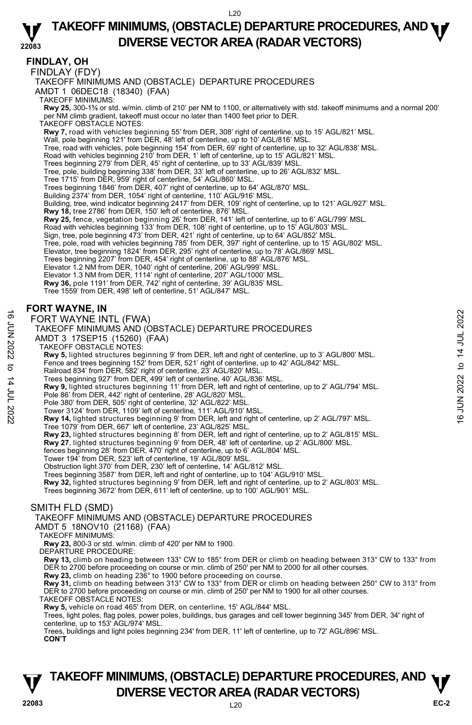## **FINDLAY, OH**

FINDLAY (FDY)

TAKEOFF MINIMUMS AND (OBSTACLE) DEPARTURE PROCEDURES

AMDT 1 06DEC18 (18340) (FAA)

TAKEOFF MINIMUMS:

**Rwy 25,** 300-1⅝ or std. w/min. climb of 210' per NM to 1100, or alternatively with std. takeoff minimums and a normal 200' per NM climb gradient, takeoff must occur no later than 1400 feet prior to DER.

TAKEOFF OBSTACLE NOTES:

**Rwy 7,** road with vehicles beginning 55' from DER, 308' right of centerline, up to 15' AGL/821' MSL.

- 
- Wall, pole beginning 121' from DER, 48' left of centerline, up to 10' AGL/816' MSL.<br>Tree, road with vehicles, pole beginning 154' from DER, 69' right of centerline, up to 32' AGL/838' MSL.
- Road with vehicles beginning 210' from DER, 1' left of centerline, up to 15' AGL/821' MSL.
- Trees beginning 279' from DER, 45' right of centerline, up to 33' AGL/839' MSL.
- Tree, pole, building beginning 338' from DER, 33' left of centerline, up to 26' AGL/832' MSL.
- Tree 1715' from DER, 959' right of centerline, 54' AGL/860' MSL.
- Trees beginning 1846' from DER, 407' right of centerline, up to 64' AGL/870' MSL.
- Building 2374' from DER, 1054' right of centerline, 110' AGL/916' MSL.
- Building, tree, wind indicator beginning 2417' from DER, 109' right of centerline, up to 121' AGL/927' MSL.
- **Rwy 18,** tree 2786' from DER, 150' left of centerline, 876' MSL.
- 
- **Rwy 25,** fence, vegetation beginning 26' from DER, 141' left of centerline, up to 6' AGL/799' MSL.<br>Road with vehicles beginning 133' from DER, 108' right of centerline, up to 15' AGL/803' MSL.<br>Sign, tree, pole beginning 4
- 
- 
- Tree, pole, road with vehicles beginning 785' from DER, 397' right of centerline, up to 15' AGL/802' MSL.<br>Elevator, tree beginning 1824' from DER, 295' right of centerline, up to 78' AGL/869' MSL.
- Trees beginning 2207' from DER, 454' right of centerline, up to 88' AGL/876' MSL.
- Elevator 1.2 NM from DER, 1040' right of centerline, 206' AGL/999' MSL.
- 
- Elevator 1.3 NM from DER, 1114' right of centerline, 207' AGL/1000' MSL. **Rwy 36,** pole 1191' from DER, 742' right of centerline, 39' AGL/835' MSL.
- Tree 1559' from DER, 498' left of centerline, 51' AGL/847' MSL.

#### **FORT WAYNE, IN**

#### FORT WAYNE INTL (FWA)

#### TAKEOFF MINIMUMS AND (OBSTACLE) DEPARTURE PROCEDURES

- AMDT 3 17SEP15 (15260) (FAA)
- TAKEOFF OBSTACLE NOTES:
- 
- **Rwy 5,** lighted structures beginning 9' from DER, left and right of centerline, up to 3' AGL/800' MSL.<br>Fence and trees beginning 152' from DER, 521' right of centerline, up to 42' AGL/842' MSL.
- Railroad 834' from DER, 582' right of centerline, 23' AGL/820' MSL.
- Trees beginning 927' from DER, 499' left of centerline, 40' AGL/836' MSL.
- **Rwy 9,** lighted structures beginning 11' from DER, left and right of centerline, up to 2' AGL/794' MSL. FORT WAYNE INTL (FWA)<br>
FORT WAYNE INTL (FWA)<br>
TAKEOFF MINIMUMS AND (OBSTACLE) DEPARTURE PROCEDURES<br>
AMDT 3 175SEP15 (15260) (FAA)<br>
NO TAKEOFF OBSTACLE NOTES:<br>
TAKEOFF OBSTACLE NOTES:<br>
TAKEOFF OBSTACLE NOTES:<br>
TAKEOFF OBS
	- Pole 86' from DER, 442' right of centerline, 28' AGL/820' MSL.
	- Pole 380' from DER, 505' right of centerline, 32' AGL/822' MSL.
	-
	- - Tree 1079' from DER, 667' left of centerline, 23' AGL/825' MSL.
	-
	- **Rwy 23,** lighted structures beginning 8' from DER, left and right of centerline, up to 2' AGL/815' MSL.<br>**Rwy 27**, lighted structures beginning 9' from DER, 48' left of centerline, up 2' AGL/800' MSL.
	- fences beginning 28' from DER, 470' right of centerline, up to 6' AGL/804' MSL.
	-
	- Tower 194' from DER, 523' left of centerline, 19' AGL/809' MSL. Obstruction light 370' from DER, 230' left of centerline, 14' AGL/812' MSL.
	- Trees beginning 3587' from DER, left and right of centerline, up to 104' AGL/910' MSL.
	- **Rwy 32,** lighted structures beginning 9' from DER, left and right of centerline, up to 2' AGL/803' MSL.

Trees beginning 3672' from DER, 611' left of centerline, up to 100' AGL/901' MSL.

#### SMITH FLD (SMD)

TAKEOFF MINIMUMS AND (OBSTACLE) DEPARTURE PROCEDURES

- AMDT 5 18NOV10 (21168) (FAA)
- TAKEOFF MINIMUMS:
- **Rwy 23,** 800-3 or std. w/min. climb of 420' per NM to 1900. DEPARTURE PROCEDURE:
- 
- **Rwy 13,** climb on heading between 133° CW to 185° from DER or climb on heading between 313° CW to 133° from DER to 2700 before proceeding on course or min. climb of 250' per NM to 2000 for all other courses.
- **Rwy 23,** climb on heading 236° to 1900 before proceeding on course.
- **Rwy 31,** climb on heading between 313° CW to 133° from DER or climb on heading between 250° CW to 313° from DER to 2700 before proceeding on course or min. climb of 250' per NM to 1900 for all other courses.
- TAKEOFF OBSTACLE NOTES:
- **Rwy 5,** vehicle on road 465' from DER, on centerline, 15' AGL/844' MSL.

Trees, light poles, flag poles, power poles, buildings, bus garages and cell tower beginning 345' from DER, 34' right of centerline, up to 153' AGL/974' MSL.

Trees, buildings and light poles beginning 234' from DER, 11' left of centerline, up to 72' AGL/896' MSL. **CON'T**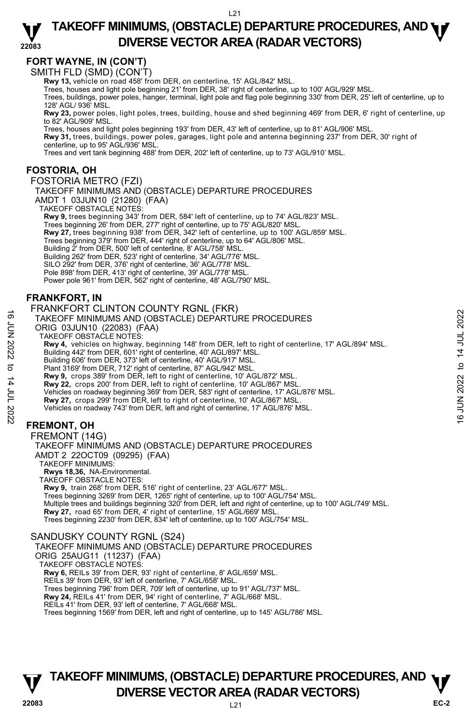## **FORT WAYNE, IN (CON'T)**

SMITH FLD (SMD) (CON'T)

**Rwy 13,** vehicle on road 458' from DER, on centerline, 15' AGL/842' MSL.

Trees, houses and light pole beginning 21' from DER, 38' right of centerline, up to 100' AGL/929' MSL.

Trees, buildings, power poles, hanger, terminal, light pole and flag pole beginning 330' from DER, 25' left of centerline, up to 128' AGL/ 936' MSL.

**Rwy 23,** power poles, light poles, trees, building, house and shed beginning 469' from DER, 6' right of centerline, up to 82' AGL/909' MSL.

Trees, houses and light poles beginning 193' from DER, 43' left of centerline, up to 81' AGL/906' MSL.

**Rwy 31,** trees, buildings, power poles, garages, light pole and antenna beginning 237' from DER, 30' right of<br>centerline, up to 95' AGL/936' MSL.

Trees and vert tank beginning 488' from DER, 202' left of centerline, up to 73' AGL/910' MSL.

#### **FOSTORIA, OH**

#### FOSTORIA METRO (FZI)

TAKEOFF MINIMUMS AND (OBSTACLE) DEPARTURE PROCEDURES

AMDT 1 03JUN10 (21280) (FAA)

TAKEOFF OBSTACLE NOTES:

**Rwy 9,** trees beginning 343' from DER, 584' left of centerline, up to 74' AGL/823' MSL.<br>Trees beginning 26' from DER, 277' right of centerline, up to 75' AGL/820' MSL. **Rwy 27,** trees beginning 938' from DER, 342' left of centerline, up to 100' AGL/859' MSL. Trees beginning 379' from DER, 444' right of centerline, up to 64' AGL/806' MSL. Building 2' from DER, 500' left of centerline, 8' AGL/758' MSL. Building 262' from DER, 523' right of centerline, 34' AGL/776' MSL. SILO 292' from DER, 376' right of centerline, 36' AGL/778' MSL. Pole 898' from DER, 413' right of centerline, 39' AGL/778' MSL. Power pole 961' from DER, 562' right of centerline, 48' AGL/790' MSL.

## **FRANKFORT, IN**

#### FRANKFORT CLINTON COUNTY RGNL (FKR)

TAKEOFF MINIMUMS AND (OBSTACLE) DEPARTURE PROCEDURES

ORIG 03JUN10 (22083) (FAA)

TAKEOFF OBSTACLE NOTES:

**Rwy 4,** vehicles on highway, beginning 148' from DER, left to right of centerline, 17' AGL/894' MSL. 16<br>
TAKEOFF MINIMUMS AND (OBSTACLE) DEPARTURE PROCEDURES<br>
CRIG 03JUN10 (22083) (FAA)<br>
TAKEOFF OBSTACLE) DEPARTURE PROCEDURES<br>
TAKEOFF OBSTACLE (NOTES:<br>
Rwy 4, vehicles on highway, beginning 148' from DER, left to right of

Building 442' from DER, 601' right of centerline, 40' AGL/897' MSL. Building 606' from DER, 373' left of centerline, 40' AGL/917' MSL.

Plant 3169' from DER, 712' right of centerline, 87' AGL/942' MSL.

**Rwy 9,** crops 389' from DER, left to right of centerline, 10' AGL/872' MSL.

**Rwy 22,** crops 200' from DER, left to right of centerline, 10' AGL/867' MSL.

- Vehicles on roadway beginning 369' from DER, 583' right of centerline, 17' AGL/876' MSL.
- **Rwy 27,** crops 299' from DER, left to right of centerline, 10' AGL/867' MSL.
- Vehicles on roadway 743' from DER, left and right of centerline, 17' AGL/876' MSL.

#### **FREMONT, OH**

FREMONT (14G) TAKEOFF MINIMUMS AND (OBSTACLE) DEPARTURE PROCEDURES AMDT 2 22OCT09 (09295) (FAA) TAKEOFF MINIMUMS: **Rwys 18,36,** NA-Environmental. TAKEOFF OBSTACLE NOTES: **Rwy 9,** train 268' from DER, 516' right of centerline, 23' AGL/677' MSL. Trees beginning 3269' from DER, 1265' right of centerline, up to 100' AGL/754' MSL.

Multiple trees and buildings beginning 320' from DER, left and right of centerline, up to 100' AGL/749' MSL. **Rwy 27,** road 65' from DER, 4' right of centerline, 15' AGL/669' MSL. Trees beginning 2230' from DER, 834' left of centerline, up to 100' AGL/754' MSL.

#### SANDUSKY COUNTY RGNL (S24)

TAKEOFF MINIMUMS AND (OBSTACLE) DEPARTURE PROCEDURES

ORIG 25AUG11 (11237) (FAA)

TAKEOFF OBSTACLE NOTES:

**Rwy 6,** REILs 39' from DER, 93' right of centerline, 8' AGL/659' MSL.

REILs 39' from DER, 93' left of centerline, 7' AGL/658' MSL.

Trees beginning 796' from DER, 709' left of centerline, up to 91' AGL/737' MSL.

**Rwy 24,** REILs 41' from DER, 94' right of centerline, 7' AGL/668' MSL. REILs 41' from DER, 93' left of centerline, 7' AGL/668' MSL.

Trees beginning 1569' from DER, left and right of centerline, up to 145' AGL/786' MSL.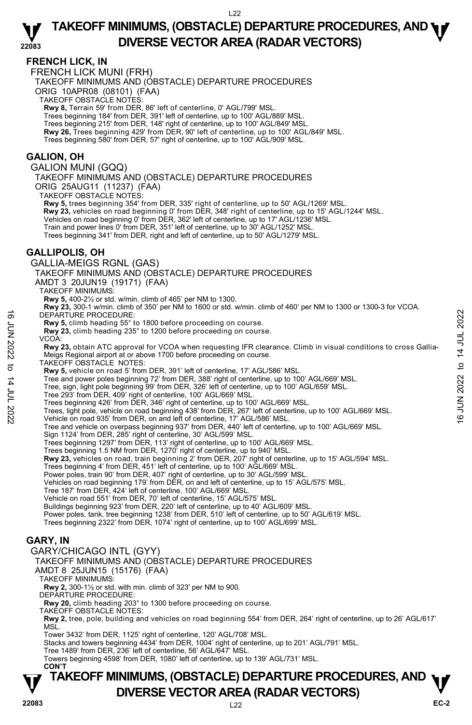## **FRENCH LICK, IN**

FRENCH LICK MUNI (FRH)

TAKEOFF MINIMUMS AND (OBSTACLE) DEPARTURE PROCEDURES

ORIG 10APR08 (08101) (FAA)

TAKEOFF OBSTACLE NOTES:

**Rwy 8,** Terrain 59' from DER, 86' left of centerline, 0' AGL/799' MSL.

Trees beginning 184' from DER, 391' left of centerline, up to 100' AGL/889' MSL.

Trees beginning 215' from DER, 148' right of centerline, up to 100' AGL/849' MSL.

**Rwy 26,** Trees beginning 429' from DER, 90' left of centerline, up to 100' AGL/849' MSL.

Trees beginning 580' from DER, 57' right of centerline, up to 100' AGL/909' MSL.

#### **GALION, OH**

GALION MUNI (GQQ)

TAKEOFF MINIMUMS AND (OBSTACLE) DEPARTURE PROCEDURES ORIG 25AUG11 (11237) (FAA)

TAKEOFF OBSTACLE NOTES:

**Rwy 5,** trees beginning 354' from DER, 335' right of centerline, up to 50' AGL/1269' MSL. **Rwy 23,** vehicles on road beginning 0' from DER, 348' right of centerline, up to 15' AGL/1244' MSL. Vehicles on road beginning 0' from DER, 362' left of centerline, up to 17' AGL/1236' MSL. Train and power lines 0' from DER, 351' left of centerline, up to 30' AGL/1252' MSL. Trees beginning 341' from DER, right and left of centerline, up to 50' AGL/1279' MSL.

#### **GALLIPOLIS, OH**

GALLIA-MEIGS RGNL (GAS) TAKEOFF MINIMUMS AND (OBSTACLE) DEPARTURE PROCEDURES AMDT 3 20JUN19 (19171) (FAA) TAKEOFF MINIMUMS: **Rwy 5,** 400-2½ or std. w/min. climb of 465' per NM to 1300. **Rwy 23,** 300-1 w/min. climb of 350' per NM to 1600 or std. w/min. climb of 460' per NM to 1300 or 1300-3 for VCOA. DEPARTURE PROCEDURE: **Rwy 5,** climb heading 55° to 1800 before proceeding on course. **Rwy 23,** climb heading 235° to 1200 before proceeding on course. VCOA: **Rwy 23,** obtain ATC approval for VCOA when requesting IFR clearance. Climb in visual conditions to cross Gallia-Meigs Regional airport at or above 1700 before proceeding on course. TAKEOFF OBSTACLE NOTES: **Rwy 5,** vehicle on road 5' from DER, 391' left of centerline, 17' AGL/586' MSL. Tree and power poles beginning 72' from DER, 388' right of centerline, up to 100' AGL/669' MSL. Tree, sign, light pole beginning 99' from DER, 326' left of centerline, up to 100' AGL/659' MSL. Tree 293' from DER, 409' right of centerline, 100' AGL/669' MSL. Trees beginning 426' from DER, 346' right of centerline, up to 100' AGL/669' MSL. DEPARTURE PROCEDURE:<br> **EVALUATION** beading 5<sup>5</sup> to 1800 before proceeding on course.<br> **EVALUATION** beading 5<sup>23</sup> to 1200 before proceeding on course.<br> **EVALUATION**<br> **EVALUATION**<br> **EVALUATION**<br> **EVALUATION**<br> **EVALUATION**<br> Tree and vehicle on overpass beginning 937' from DER, 440' left of centerline, up to 100' AGL/669' MSL. Sign 1124' from DER, 285' right of centerline, 30' AGL/599' MSL. Trees beginning 1297' from DER, 113' right of centerline, up to 100' AGL/669' MSL. Trees beginning 1.5 NM from DER, 1270' right of centerline, up to 940' MSL. **Rwy 23,** vehicles on road, train beginning 2' from DER, 207' right of centerline, up to 15' AGL/594' MSL. Trees beginning 4' from DER, 451' left of centerline, up to 100' AGL/669' MSL. Power poles, train 90' from DER, 407' right of centerline, up to 30' AGL/599' MSL. Vehicles on road beginning 179' from DER, on and left of centerline, up to 15' AGL/575' MSL. Tree 187' from DER, 424' left of centerline, 100' AGL/669' MSL. Vehicle on road 551' from DER, 70' left of centerline, 15' AGL/575' MSL. Buildings beginning 923' from DER, 220' left of centerline, up to 40' AGL/609' MSL. Power poles, tank, tree beginning 1238' from DER, 510' left of centerline, up to 50' AGL/619' MSL.<br>Trees beginning 2322' from DER, 1074' right of centerline, up to 100' AGL/699' MSL.

## **GARY, IN**

#### GARY/CHICAGO INTL (GYY) TAKEOFF MINIMUMS AND (OBSTACLE) DEPARTURE PROCEDURES

AMDT 8 25JUN15 (15176) (FAA)

TAKEOFF MINIMUMS:

**Rwy 2,** 300-1½ or std. with min. climb of 323' per NM to 900.

DEPARTURE PROCEDURE:

**Rwy 20,** climb heading 203° to 1300 before proceeding on course.

TAKEOFF OBSTACLE NOTES:

**Rwy 2,** tree, pole, building and vehicles on road beginning 554' from DER, 264' right of centerline, up to 26' AGL/617' MSL.

Tower 3432' from DER, 1125' right of centerline, 120' AGL/708' MSL.

Stacks and towers beginning 4434' from DER, 1004' right of centerline, up to 201' AGL/791' MSL.

Tree 1489' from DER, 236' left of centerline, 56' AGL/647' MSL.

Towers beginning 4598' from DER, 1080' left of centerline, up to 139' AGL/731' MSL. **CON'T**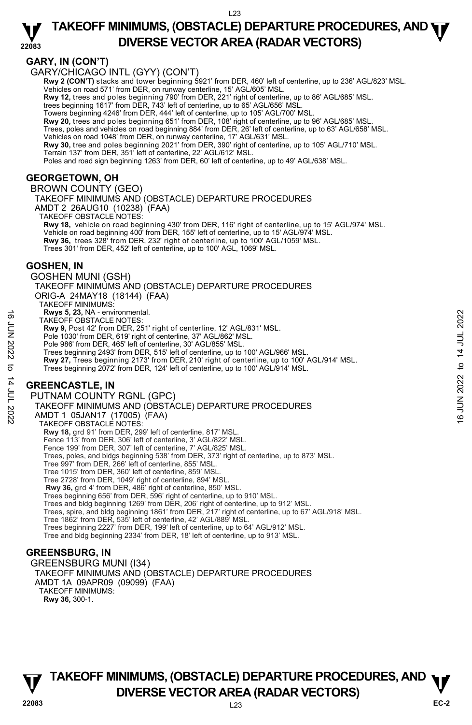#### **22083 TAKEOFF MINIMUMS, (OBSTACLE) DEPARTURE PROCEDURES, AND <b>WE**<br>DREBSE VECTOR AREA (BADAR VECTORS) **DIVERSE VECTOR AREA (RADAR VECTORS)**

## **GARY, IN (CON'T)**

GARY/CHICAGO INTL (GYY) (CON'T)

**Rwy 2 (CON'T)** stacks and tower beginning 5921' from DER, 460' left of centerline, up to 236' AGL/823' MSL. Vehicles on road 571' from DER, on runway centerline, 15' AGL/605' MSL.

**Rwy 12,** trees and poles beginning 790' from DER, 221' right of centerline, up to 86' AGL/685' MSL. trees beginning 1617' from DER, 743' left of centerline, up to 65' AGL/656' MSL.

Towers beginning 4246' from DER, 444' left of centerline, up to 105' AGL/700' MSL.

**Rwy 20,** trees and poles beginning 651' from DER, 108' right of centerline, up to 96' AGL/685' MSL.

Trees, poles and vehicles on road beginning 884' from DER, 26' left of centerline, up to 63' AGL/658' MSL. Vehicles on road 1048' from DER, on runway centerline, 17' AGL/631' MSL.

**Rwy 30,** tree and poles beginning 2021' from DER, 390' right of centerline, up to 105' AGL/710' MSL. Terrain 137' from DER, 351' left of centerline, 22' AGL/612' MSL.

Poles and road sign beginning 1263' from DER, 60' left of centerline, up to 49' AGL/638' MSL.

## **GEORGETOWN, OH**

BROWN COUNTY (GEO) TAKEOFF MINIMUMS AND (OBSTACLE) DEPARTURE PROCEDURES AMDT 2 26AUG10 (10238) (FAA) TAKEOFF OBSTACLE NOTES: **Rwy 18,** vehicle on road beginning 430' from DER, 116' right of centerline, up to 15' AGL/974' MSL. Vehicle on road beginning 400' from DER, 155' left of centerline, up to 15' AGL/974' MSL. **Rwy 36,** trees 328' from DER, 232' right of centerline, up to 100' AGL/1059' MSL. Trees 301' from DER, 452' left of centerline, up to 100' AGL, 1069' MSL.

## **GOSHEN, IN**

GOSHEN MUNI (GSH) TAKEOFF MINIMUMS AND (OBSTACLE) DEPARTURE PROCEDURES ORIG-A 24MAY18 (18144) (FAA) TAKEOFF MINIMUMS: **Rwys 5, 23,** NA - environmental. TAKEOFF OBSTACLE NOTES: **Rwy 9,** Post 42' from DER, 251' right of centerline, 12' AGL/831' MSL. Pole 1030' from DER, 619' right of centerline, 37' AGL/862' MSL. Pole 986' from DER, 465' left of centerline, 30' AGL/855' MSL. Trees beginning 2493' from DER, 515' left of centerline, up to 100' AGL/966' MSL.<br>**Rwy 27,** Trees beginning 2173' from DER, 210' right of centerline, up to 100' AGL/914' MSL. Trees beginning 2072' from DER, 124' left of centerline, up to 100' AGL/914' MSL. **GREENCASTLE, IN**  PUTNAM COUNTY RGNL (GPC) TAKEOFF MINIMUMS AND (OBSTACLE) DEPARTURE PROCEDURES AMDT 1 05JAN17 (17005) (FAA) TAKEOFF OBSTACLE NOTES: **Rwy 18,** grd 91' from DER, 299' left of centerline, 817' MSL.<br>Fence 113' from DER, 306' left of centerline, 3' AGL/822' MSL.<br>Fence 199' from DER, 307' left of centerline, 7' AGL/825' MSL. TAKEOFF OBSTACLE NOTES:<br>
TAKEOFF OBSTACLE NOTES:<br> **EVALUATE:**<br> **EVALUATE:**<br> **EVALUATE:**<br>
Pole 986' from DER, 465' left of centerline, 37' AGL/862' MSL.<br>
Pole 986' from DER, 465' left of centerline, 30' AGL/862' MSL.<br>
Tree

Trees, poles, and bldgs beginning 538' from DER, 373' right of centerline, up to 873' MSL.

Trees, spire, and bldg beginning 1861' from DER, 217' right of centerline, up to 67' AGL/918' MSL.

Tree 997' from DER, 266' left of centerline, 855' MSL. Tree 1015' from DER, 360' left of centerline, 859' MSL. Tree 2728' from DER, 1049' right of centerline, 894' MSL.

# **GREENSBURG, IN**

GREENSBURG MUNI (I34) TAKEOFF MINIMUMS AND (OBSTACLE) DEPARTURE PROCEDURES AMDT 1A 09APR09 (09099) (FAA) TAKEOFF MINIMUMS: **Rwy 36,** 300-1.

Tree 1862' from DER, 535' left of centerline, 42' AGL/889' MSL. Trees beginning 2227' from DER, 199' left of centerline, up to 64' AGL/912' MSL. Tree and bldg beginning 2334' from DER, 18' left of centerline, up to 913' MSL.

**Rwy 36,** grd 4' from DER, 486' right of centerline, 850' MSL. Trees beginning 656' from DER, 596' right of centerline, up to 910' MSL. Trees and bldg beginning 1269' from DER, 206' right of centerline, up to 912' MSL.

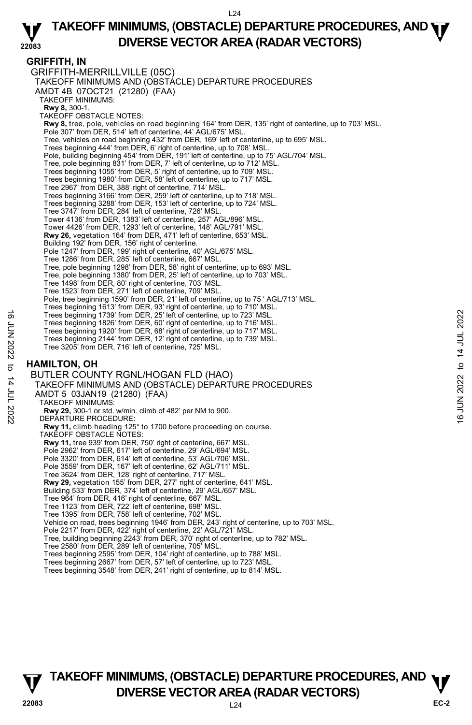#### **22083 TAKEOFF MINIMUMS, (OBSTACLE) DEPARTURE PROCEDURES, AND <b>WE**<br>DREBSE VECTOR AREA (BADAR VECTORS) **DIVERSE VECTOR AREA (RADAR VECTORS)**

#### **GRIFFITH, IN**

GRIFFITH-MERRILLVILLE (05C) TAKEOFF MINIMUMS AND (OBSTACLE) DEPARTURE PROCEDURES AMDT 4B 07OCT21 (21280) (FAA) TAKEOFF MINIMUMS: **Rwy 8,** 300-1. TAKEOFF OBSTACLE NOTES: **Rwy 8,** tree, pole, vehicles on road beginning 164' from DER, 135' right of centerline, up to 703' MSL. Pole 307' from DER, 514' left of centerline, 44' AGL/675' MSL. Tree, vehicles on road beginning 432' from DER, 169' left of centerline, up to 695' MSL. Trees beginning 444' from DER, 6' right of centerline, up to 708' MSL. Pole, building beginning 454' from DER, 191' left of centerline, up to 75' AGL/704' MSL. Tree, pole beginning 831' from DER, 7' left of centerline, up to 712' MSL. Trees beginning 1055' from DER, 5' right of centerline, up to 709' MSL. Trees beginning 1980' from DER, 58' left of centerline, up to 717' MSL. Tree 2967' from DER, 388' right of centerline, 714' MSL. Trees beginning 3166' from DER, 259' left of centerline, up to 718' MSL. Trees beginning 3288' from DER, 153' left of centerline, up to 724' MSL. Tree 3747' from DER, 284' left of centerline, 726' MSL. Tower 4136' from DER, 1383' left of centerline, 257' AGL/896' MSL. Tower 4426' from DER, 1293' left of centerline, 148' AGL/791' MSL. **Rwy 26,** vegetation 164' from DER, 471' left of centerline, 653' MSL. Building 192' from DER, 156' right of centerline. Pole 1247' from DER, 199' right of centerline, 40' AGL/675' MSL. Tree 1286' from DER, 285' left of centerline, 667' MSL. Tree, pole beginning 1298' from DER, 58' right of centerline, up to 693' MSL. Tree, pole beginning 1380' from DER, 25' left of centerline, up to 703' MSL. Tree 1498' from DER, 80' right of centerline, 703' MSL. Tree 1523' from DER, 271' left of centerline, 709' MSL. Pole, tree beginning 1590' from DER, 21' left of centerline, up to 75 ' AGL/713' MSL. Trees beginning 1613' from DER, 93' right of centerline, up to 710' MSL. Trees beginning 1739' from DER, 25' left of centerline, up to 723' MSL. Trees beginning 1826' from DER, 60' right of centerline, up to 716' MSL. Trees beginning 1920' from DER, 68' right of centerline, up to 717' MSL. Trees beginning 2144' from DER, 12' right of centerline, up to 739' MSL. Tree 3205' from DER, 716' left of centerline, 725' MSL. **HAMILTON, OH**  BUTLER COUNTY RGNL/HOGAN FLD (HAO) TAKEOFF MINIMUMS AND (OBSTACLE) DEPARTURE PROCEDURES AMDT 5 03JAN19 (21280) (FAA) TAKEOFF MINIMUMS: **Rwy 29,** 300-1 or std. w/min. climb of 482' per NM to 900.. DEPARTURE PROCEDURE: **Rwy 11,** climb heading 125° to 1700 before proceeding on course. TAKEOFF OBSTACLE NOTES: **Rwy 11,** tree 939' from DER, 750' right of centerline, 667' MSL. Pole 2962' from DER, 617' left of centerline, 29' AGL/694' MSL. Pole 3320' from DER, 614' left of centerline, 53' AGL/706' MSL. Pole 3559' from DER, 167' left of centerline, 62' AGL/711' MSL. Tree 3624' from DER, 128' right of centerline, 717' MSL. **Rwy 29,** vegetation 155' from DER, 277' right of centerline, 641' MSL. Building 533' from DER, 374' left of centerline, 29' AGL/657' MSL. Tree 964' from DER, 416' right of centerline, 667' MSL. Tree 1123' from DER, 722' left of centerline, 698' MSL. Tree 1395' from DER, 758' left of centerline, 702' MSL. Vehicle on road, trees beginning 1946' from DER, 243' right of centerline, up to 703' MSL. Pole 2217' from DER, 422' right of centerline, 22' AGL/721' MSL. Tree, building beginning 2243' from DER, 370' right of centerline, up to 782' MSL. Tree 2580' from DER, 289' left of centerline, 705' MSL. Trees beginning 2595' from DER, 104' right of centerline, up to 788' MSL. Trees beginning 1739' from DER, 25' left of centerline, up to 723' MSL.<br>
Trees beginning 1820' from DER, 60' right of centerline, up to 716' MSL.<br>
Trees beginning 1820' from DER, 60' right of centerline, up to 717' MSL.<br>

- Trees beginning 2667' from DER, 57' left of centerline, up to 723' MSL.
- Trees beginning 3548' from DER, 241' right of centerline, up to 814' MSL.

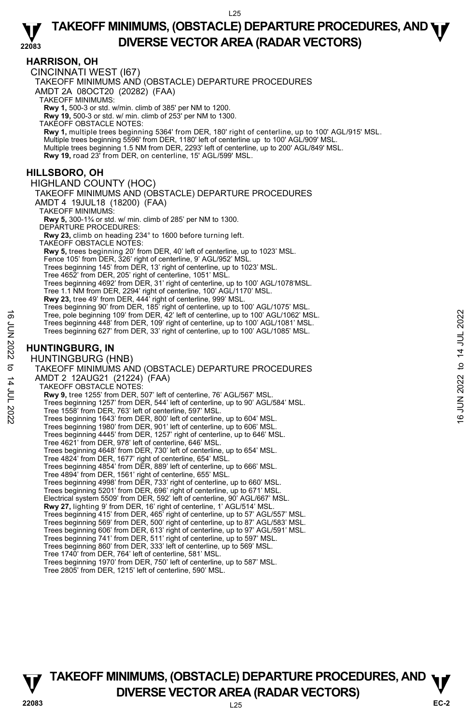#### **HARRISON, OH**

CINCINNATI WEST (I67)

TAKEOFF MINIMUMS AND (OBSTACLE) DEPARTURE PROCEDURES

AMDT 2A 08OCT20 (20282) (FAA)

TAKEOFF MINIMUMS:

**Rwy 1,** 500-3 or std. w/min. climb of 385' per NM to 1200. **Rwy 19,** 500-3 or std. w/ min. climb of 253' per NM to 1300.

TAKEOFF OBSTACLE NOTES:

**Rwy 1,** multiple trees beginning 5364' from DER, 180' right of centerline, up to 100' AGL/915' MSL. Multiple trees beginning 5596' from DER, 1180' left of centerline up to 100' AGL/909' MSL. Multiple trees beginning 1.5 NM from DER, 2293' left of centerline, up to 200' AGL/849' MSL. **Rwy 19,** road 23' from DER, on centerline, 15' AGL/599' MSL.

#### **HILLSBORO, OH**

HIGHLAND COUNTY (HOC)

TAKEOFF MINIMUMS AND (OBSTACLE) DEPARTURE PROCEDURES

AMDT 4 19JUL18 (18200) (FAA)

TAKEOFF MINIMUMS:

**Rwy 5,** 300-1¾ or std. w/ min. climb of 285' per NM to 1300. DEPARTURE PROCEDURES:

**Rwy 23,** climb on heading 234° to 1600 before turning left.

TAKEOFF OBSTACLE NOTES:

**Rwy 5,** trees beginning 20' from DER, 40' left of centerline, up to 1023' MSL.

Fence 105' from DER, 326' right of centerline, 9' AGL/952' MSL.

Trees beginning 145' from DER, 13' right of centerline, up to 1023' MSL.

Tree 4652' from DER, 205' right of centerline, 1051' MSL. Trees beginning 4692' from DER, 31' right of centerline, up to 100' AGL/1078'MSL.

Tree 1.1 NM from DER, 2294' right of centerline, 100' AGL/1170' MSL.

**Rwy 23,** tree 49' from DER, 444' right of centerline, 999' MSL. Trees beginning 90' from DER, 185' right of centerline, up to 100' AGL/1075' MSL.

Tree, pole beginning 109' from DER, 42' left of centerline, up to 100' AGL/1062' MSL.

Trees beginning 448' from DER, 109' right of centerline, up to 100' AGL/1081' MSL. Trees beginning 627' from DER, 33' right of centerline, up to 100' AGL/1085' MSL.

## **HUNTINGBURG, IN**

HUNTINGBURG (HNB) TAKEOFF MINIMUMS AND (OBSTACLE) DEPARTURE PROCEDURES AMDT 2 12AUG21 (21224) (FAA) TAKEOFF OBSTACLE NOTES: **Rwy 9,** tree 1255' from DER, 507' left of centerline, 76' AGL/567' MSL. Trees beginning 1257' from DER, 544' left of centerline, up to 90' AGL/584' MSL. Tree 1558' from DER, 763' left of centerline, 597' MSL. Trees beginning 1643' from DER, 800' left of centerline, up to 604' MSL. Trees beginning 1980' from DER, 901' left of centerline, up to 606' MSL. Trees beginning 4445' from DER, 1257' right of centerline, up to 646' MSL. Tree 4621' from DER, 978' left of centerline, 646' MSL. Trees beginning 4648' from DER, 730' left of centerline, up to 654' MSL. Tree 4824' from DER, 1677' right of centerline, 654' MSL. Trees beginning 4854' from DER, 889' left of centerline, up to 666' MSL. Tree 4894' from DER, 1561' right of centerline, 655' MSL. Trees beginning 4998' from DER, 733' right of centerline, up to 660' MSL. Trees beginning 5201' from DER, 696' right of centerline, up to 671' MSL. Electrical system 5509' from DER, 592' left of centerline, 90' AGL/667' MSL. **Rwy 27,** lighting 9' from DER, 16' right of centerline, 1' AGL/514' MSL. Trees beginning 415' from DER, 465' right of centerline, up to 57' AGL/557' MSL. Trees beginning 569' from DER, 500' right of centerline, up to 87' AGL/583' MSL. Trees beginning 606' from DER, 613' right of centerline, up to 97' AGL/591' MSL. Trees beginning 741' from DER, 511' right of centerline, up to 597' MSL. Trees beginning 860' from DER, 333' left of centerline, up to 569' MSL. Tree 1740' from DER, 764' left of centerline, 581' MSL. Tree, pole beginning 109' from DER, 42' left of centerline, up to 100' AGL/1082' MSL.<br>
Trees beginning 482' from DER, 109' right of centerline, up to 100' AGL/1081' MSL.<br>
Trees beginning 627' from DER, 33' right of center

Trees beginning 1970' from DER, 750' left of centerline, up to 587' MSL.

Tree 2805' from DER, 1215' left of centerline, 590' MSL.

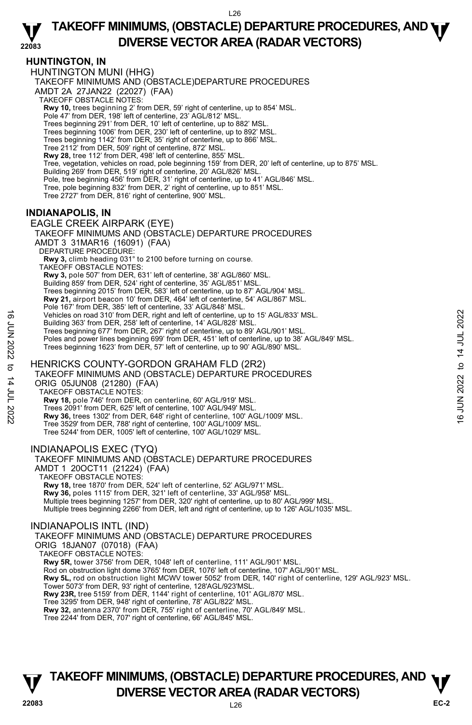#### **HUNTINGTON, IN**

HUNTINGTON MUNI (HHG) TAKEOFF MINIMUMS AND (OBSTACLE)DEPARTURE PROCEDURES AMDT 2A 27JAN22 (22027) (FAA) TAKEOFF OBSTACLE NOTES: **Rwy 10,** trees beginning 2' from DER, 59' right of centerline, up to 854' MSL.<br>Pole 47' from DER, 198' left of centerline, 23' AGL/812' MSL. Trees beginning 291' from DER, 10' left of centerline, up to 882' MSL. Trees beginning 1006' from DER, 230' left of centerline, up to 892' MSL. Trees beginning 1142' from DER, 35' right of centerline, up to 866' MSL. Tree 2112' from DER, 509' right of centerline, 872' MSL. **Rwy 28,** tree 112' from DER, 498' left of centerline, 855' MSL. Tree, vegetation, vehicles on road, pole beginning 159' from DER, 20' left of centerline, up to 875' MSL.<br>Building 269' from DER, 519' right of centerline, 20' AGL/826' MSL. Pole, tree beginning 456' from DER, 31' right of centerline, up to 41' AGL/846' MSL. Tree, pole beginning 832' from DER, 2' right of centerline, up to 851' MSL. Tree 2727' from DER, 816' right of centerline, 900' MSL.

## **INDIANAPOLIS, IN**

EAGLE CREEK AIRPARK (EYE) TAKEOFF MINIMUMS AND (OBSTACLE) DEPARTURE PROCEDURES AMDT 3 31MAR16 (16091) (FAA) DEPARTURE PROCEDURE **Rwy 3,** climb heading 031° to 2100 before turning on course. TAKEOFF OBSTACLE NOTES: **Rwy 3,** pole 507' from DER, 631' left of centerline, 38' AGL/860' MSL.<br>Building 859' from DER, 524' right of centerline, 35' AGL/851' MSL. Trees beginning 2015' from DER, 583' left of centerline, up to 87' AGL/904' MSL. **Rwy 21,** airport beacon 10' from DER, 464' left of centerline, 54' AGL/867' MSL. Pole 167' from DER, 385' left of centerline, 33' AGL/848' MSL. Vehicles on road 310' from DER, right and left of centerline, up to 15' AGL/833' MSL. Building 363' from DER, 258' left of centerline, 14' AGL/828' MSL. Trees beginning 677' from DER, 267' right of centerline, up to 89' AGL/901' MSL. Poles and power lines beginning 699' from DER, 451' left of centerline, up to 38' AGL/849' MSL. Trees beginning 1623' from DER, 57' left of centerline, up to 90' AGL/890' MSL. HENRICKS COUNTY-GORDON GRAHAM FLD (2R2) Vehicles on road 310' from DER, right and left of centerline, up to 15' AGL/833' MSL.<br>
Example 36' from DER, 26' left of centerline, up to 89' AGL/901' MSL.<br>
Trees beginning 677' from DER, 267' right of centerline, up to

TAKEOFF MINIMUMS AND (OBSTACLE) DEPARTURE PROCEDURES ORIG 05JUN08 (21280) (FAA)

TAKEOFF OBSTACLE NOTES:

**Rwy 18,** pole 746' from DER, on centerline, 60' AGL/919' MSL.

Trees 2091' from DER, 625' left of centerline, 100' AGL/949' MSL.

**Rwy 36,** trees 1302' from DER, 648' right of centerline, 100' AGL/1009' MSL.

Tree 3529' from DER, 788' right of centerline, 100' AGL/1009' MSL.

Tree 5244' from DER, 1005' left of centerline, 100' AGL/1029' MSL.

#### INDIANAPOLIS EXEC (TYQ)

TAKEOFF MINIMUMS AND (OBSTACLE) DEPARTURE PROCEDURES AMDT 1 20OCT11 (21224) (FAA) TAKEOFF OBSTACLE NOTES: **Rwy 18,** tree 1870' from DER, 524' left of centerline, 52' AGL/971' MSL. **Rwy 36,** poles 1115' from DER, 321' left of centerline, 33' AGL/958' MSL.<br>Multiple trees beginning 1257' from DER, 320' right of centerline, up to 80' AGL/999' MSL. Multiple trees beginning 2266' from DER, left and right of centerline, up to 126' AGL/1035' MSL.

#### INDIANAPOLIS INTL (IND)

TAKEOFF MINIMUMS AND (OBSTACLE) DEPARTURE PROCEDURES

ORIG 18JAN07 (07018) (FAA)

TAKEOFF OBSTACLE NOTES:

**Rwy 5R,** tower 3756' from DER, 1048' left of centerline, 111' AGL/901' MSL.

Rod on obstruction light dome 3765' from DER, 1076' left of centerline, 107' AGL/901' MSL.

**Rwy 5L,** rod on obstruction light MCWV tower 5052' from DER, 140' right of centerline, 129' AGL/923' MSL.

Tower 5073' from DER, 93' right of centerline, 128'AGL/923'MSL.

**Rwy 23R,** tree 5159' from DER, 1144' right of centerline, 101' AGL/870' MSL.

Tree 3295' from DER, 948' right of centerline, 78' AGL/822' MSL.

**Rwy 32,** antenna 2370' from DER, 755' right of centerline, 70' AGL/849' MSL.

Tree 2244' from DER, 707' right of centerline, 66' AGL/845' MSL.

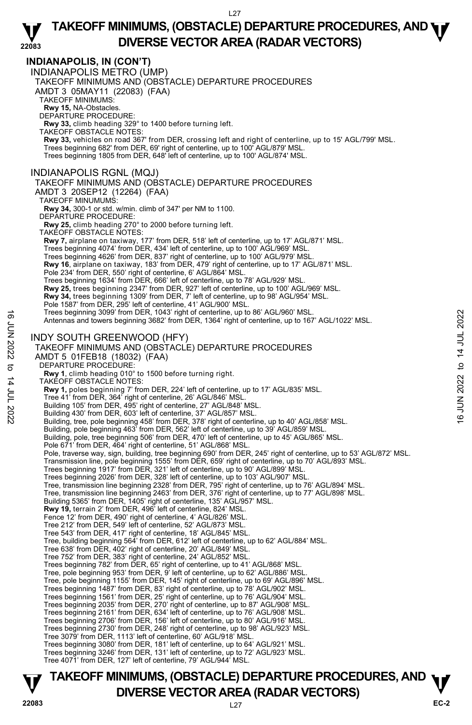**22083 INDIANAPOLIS, IN (CON'T)**  INDIANAPOLIS METRO (UMP) TAKEOFF MINIMUMS AND (OBSTACLE) DEPARTURE PROCEDURES AMDT 3 05MAY11 (22083) (FAA) TAKEOFF MINIMUMS: **Rwy 15,** NA-Obstacles. DEPARTURE PROCEDURE: **Rwy 33,** climb heading 329° to 1400 before turning left. TAKEOFF OBSTACLE NOTES: **Rwy 33,** vehicles on road 367' from DER, crossing left and right of centerline, up to 15' AGL/799' MSL.<br>Trees beginning 682' from DER, 69' right of centerline, up to 100' AGL/879' MSL. Trees beginning 1805 from DER, 648' left of centerline, up to 100' AGL/874' MSL. INDIANAPOLIS RGNL (MQJ) TAKEOFF MINIMUMS AND (OBSTACLE) DEPARTURE PROCEDURES AMDT 3 20SEP12 (12264) (FAA) TAKEOFF MINUMUMS: **Rwy 34,** 300-1 or std. w/min. climb of 347' per NM to 1100. DEPARTURE PROCEDURE: **Rwy 25,** climb heading 270° to 2000 before turning left. TAKEOFF OBSTACLE NOTES: **Rwy 7,** airplane on taxiway, 177' from DER, 518' left of centerline, up to 17' AGL/871' MSL.<br>Trees beginning 4074' from DER, 434' left of centerline, up to 100' AGL/969' MSL. Trees beginning 4626' from DER, 837' right of centerline, up to 100' AGL/979' MSL. **Rwy 16**, airplane on taxiway, 183' from DER, 479' right of centerline, up to 17' AGL/871' MSL. Pole 234' from DER, 550' right of centerline, 6' AGL/864' MSL Trees beginning 1634' from DER, 666' left of centerline, up to 78' AGL/929' MSL. **Rwy 25,** trees beginning 2347' from DER, 927' left of centerline, up to 100' AGL/969' MSL. **Rwy 34,** trees beginning 1309' from DER, 7' left of centerline, up to 98' AGL/954' MSL.<br>Pole 1587' from DER, 295' left of centerline, 41' AGL/900' MSL. Trees beginning 3099' from DER, 1043' right of centerline, up to 86' AGL/960' MSL. Antennas and towers beginning 3682' from DER, 1364' right of centerline, up to 167' AGL/1022' MSL. INDY SOUTH GREENWOOD (HFY) TAKEOFF MINIMUMS AND (OBSTACLE) DEPARTURE PROCEDURES AMDT 5 01FEB18 (18032) (FAA) DEPARTURE PROCEDURE: **Rwy 1**, climb heading 010° to 1500 before turning right. TAKEOFF OBSTACLE NOTES: **Rwy 1,** poles beginning 7' from DER, 224' left of centerline, up to 17' AGL/835' MSL. Tree 41' from DER, 364' right of centerline, 26' AGL/846' MSL. Building 105' from DER, 495' right of centerline, 27' AGL/848' MSL. Building 430' from DER, 603' left of centerline, 37' AGL/857' MSL. Building, tree, pole beginning 458' from DER, 378' right of centerline, up to 40' AGL/858' MSL. Building, pole beginning 463' from DER, 562' left of centerline, up to 39' AGL/859' MSL. Building, pole, tree beginning 506' from DER, 470' left of centerline, up to 45' AGL/865' MSL. Pole 671' from DER, 464' right of centerline, 51' AGL/868' MSL. Pole, traverse way, sign, building, tree beginning 690' from DER, 245' right of centerline, up to 53' AGL/872' MSL. Transmission line, pole beginning 1555' from DER, 659' right of centerline, up to 70' AGL/893' MSL.<br>Trees beginning 1917' from DER, 321' left of centerline, up to 90' AGL/899' MSL.<br>Trees beginning 2026' from DER, 328' left Tree, transmission line beginning 2328' from DER, 795' right of centerline, up to 76' AGL/894' MSL. Tree, transmission line beginning 2463' from DER, 376' right of centerline, up to 77' AGL/898' MSL.<br>Building 5365' from DER, 1405' right of centerline, 135' AGL/957' MSL. **Rwy 19,** terrain 2' from DER, 496' left of centerline, 824' MSL. Fence 12' from DER, 490' right of centerline, 4' AGL/826' MSL. Tree 212' from DER, 549' left of centerline, 52' AGL/873' MSL. Tree 543' from DER, 417' right of centerline, 18' AGL/845' MSL. Tree, building beginning 564' from DER, 612' left of centerline, up to 62' AGL/884' MSL. Tree 638' from DER, 402' right of centerline, 20' AGL/849' MSL. Tree 752' from DER, 383' right of centerline, 24' AGL/852' MSL. Trees beginning 782' from DER, 65' right of centerline, up to 41' AGL/868' MSL. Tree, pole beginning 953' from DER, 9' left of centerline, up to 62' AGL/886' MSL. Tree, pole beginning 1155' from DER, 145' right of centerline, up to 69' AGL/896' MSL. Trees beginning 1487' from DER, 83' right of centerline, up to 78' AGL/902' MSL. Trees beginning 1561' from DER, 25' right of centerline, up to 76' AGL/904' MSL. Trees beginning 2035' from DER, 270' right of centerline, up to 87' AGL/908' MSL. Trees beginning 2161' from DER, 634' left of centerline, up to 76' AGL/908' MSL. Trees beginning 2706' from DER, 156' left of centerline, up to 80' AGL/916' MSL. Trees beginning 2730' from DER, 248' right of centerline, up to 98' AGL/923' MSL. Tree 3079' from DER, 1113' left of centerline, 60' AGL/918' MSL. Trees beginning 3080' from DER, 181' left of centerline, up to 64' AGL/921' MSL. Trees beginning 3246' from DER, 131' left of centerline, up to 72' AGL/923' MSL. Tree 4071' from DER, 127' left of centerline, 79' AGL/944' MSL. Trees beginning 3099' from DER, 1043' right of centerline, up to 86' AGL/960' MSL.<br>
INDY SOUTH GREENWOOD (HFY)<br>
TAKEOFF MINIMUMS AND (OBSTACLE) DEPARTURE PROCEDURES<br>
AMDT 5 01FEB18 (18032) (FAA)<br>
DEPARTURE PROCEDURE:<br>
AW 1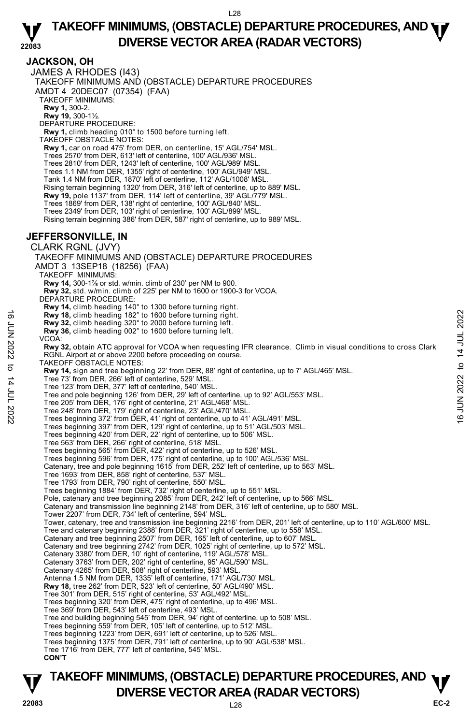## **JACKSON, OH**

JAMES A RHODES (I43) TAKEOFF MINIMUMS AND (OBSTACLE) DEPARTURE PROCEDURES AMDT 4 20DEC07 (07354) (FAA) TAKEOFF MINIMUMS: **Rwy 1,** 300-2. **Rwy 19,** 300-1½. DEPARTURE PROCEDURE: **Rwy 1,** climb heading 010° to 1500 before turning left. TAKEOFF OBSTACLE NOTES: **Rwy 1,** car on road 475' from DER, on centerline, 15' AGL/754' MSL. Trees 2570' from DER, 613' left of centerline, 100' AGL/936' MSL. Trees 2810' from DER, 1243' left of centerline, 100' AGL/989' MSL. Trees 1.1 NM from DER, 1355' right of centerline, 100' AGL/949' MSL. Tank 1.4 NM from DER, 1870' left of centerline, 112' AGL/1008' MSL. Rising terrain beginning 1320' from DER, 316' left of centerline, up to 889' MSL. **Rwy 19,** pole 1137' from DER, 114' left of centerline, 39' AGL/779' MSL. Trees 1869' from DER, 138' right of centerline, 100' AGL/840' MSL. Trees 2349' from DER, 103' right of centerline, 100' AGL/899' MSL. Rising terrain beginning 386' from DER, 587' right of centerline, up to 989' MSL. **JEFFERSONVILLE, IN**  CLARK RGNL (JVY) TAKEOFF MINIMUMS AND (OBSTACLE) DEPARTURE PROCEDURES AMDT 3 13SEP18 (18256) (FAA) TAKEOFF MINIMUMS: **Rwy 14,** 300-1⅞ or std. w/min. climb of 230' per NM to 900. **Rwy 32,** std. w/min. climb of 225' per NM to 1600 or 1900-3 for VCOA. DEPARTURE PROCEDURE: **Rwy 14,** climb heading 140° to 1300 before turning right. **Rwy 18,** climb heading 182° to 1600 before turning right. **Rwy 32,** climb heading 320° to 2000 before turning left. **Rwy 36,** climb heading 002° to 1600 before turning left. VCOA: **Rwy 32,** obtain ATC approval for VCOA when requesting IFR clearance. Climb in visual conditions to cross Clark RGNL Airport at or above 2200 before proceeding on course. TAKEOFF OBSTACLE NOTES: **Rwy 14,** sign and tree beginning 22' from DER, 88' right of centerline, up to 7' AGL/465' MSL. Tree 73' from DER, 266' left of centerline, 529' MSL. Tree 123' from DER, 377' left of centerline, 540' MSL. Tree and pole beginning 126' from DER, 29' left of centerline, up to 92' AGL/553' MSL. Tree 205' from DER, 176' right of centerline, 21' AGL/468' MSL. Tree 248' from DER, 179' right of centerline, 23' AGL/470' MSL. Trees beginning 372' from DER, 41' right of centerline, up to 41' AGL/491' MSL. Trees beginning 397' from DER, 129' right of centerline, up to 51' AGL/503' MSL. Trees beginning 420' from DER, 22' right of centerline, up to 506' MSL. Tree 563' from DER, 266' right of centerline, 518' MSL. Trees beginning 565' from DER, 422' right of centerline, up to 526' MSL. Trees beginning 596' from DER, 175' right of centerline, up to 100' AGL/536' MSL. Catenary, tree and pole beginning 1615' from DER, 252' left of centerline, up to 563' MSL. Tree 1693' from DER, 858' right of centerline, 537' MSL. Tree 1793' from DER, 790' right of centerline, 550' MSL. Trees beginning 1884' from DER, 732' right of centerline, up to 551' MSL. Pole, catenary and tree beginning 2085' from DER, 242' left of centerline, up to 566' MSL. Catenary and transmission line beginning 2148' from DER, 316' left of centerline, up to 580' MSL. Tower 2207' from DER, 734' left of centerline, 594' MSL. Tower, catenary, tree and transmission line beginning 2216' from DER, 201' left of centerline, up to 110' AGL/600' MSL. Tree and catenary beginning 2388' from DER, 321' right of centerline, up to 558' MSL. Catenary and tree beginning 2507' from DER, 165' left of centerline, up to 607' MSL. Noted the beginning 182° to 1600 before turning right.<br>
The Rwy 36, climb heading 302° to 1600 before turning left.<br>
Noted Society and the beginning and the complete turning left.<br>
VCOA:<br>
Noted Society 32, obtain ATC app

Catenary and tree beginning 2742' from DER, 1025' right of centerline, up to 572' MSL. Catenary 3380' from DER, 10' right of centerline, 119' AGL/578' MSL.

Catenary 3763' from DER, 202' right of centerline, 95' AGL/590' MSL.

Catenary 4265' from DER, 508' right of centerline, 593' MSL. Antenna 1.5 NM from DER, 1335' left of centerline, 171' AGL/730' MSL.

**Rwy 18,** tree 262' from DER, 523' left of centerline, 50' AGL/490' MSL.

Tree 301' from DER, 515' right of centerline, 53' AGL/492' MSL. Trees beginning 320' from DER, 475' right of centerline, up to 496' MSL.

Tree 369' from DER, 543' left of centerline, 493' MSL.

Tree and building beginning 545' from DER, 94' right of centerline, up to 508' MSL.

- Trees beginning 559' from DER, 105' left of centerline, up to 512' MSL. Trees beginning 1223' from DER, 691' left of centerline, up to 526' MSL.
- 
- Trees beginning 1375' from DER, 791' left of centerline, up to 90' AGL/538' MSL.
- Tree 1716' from DER, 777' left of centerline, 545' MSL.

**CON'T**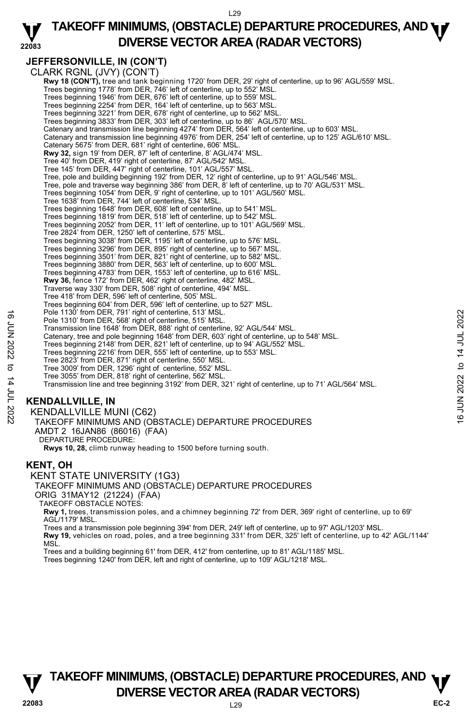#### **22083 TAKEOFF MINIMUMS, (OBSTACLE) DEPARTURE PROCEDURES, AND <b>WE**<br>DREBSE VECTOR AREA (BADAR VECTORS) **DIVERSE VECTOR AREA (RADAR VECTORS)**

# **JEFFERSONVILLE, IN (CON'T)**

CLARK RGNL (JVY) (CON'T) **Rwy 18 (CON'T)**, tree and tank beginning 1720' from DER, 29' right of centerline, up to 96' AGL/559' MSL.<br>Trees beginning 1778' from DER, 746' left of centerline, up to 552' MSL. Trees beginning 1946' from DER, 676' left of centerline, up to 559' MSL. Trees beginning 2254' from DER, 164' left of centerline, up to 563' MSL. Trees beginning 3221' from DER, 678' right of centerline, up to 562' MSL. Trees beginning 3833' from DER, 303' left of centerline, up to 86' AGL/570' MSL. Catenary and transmission line beginning 4274' from DER, 564' left of centerline, up to 603' MSL. Catenary and transmission line beginning 4976' from DER, 254' left of centerline, up to 125' AGL/610' MSL. Catenary 5675' from DER, 681' right of centerline, 606' MSL. **Rwy 32,** sign 19' from DER, 87' left of centerline, 8' AGL/474' MSL. Tree 40' from DER, 419' right of centerline, 87' AGL/542' MSL. Tree 145' from DER, 447' right of centerline, 101' AGL/557' MSL. Tree, pole and building beginning 192' from DER, 12' right of centerline, up to 91' AGL/546' MSL. Tree, pole and traverse way beginning 386' from DER, 8' left of centerline, up to 70' AGL/531' MSL. Trees beginning 1054' from DER, 9' right of centerline, up to 101' AGL/560' MSL. Tree 1638' from DER, 744' left of centerline, 534' MSL. Trees beginning 1648' from DER, 608' left of centerline, up to 541' MSL. Trees beginning 1819' from DER, 518' left of centerline, up to 542' MSL. Trees beginning 2052' from DER, 11' left of centerline, up to 101' AGL/569' MSL. Tree 2824' from DER, 1250' left of centerline, 575' MSL. Trees beginning 3038' from DER, 1195' left of centerline, up to 576' MSL. Trees beginning 3296' from DER, 895' right of centerline, up to 567' MSL. Trees beginning 3501' from DER, 821' right of centerline, up to 582' MSL. Trees beginning 3880' from DER, 563' left of centerline, up to 600' MSL. Trees beginning 4783' from DER, 1553' left of centerline, up to 616' MSL. **Rwy 36,** fence 172' from DER, 462' right of centerline, 482' MSL. Traverse way 330' from DER, 508' right of centerline, 494' MSL. Tree 418' from DER, 596' left of centerline, 505' MSL. Trees beginning 604' from DER, 596' left of centerline, up to 527' MSL. Pole 1130' from DER, 791' right of centerline, 513' MSL. Pole 1310' from DER, 568' right of centerline, 515' MSL. Transmission line 1648' from DER, 888' right of centerline, 92' AGL/544' MSL. Catenary, tree and pole beginning 1648' from DER, 603' right of centerline, up to 548' MSL. Trees beginning 2148' from DER, 821' left of centerline, up to 94' AGL/552' MSL. Trees beginning 2216' from DER, 555' left of centerline, up to 553' MSL. Tree 2823' from DER, 871' right of centerline, 550' MSL. Tree 3009' from DER, 1296' right of centerline, 552' MSL. Tree 3055' from DER, 818' right of centerline, 562' MSL. Transmission line and tree beginning 3192' from DER, 321' right of centerline, up to 71' AGL/564' MSL. Pole 1310' from DER, 791' right of centerline, 513' MSL.<br>
For 1430' from DER, 568' right of centerline, 515' MSL.<br>
Transmission line 1648' from DER, 888' right of centerline, 92' AGL/5644' MSL.<br>
Catenary, tree and pole

# **KENDALLVILLE, IN**

KENDALLVILLE MUNI (C62)

TAKEOFF MINIMUMS AND (OBSTACLE) DEPARTURE PROCEDURES AMDT 2 16JAN86 (86016) (FAA)

DEPARTURE PROCEDURE:

**Rwys 10, 28,** climb runway heading to 1500 before turning south.

## **KENT, OH**

KENT STATE UNIVERSITY (1G3) TAKEOFF MINIMUMS AND (OBSTACLE) DEPARTURE PROCEDURES ORIG 31MAY12 (21224) (FAA) TAKEOFF OBSTACLE NOTES:

**Rwy 1,** trees, transmission poles, and a chimney beginning 72' from DER, 369' right of centerline, up to 69' AGL/1179' MSL.

Trees and a transmission pole beginning 394' from DER, 249' left of centerline, up to 97' AGL/1203' MSL. **Rwy 19,** vehicles on road, poles, and a tree beginning 331' from DER, 325' left of centerline, up to 42' AGL/1144' MSL.

Trees and a building beginning 61' from DER, 412' from centerline, up to 81' AGL/1185' MSL.

Trees beginning 1240' from DER, left and right of centerline, up to 109' AGL/1218' MSL.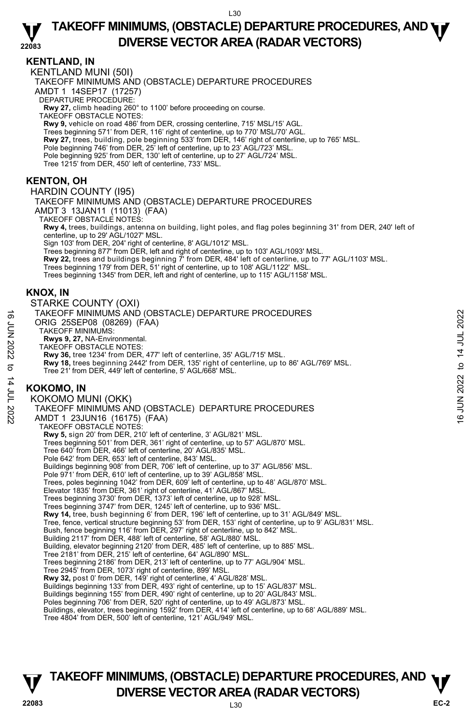#### **22083 TAKEOFF MINIMUMS, (OBSTACLE) DEPARTURE PROCEDURES, AND <b>WE**<br>DREBSE VECTOR AREA (BADAR VECTORS) **DIVERSE VECTOR AREA (RADAR VECTORS)**

## **KENTLAND, IN**

KENTLAND MUNI (50I) TAKEOFF MINIMUMS AND (OBSTACLE) DEPARTURE PROCEDURES AMDT 1 14SEP17 (17257) DEPARTURE PROCEDURE: **Rwy 27,** climb heading 260° to 1100' before proceeding on course. TAKEOFF OBSTACLE NOTES: **Rwy 9,** vehicle on road 486' from DER, crossing centerline, 715' MSL/15' AGL. Trees beginning 571' from DER, 116' right of centerline, up to 770' MSL/70' AGL. **Rwy 27,** trees, building, pole beginning 533' from DER, 146' right of centerline, up to 765' MSL.<br>Pole beginning 746' from DER, 25' left of centerline, up to 23' AGL/723' MSL. Pole beginning 925' from DER, 130' left of centerline, up to 27' AGL/724' MSL. Tree 1215' from DER, 450' left of centerline, 733' MSL. **KENTON, OH**  HARDIN COUNTY (I95) TAKEOFF MINIMUMS AND (OBSTACLE) DEPARTURE PROCEDURES AMDT 3 13JAN11 (11013) (FAA) TAKEOFF OBSTACLE NOTES: **Rwy 4,** trees, buildings, antenna on building, light poles, and flag poles beginning 31' from DER, 240' left of centerline, up to 29' AGL/1027' MSL. Sign 103' from DER, 204' right of centerline, 8' AGL/1012' MSL. Trees beginning 877' from DER, left and right of centerline, up to 103' AGL/1093' MSL.

**Rwy 22,** trees and buildings beginning 7' from DER, 484' left of centerline, up to 77' AGL/1103' MSL.

Trees beginning 179' from DER, 51' right of centerline, up to 108' AGL/1122' MSL.

Trees beginning 1345' from DER, left and right of centerline, up to 115' AGL/1158' MSL.

## **KNOX, IN**

STARKE COUNTY (OXI) TAKEOFF MINIMUMS AND (OBSTACLE) DEPARTURE PROCEDURES ORIG 25SEP08 (08269) (FAA) TAKEOFF MINIMUMS: **Rwys 9, 27,** NA-Environmental. TAKEOFF OBSTACLE NOTES: **Rwy 36,** tree 1234' from DER, 477' left of centerline, 35' AGL/715' MSL. **Rwy 18,** trees beginning 2442' from DER, 135' right of centerline, up to 86' AGL/769' MSL. Tree 21' from DER, 449' left of centerline, 5' AGL/668' MSL. **KOKOMO, IN**  KOKOMO MUNI (OKK) TAKEOFF MINIMUMS AND (OBSTACLE) DEPARTURE PROCEDURES AMDT 1 23JUN16 (16175) (FAA) TAKEOFF OBSTACLE NOTES: **Rwy 5,** sign 20' from DER, 210' left of centerline, 3' AGL/821' MSL. Trees beginning 501' from DER, 361' right of centerline, up to 57' AGL/870' MSL. Tree 640' from DER, 466' left of centerline, 20' AGL/835' MSL. Pole 642' from DER, 653' left of centerline, 843' MSL. Buildings beginning 908' from DER, 706' left of centerline, up to 37' AGL/856' MSL. Pole 971' from DER, 610' left of centerline, up to 39' AGL/858' MSL. Trees, poles beginning 1042' from DER, 609' left of centerline, up to 48' AGL/870' MSL. Elevator 1835' from DER, 361' right of centerline, 41' AGL/867' MSL.<br>Trees beginning 3730' from DER, 1373' left of centerline, up to 928' MSL.<br>Trees beginning 3747' from DER, 1245' left of centerline, up to 936' MSL. **Rwy 14,** tree, bush beginning 6' from DER, 196' left of centerline, up to 31' AGL/849' MSL. Tree, fence, vertical structure beginning 53' from DER, 153' right of centerline, up to 9' AGL/831' MSL. Bush, fence beginning 116' from DER, 297' right of centerline, up to 842' MSL. Building 2117' from DER, 488' left of centerline, 58' AGL/880' MSL. Building, elevator beginning 2120' from DER, 485' left of centerline, up to 885' MSL.<br>Tree 2181' from DER, 215' left of centerline, 64' AGL/890' MSL. Trees beginning 2186' from DER, 213' left of centerline, up to 77' AGL/904' MSL. Tree 2945' from DER, 1073' right of centerline, 899' MSL. **Rwy 32,** post 0' from DER, 149' right of centerline, 4' AGL/828' MSL. Buildings beginning 133' from DER, 493' right of centerline, up to 15' AGL/837' MSL. Buildings beginning 155' from DER, 490' right of centerline, up to 20' AGL/843' MSL. Poles beginning 706' from DER, 520' right of centerline, up to 49' AGL/873' MSL. Buildings, elevator, trees beginning 1592' from DER, 414' left of centerline, up to 68' AGL/889' MSL. TAKEOFF MINIMUMS AND (OBSTACLE) DEPARTURE PROCEDURES<br>
ORIG 25SEP08 (08269) (FAA)<br>
TAKEOFF MINIMUMS:<br>
TAKEOFF MINIMUMS:<br>
Rwys 9, 27, NA-Environmental.<br>
NAVE OF OBSTACLE NOTES:<br>
NAVE OF OBSTACLE NOTES:<br>
Rwy 36, tree 1234 'fr

Tree 4804' from DER, 500' left of centerline, 121' AGL/949' MSL.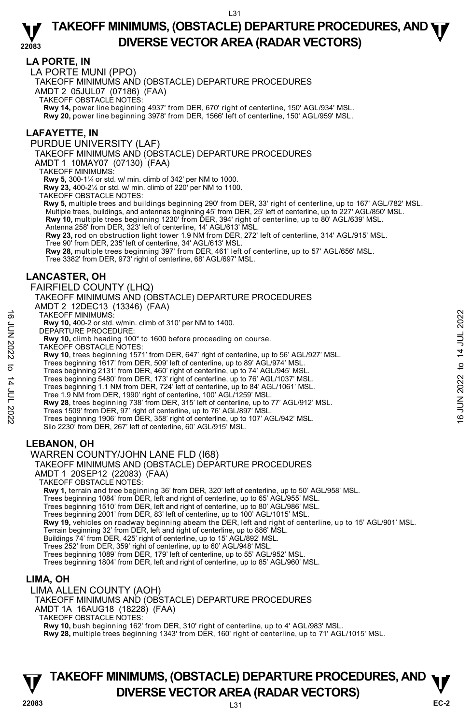## **LA PORTE, IN**

LA PORTE MUNI (PPO)

TAKEOFF MINIMUMS AND (OBSTACLE) DEPARTURE PROCEDURES

AMDT 2 05JUL07 (07186) (FAA)

TAKEOFF OBSTACLE NOTES:

**Rwy 14,** power line beginning 4937' from DER, 670' right of centerline, 150' AGL/934' MSL.<br>**Rwy 20,** power line beginning 3978' from DER, 1566' left of centerline, 150' AGL/959' MSL.

## **LAFAYETTE, IN**

PURDUE UNIVERSITY (LAF)

TAKEOFF MINIMUMS AND (OBSTACLE) DEPARTURE PROCEDURES

AMDT 1 10MAY07 (07130) (FAA)

TAKEOFF MINIMUMS:

**Rwy 5,** 300-1¼ or std. w/ min. climb of 342' per NM to 1000.

**Rwy 23,** 400-2¼ or std. w/ min. climb of 220' per NM to 1100. TAKEOFF OBSTACLE NOTES:

**Rwy 5,** multiple trees and buildings beginning 290' from DER, 33' right of centerline, up to 167' AGL/782' MSL. Multiple trees, buildings, and antennas beginning 45' from DER, 25' left of centerline, up to 227' AGL/850' MSL. **Rwy 10,** multiple trees beginning 1230' from DER, 394' right of centerline, up to 80' AGL/639' MSL. Antenna 258' from DER, 323' left of centerline, 14' AGL/613' MSL.

**Rwy 23,** rod on obstruction light tower 1.9 NM from DER, 272' left of centerline, 314' AGL/915' MSL.

Tree 90' from DER, 235' left of centerline, 34' AGL/613' MSL. **Rwy 28,** multiple trees beginning 397' from DER, 461' left of centerline, up to 57' AGL/656' MSL.

Tree 3382' from DER, 973' right of centerline, 68' AGL/697' MSL.

## **LANCASTER, OH**

FAIRFIELD COUNTY (LHQ)

TAKEOFF MINIMUMS AND (OBSTACLE) DEPARTURE PROCEDURES AMDT 2 12DEC13 (13346) (FAA)

TAKEOFF MINIMUMS:

**Rwy 10,** 400-2 or std. w/min. climb of 310' per NM to 1400.

DEPARTURE PROCEDURE:

**Rwy 10,** climb heading 100° to 1600 before proceeding on course.

TAKEOFF OBSTACLE NOTES:

**Rwy 10**, trees beginning 1571' from DER, 647' right of centerline, up to 56' AGL/927' MSL.<br>Trees beginning 1617' from DER, 509' left of centerline, up to 89' AGL/974' MSL.<br>Trees beginning 2131' from DER, 460' right of cen

Trees beginning 5480' from DER, 173' right of centerline, up to 76' AGL/1037' MSL. Trees beginning 1.1 NM from DER, 724' left of centerline, up to 84' AGL/1061' MSL.

Tree 1.9 NM from DER, 1990' right of centerline, 100' AGL/1259' MSL.

**Rwy 28**, trees beginning 738' from DER, 315' left of centerline, up to 77' AGL/912' MSL. TAKEOFF MINIMUMS:<br>
THE WAS 100-2 or std. w/min. climb of 310' per NM to 1400.<br>
THE PEPARTURE PROCEDURE:<br>
RWY 10, climb heading 100° to 1600 before proceeding on course.<br>
TAKEOFF OBSTACLE NOTES:<br>
TAKEOFF OBSTACLE NOTES:<br>
T

Trees 1509' from DER, 97' right of centerline, up to 76' AGL/897' MSL.

Trees beginning 1906' from DER, 358' right of centerline, up to 107' AGL/942' MSL.

Silo 2230' from DER, 267' left of centerline, 60' AGL/915' MSL.

## **LEBANON, OH**

WARREN COUNTY/JOHN LANE FLD (I68)

#### TAKEOFF MINIMUMS AND (OBSTACLE) DEPARTURE PROCEDURES

AMDT 1 20SEP12 (22083) (FAA)

TAKEOFF OBSTACLE NOTES:

**Rwy 1,** terrain and tree beginning 36' from DER, 320' left of centerline, up to 50' AGL/958' MSL.<br>Trees beginning 1084' from DER, left and right of centerline, up to 65' AGL/955' MSL.

Trees beginning 1510' from DER, left and right of centerline, up to 80' AGL/986' MSL.

Trees beginning 2001' from DER, 83' left of centerline, up to 100' AGL/1015' MSL.

**Rwy 19,** vehicles on roadway beginning abeam the DER, left and right of centerline, up to 15' AGL/901' MSL.

Terrain beginning 32' from DER, left and right of centerline, up to 886' MSL.

Buildings 74' from DER, 425' right of centerline, up to 15' AGL/892' MSL.

Trees 252' from DER, 359' right of centerline, up to 60' AGL/948' MSL. Trees beginning 1089' from DER, 179' left of centerline, up to 55' AGL/952' MSL.

Trees beginning 1804' from DER, left and right of centerline, up to 85' AGL/960' MSL.

## **LIMA, OH**

LIMA ALLEN COUNTY (AOH)

TAKEOFF MINIMUMS AND (OBSTACLE) DEPARTURE PROCEDURES

AMDT 1A 16AUG18 (18228) (FAA)

TAKEOFF OBSTACLE NOTES:

**Rwy 10,** bush beginning 162' from DER, 310' right of centerline, up to 4' AGL/983' MSL.

**Rwy 28,** multiple trees beginning 1343' from DER, 160' right of centerline, up to 71' AGL/1015' MSL.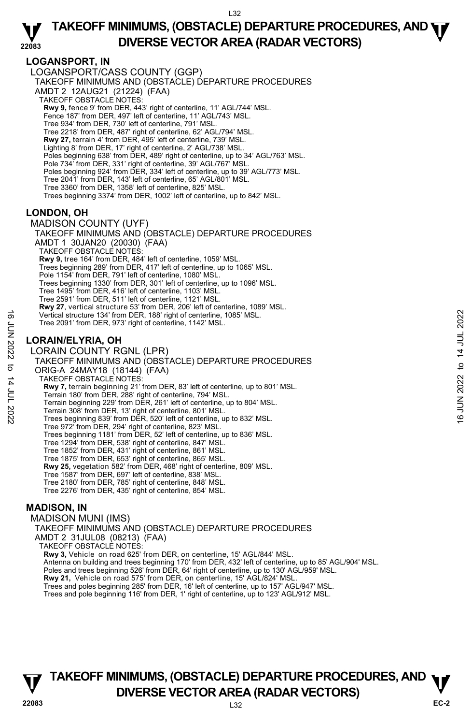## **LOGANSPORT, IN**

LOGANSPORT/CASS COUNTY (GGP) TAKEOFF MINIMUMS AND (OBSTACLE) DEPARTURE PROCEDURES AMDT 2 12AUG21 (21224) (FAA) TAKEOFF OBSTACLE NOTES: **Rwy 9,** fence 9' from DER, 443' right of centerline, 11' AGL/744' MSL.<br>Fence 187' from DER, 497' left of centerline, 11' AGL/743' MSL. Tree 934' from DER, 730' left of centerline, 791' MSL. Tree 2218' from DER, 487' right of centerline, 62' AGL/794' MSL. **Rwy 27,** terrain 4' from DER, 495' left of centerline, 739' MSL. Lighting 8' from DER, 17' right of centerline, 2' AGL/738' MSL. Poles beginning 638' from DER, 489' right of centerline, up to 34' AGL/763' MSL. Pole 734' from DER, 331' right of centerline, 39' AGL/767' MSL. Poles beginning 924' from DER, 334' left of centerline, up to 39' AGL/773' MSL. Tree 2041' from DER, 143' left of centerline, 65' AGL/801' MSL. Tree 3360' from DER, 1358' left of centerline, 825' MSL. Trees beginning 3374' from DER, 1002' left of centerline, up to 842' MSL.

## **LONDON, OH**

MADISON COUNTY (UYF) TAKEOFF MINIMUMS AND (OBSTACLE) DEPARTURE PROCEDURES AMDT 1 30JAN20 (20030) (FAA) TAKEOFF OBSTACLE NOTES: **Rwy 9,** tree 164' from DER, 484' left of centerline, 1059' MSL. Trees beginning 289' from DER, 417' left of centerline, up to 1065' MSL. Pole 1154' from DER, 791' left of centerline, 1080' MSL. Trees beginning 1330' from DER, 301' left of centerline, up to 1096' MSL. Tree 1495' from DER, 416' left of centerline, 1103' MSL. Tree 2591' from DER, 511' left of centerline, 1121' MSL. **Rwy 27**, vertical structure 53' from DER, 206' left of centerline, 1089' MSL. Vertical structure 134' from DER, 188' right of centerline, 1085' MSL. Tree 2091' from DER, 973' right of centerline, 1142' MSL. **LORAIN/ELYRIA, OH**  LORAIN COUNTY RGNL (LPR) TAKEOFF MINIMUMS AND (OBSTACLE) DEPARTURE PROCEDURES ORIG-A 24MAY18 (18144) (FAA) TAKEOFF OBSTACLE NOTES: **Rwy 7,** terrain beginning 21' from DER, 83' left of centerline, up to 801' MSL. Terrain 180' from DER, 288' right of centerline, 794' MSL. Terrain beginning 229' from DER, 261' left of centerline, up to 804' MSL. Terrain 308' from DER, 13' right of centerline, 801' MSL. Trees beginning 839' from DER, 520' left of centerline, up to 832' MSL. Tree 972' from DER, 294' right of centerline, 823' MSL. Trees beginning 1181' from DER, 52' left of centerline, up to 836' MSL. Tree 1294' from DER, 538' right of centerline, 847' MSL. Tree 1852' from DER, 431' right of centerline, 861' MSL. Tree 1875' from DER, 653' right of centerline, 865' MSL. **Rwy 25,** vegetation 582' from DER, 468' right of centerline, 809' MSL. Tree 1587' from DER, 697' left of centerline, 838' MSL. Tree 2180' from DER, 785' right of centerline, 848' MSL. Tree 2276' from DER, 435' right of centerline, 854' MSL. Free 2091' from DER, 973' right of centerline, 1085' MSL.<br>
Tree 2091' from DER, 973' right of centerline, 1142' MSL.<br> **LORAIN/ELYRIA, OH**<br>
LORAIN COUNTY RGNL (LPR)<br>
TAKEOFF MINIMUMS AND (OBSTACLE) DEPARTURE PROCEDURES<br>

#### **MADISON, IN**

MADISON MUNI (IMS) TAKEOFF MINIMUMS AND (OBSTACLE) DEPARTURE PROCEDURES AMDT 2 31JUL08 (08213) (FAA) TAKEOFF OBSTACLE NOTES: **Rwy 3,** Vehicle on road 625' from DER, on centerline, 15' AGL/844' MSL. Antenna on building and trees beginning 170' from DER, 432' left of centerline, up to 85' AGL/904' MSL. Poles and trees beginning 526' from DER, 64' right of centerline, up to 130' AGL/959' MSL.<br>**Rwy 21,** Vehicle on road 575' from DER, on centerline, 15' AGL/824' MSL. Trees and poles beginning 285' from DER, 16' left of centerline, up to 157' AGL/947' MSL. Trees and pole beginning 116' from DER, 1' right of centerline, up to 123' AGL/912' MSL.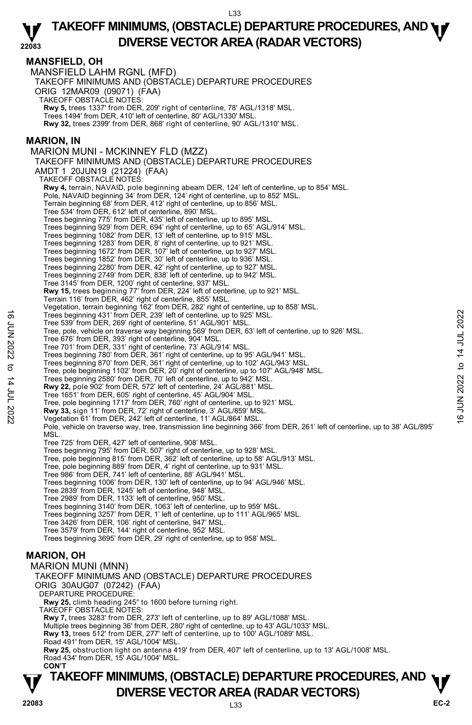## **MANSFIELD, OH**

MANSFIELD LAHM RGNL (MFD) TAKEOFF MINIMUMS AND (OBSTACLE) DEPARTURE PROCEDURES ORIG 12MAR09 (09071) (FAA) TAKEOFF OBSTACLE NOTES: **Rwy 5,** trees 1337' from DER, 209' right of centerline, 78' AGL/1318' MSL. Trees 1494' from DER, 410' left of centerline, 80' AGL/1330' MSL. **Rwy 32,** trees 2399' from DER, 868' right of centerline, 90' AGL/1310' MSL. **MARION, IN**  MARION MUNI - MCKINNEY FLD (MZZ) TAKEOFF MINIMUMS AND (OBSTACLE) DEPARTURE PROCEDURES AMDT 1 20JUN19 (21224) (FAA) TAKEOFF OBSTACLE NOTES: **Rwy 4,** terrain, NAVAID, pole beginning abeam DER, 124' left of centerline, up to 854' MSL. Pole, NAVAID beginning 34' from DER, 124' right of centerline, up to 852' MSL. Terrain beginning 68' from DER, 412' right of centerline, up to 856' MSL. Tree 534' from DER, 612' left of centerline, 890' MSL. Trees beginning 775' from DER, 435' left of centerline, up to 895' MSL. Trees beginning 929' from DER, 694' right of centerline, up to 65' AGL/914' MSL. Trees beginning 1082' from DER, 13' left of centerline, up to 915' MSL. Trees beginning 1283' from DER, 8' right of centerline, up to 921' MSL. Trees beginning 1672' from DER, 107' left of centerline, up to 927' MSL. Trees beginning 1852' from DER, 30' left of centerline, up to 936' MSL. Trees beginning 2280' from DER, 42' right of centerline, up to 927' MSL. Trees beginning 2749' from DER, 838' left of centerline, up to 942' MSL. Tree 3145' from DER, 1200' right of centerline, 937' MSL. **Rwy 15,** trees beginning 77' from DER, 224' left of centerline, up to 921' MSL. Terrain 116' from DER, 462' right of centerline, 855' MSL. Vegetation, terrain beginning 162' from DER, 282' right of centerline, up to 858' MSL. Trees beginning 431' from DER, 239' left of centerline, up to 925' MSL. Tree 539' from DER, 269' right of centerline, 51' AGL/901' MSL. Tree, pole, vehicle on traverse way beginning 569' from DER, 63' left of centerline, up to 926' MSL. Tree 676' from DER, 393' right of centerline, 904' MSL. Tree 701' from DER, 331' right of centerline, 73' AGL/914' MSL. Trees beginning 780' from DER, 361' right of centerline, up to 95' AGL/941' MSL. Trees beginning 870' from DER, 361' right of centerline, up to 102' AGL/943' MSL. Tree, pole beginning 1102' from DER, 20' right of centerline, up to 107' AGL/948' MSL. Trees beginning 2580' from DER, 70' left of centerline, up to 942' MSL. **Rwy 22,** pole 902' from DER, 572' left of centerline, 24' AGL/881' MSL. Tree 1651' from DER, 605' right of centerline, 45' AGL/904' MSL. Tree, pole beginning 1717' from DER, 760' right of centerline, up to 921' MSL. **Rwy 33,** sign 11' from DER, 72' right of centerline, 3' AGL/859' MSL. Vegetation 61' from DER, 242' left of centerline, 11' AGL/864' MSL. Pole, vehicle on traverse way, tree, transmission line beginning 366' from DER, 261' left of centerline, up to 38' AGL/895' **MSL** Tree 725' from DER, 427' left of centerline, 908' MSL. Trees beginning 795' from DER, 507' right of centerline, up to 928' MSL. Tree, pole beginning 815' from DER, 362' left of centerline, up to 58' AGL/913' MSL. Tree, pole beginning 889' from DER, 4' right of centerline, up to 931' MSL. Tree 986' from DER, 741' left of centerline, 88' AGL/941' MSL. Trees beginning 1006' from DER, 130' left of centerline, up to 94' AGL/946' MSL. Tree 2839' from DER, 1245' left of centerline, 948' MSL.<br>Tree 2989' from DER, 1133' left of centerline, 950' MSL.<br>Trees beginning 3140' from DER, 1063' left of centerline, up to 959' MSL. Trees beginning 3257' from DER, 1' left of centerline, up to 111' AGL/965' MSL. Tree 3426' from DER, 106' right of centerline, 947' MSL. Tree 3579' from DER, 144' right of centerline, 952' MSL. Trees beginning 3695' from DER, 29' right of centerline, up to 958' MSL. **MARION, OH**  MARION MUNI (MNN) TAKEOFF MINIMUMS AND (OBSTACLE) DEPARTURE PROCEDURES ORIG 30AUG07 (07242) (FAA) DEPARTURE PROCEDURE **Rwy 25,** climb heading 245° to 1600 before turning right. TAKEOFF OBSTACLE NOTES: **Rwy 7,** trees 3283' from DER, 273' left of centerline, up to 89' AGL/1088' MSL. Multiple trees beginning 36' from DER, 280' right of centerline, up to 43' AGL/1033' MSL. **Rwy 13,** trees 512' from DER, 277' left of centerline, up to 100' AGL/1089' MSL. Road 491' from DER, 15' AGL/1004' MSL. Trees beginning 431' from DER, 239' left of centerline, up to 925' MSL.<br>
Tree 599' from DER, 86' gight of centerline, 51' AGL/901' MSL.<br>
Tree 676' from DER, 393' right of centerline, 904' MSL.<br>
Tree 676' from DER, 393' ri

**Rwy 25,** obstruction light on antenna 419' from DER, 407' left of centerline, up to 13' AGL/1008' MSL. Road 434' from DER, 15' AGL/1004' MSL.  **CON'T**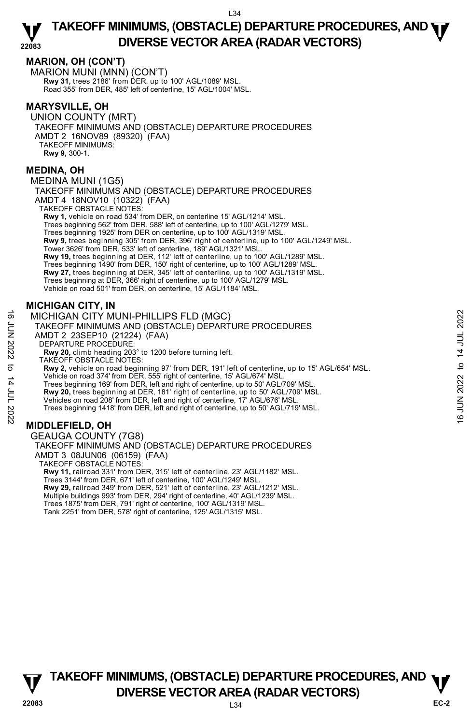## **MARION, OH (CON'T)**

MARION MUNI (MNN) (CON'T) **Rwy 31,** trees 2186' from DER, up to 100' AGL/1089' MSL. Road 355' from DER, 485' left of centerline, 15' AGL/1004' MSL.

## **MARYSVILLE, OH**

UNION COUNTY (MRT) TAKEOFF MINIMUMS AND (OBSTACLE) DEPARTURE PROCEDURES AMDT 2 16NOV89 (89320) (FAA) TAKEOFF MINIMUMS: **Rwy 9,** 300-1.

#### **MEDINA, OH**

MEDINA MUNI (1G5)

TAKEOFF MINIMUMS AND (OBSTACLE) DEPARTURE PROCEDURES AMDT 4 18NOV10 (10322) (FAA) TAKEOFF OBSTACLE NOTES:

**Rwy 1,** vehicle on road 534' from DER, on centerline 15' AGL/1214' MSL. Trees beginning 562' from DER, 588' left of centerline, up to 100' AGL/1279' MSL. Trees beginning 1925' from DER on centerline, up to 100' AGL/1319' MSL. **Rwy 9,** trees beginning 305' from DER, 396' right of centerline, up to 100' AGL/1249' MSL. Tower 3626' from DER, 533' left of centerline, 189' AGL/1321' MSL. **Rwy 19,** trees beginning at DER, 112' left of centerline, up to 100' AGL/1289' MSL. Trees beginning 1490' from DER, 150' right of centerline, up to 100' AGL/1289' MSL. **Rwy 27,** trees beginning at DER, 345' left of centerline, up to 100' AGL/1319' MSL.<br>Trees beginning at DER, 366' right of centerline, up to 100' AGL/1279' MSL. Vehicle on road 501' from DER, on centerline, 15' AGL/1184' MSL.

## **MICHIGAN CITY, IN**

MICHIGAN CITY MUNI-PHILLIPS FLD (MGC) TAKEOFF MINIMUMS AND (OBSTACLE) DEPARTURE PROCEDURES AMDT 2 23SEP10 (21224) (FAA) DEPARTURE PROCEDURE: **Rwy 20,** climb heading 203° to 1200 before turning left. TAKEOFF OBSTACLE NOTES: **Rwy 2,** vehicle on road beginning 97' from DER, 191' left of centerline, up to 15' AGL/654' MSL. Vehicle on road 374' from DER, 555' right of centerline, 15' AGL/674' MSL. Trees beginning 169' from DER, left and right of centerline, up to 50' AGL/709' MSL. **Rwy 20,** trees beginning at DER, 181' right of centerline, up to 50' AGL/709' MSL. Vehicles on road 208' from DER, left and right of centerline, 17' AGL/676' MSL. Trees beginning 1418' from DER, left and right of centerline, up to 50' AGL/719' MSL. MICHIGAN CITY MUNI-PHILLIPS FLD (MGC)<br>  $\frac{1}{2}$  TAKEOFF MINIMUMS AND (OBSTACLE) DEPARTURE PROCEDURES<br>
AMDT 2 23SEP10 (21224) (FAA)<br>
DEPARTURE PROCEDURE:<br>
NEW 20, climb heading 203° to 1200 before turning left.<br>
TAKEOFF O

## **MIDDLEFIELD, OH**

GEAUGA COUNTY (7G8) TAKEOFF MINIMUMS AND (OBSTACLE) DEPARTURE PROCEDURES AMDT 3 08JUN06 (06159) (FAA) TAKEOFF OBSTACLE NOTES: **Rwy 11,** railroad 331' from DER, 315' left of centerline, 23' AGL/1182' MSL. Trees 3144' from DER, 671' left of centerline, 100' AGL/1249' MSL. **Rwy 29,** railroad 349' from DER, 521' left of centerline, 23' AGL/1212' MSL. Multiple buildings 993' from DER, 294' right of centerline, 40' AGL/1239' MSL. Trees 1875' from DER, 791' right of centerline, 100' AGL/1319' MSL. Tank 2251' from DER, 578' right of centerline, 125' AGL/1315' MSL.

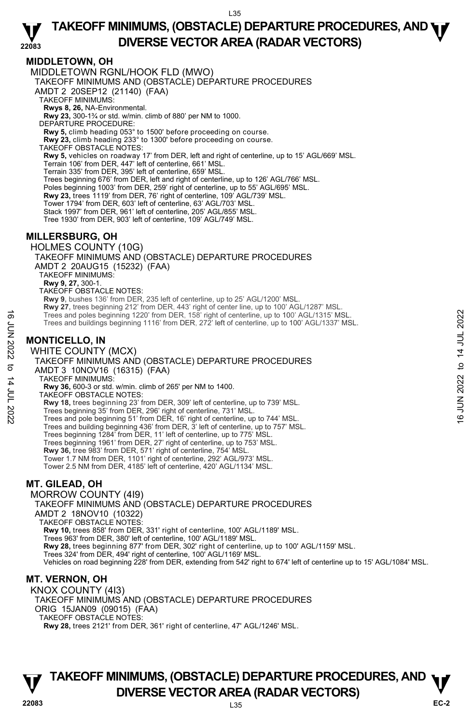## **MIDDLETOWN, OH**

MIDDLETOWN RGNL/HOOK FLD (MWO) TAKEOFF MINIMUMS AND (OBSTACLE) DEPARTURE PROCEDURES AMDT 2 20SEP12 (21140) (FAA) TAKEOFF MINIMUMS: **Rwys 8, 26,** NA-Environmental.<br>**Rwy 23,** 300-1¾ or std. w/min. climb of 880' per NM to 1000. DEPARTURE PROCEDURE: **Rwy 5,** climb heading 053° to 1500' before proceeding on course. **Rwy 23,** climb heading 233° to 1300' before proceeding on course. TAKEOFF OBSTACLE NOTES: **Rwy 5,** vehicles on roadway 17' from DER, left and right of centerline, up to 15' AGL/669' MSL. Terrain 106' from DER, 447' left of centerline, 661' MSL. Terrain 335' from DER, 395' left of centerline, 659' MSL. Trees beginning 676' from DER, left and right of centerline, up to 126' AGL/766' MSL. Poles beginning 1003' from DER, 259' right of centerline, up to 55' AGL/695' MSL. **Rwy 23,** trees 1119' from DER, 76' right of centerline, 109' AGL/739' MSL. Tower 1794' from DER, 603' left of centerline, 63' AGL/703' MSL. Stack 1997' from DER, 961' left of centerline, 205' AGL/855' MSL. Tree 1930' from DER, 903' left of centerline, 109' AGL/749' MSL. **MILLERSBURG, OH**  HOLMES COUNTY (10G) TAKEOFF MINIMUMS AND (OBSTACLE) DEPARTURE PROCEDURES AMDT 2 20AUG15 (15232) (FAA) TAKEOFF MINIMUMS: **Rwy 9, 27,** 300-1. TAKEOFF OBSTACLE NOTES: **Rwy 9,** bushes 136' from DER, 235 left of centerline, up to 25' AGL/1200' MSL. **Rwy 27,** trees beginning 212' from DER, 443' right of center line, up to 100' AGL/1287' MSL. Trees and poles beginning 1220' from DER, 158' right of centerline, up to 100' AGL/1315' MSL. Trees and buildings beginning 1116' from DER, 272' left of centerline, up to 100' AGL/1337' MSL. **MONTICELLO, IN**  WHITE COUNTY (MCX) TAKEOFF MINIMUMS AND (OBSTACLE) DEPARTURE PROCEDURES AMDT 3 10NOV16 (16315) (FAA) TAKEOFF MINIMUMS: **Rwy 36,** 600-3 or std. w/min. climb of 265' per NM to 1400. TAKEOFF OBSTACLE NOTES: **Rwy 18,** trees beginning 23' from DER, 309' left of centerline, up to 739' MSL. Trees beginning 35' from DER, 296' right of centerline, 731' MSL. Trees and pole beginning 51' from DER, 16' right of centerline, up to 744' MSL. Trees and building beginning 436' from DER, 3' left of centerline, up to 757' MSL. Trees beginning 1284' from DER, 11' left of centerline, up to 775' MSL. Trees beginning 1961' from DER, 27' right of centerline, up to 753' MSL. **Rwy 36,** tree 983' from DER, 571' right of centerline, 754' MSL. Tower 1.7 NM from DER, 1101' right of centerline, 292' AGL/973' MSL. Tower 2.5 NM from DER, 4185' left of centerline, 420' AGL/1134' MSL. **MT. GILEAD, OH**  MORROW COUNTY (4I9) TAKEOFF MINIMUMS AND (OBSTACLE) DEPARTURE PROCEDURES AMDT 2 18NOV10 (10322) TAKEOFF OBSTACLE NOTES: **Rwy 10,** trees 858' from DER, 331' right of centerline, 100' AGL/1189' MSL. Trees 963' from DER, 380' left of centerline, 100' AGL/1189' MSL. Trees and poles beginning 1220' from DER, 158' right of centerline, up to 100' AGL/1315' MSL.<br>
Trees and buildings beginning 1116' from DER, 272' left of centerline, up to 100' AGL/1337' MSL.<br>
MONTICELLO, IN<br>
WHITE COUNTY

**Rwy 28,** trees beginning 877' from DER, 302' right of centerline, up to 100' AGL/1159' MSL.<br>Trees 324' from DER, 494' right of centerline, 100' AGL/1169' MSL.

Vehicles on road beginning 228' from DER, extending from 542' right to 674' left of centerline up to 15' AGL/1084' MSL.

## **MT. VERNON, OH**

KNOX COUNTY (4I3) TAKEOFF MINIMUMS AND (OBSTACLE) DEPARTURE PROCEDURES ORIG 15JAN09 (09015) (FAA) TAKEOFF OBSTACLE NOTES: **Rwy 28,** trees 2121' from DER, 361' right of centerline, 47' AGL/1246' MSL.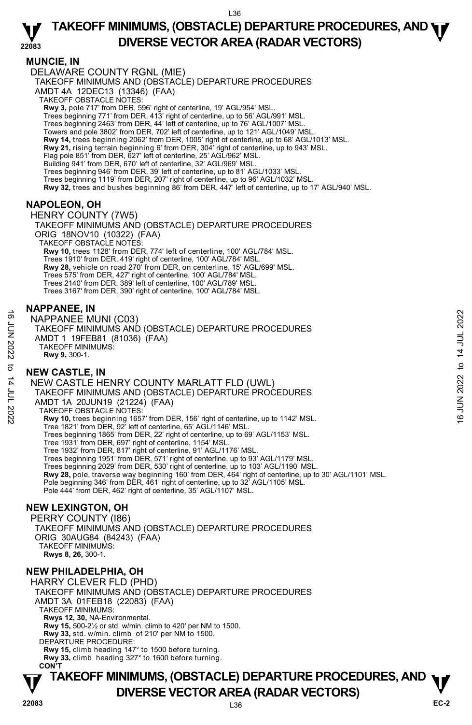#### **22083 TAKEOFF MINIMUMS, (OBSTACLE) DEPARTURE PROCEDURES, AND <b>WE**<br>DREBSE VECTOR AREA (BADAR VECTORS) **DIVERSE VECTOR AREA (RADAR VECTORS)**

## **MUNCIE, IN**

DELAWARE COUNTY RGNL (MIE)

TAKEOFF MINIMUMS AND (OBSTACLE) DEPARTURE PROCEDURES

AMDT 4A 12DEC13 (13346) (FAA)

TAKEOFF OBSTACLE NOTES:

**Rwy 3,** pole 717' from DER, 596' right of centerline, 19' AGL/954' MSL.<br>Trees beginning 771' from DER, 413' right of centerline, up to 56' AGL/991' MSL.

Trees beginning 2463' from DER, 44' left of centerline, up to 76' AGL/1007' MSL.

Towers and pole 3802' from DER, 702' left of centerline, up to 121' AGL/1049' MSL.

**Rwy 14,** trees beginning 2062' from DER, 1005' right of centerline, up to 68' AGL/1013' MSL.<br>**Rwy 21,** rising terrain beginning 6' from DER, 304' right of centerline, up to 943' MSL.

Flag pole 851' from DER, 627' left of centerline, 25' AGL/962' MSL.

Building 941' from DER, 670' left of centerline, 32' AGL/969' MSL.

Trees beginning 946' from DER, 39' left of centerline, up to 81' AGL/1033' MSL.

Trees beginning 1119' from DER, 207' right of centerline, up to 96' AGL/1032' MSL.

**Rwy 32,** trees and bushes beginning 86' from DER, 447' left of centerline, up to 17' AGL/940' MSL.

## **NAPOLEON, OH**

HENRY COUNTY (7W5) TAKEOFF MINIMUMS AND (OBSTACLE) DEPARTURE PROCEDURES ORIG 18NOV10 (10322) (FAA) TAKEOFF OBSTACLE NOTES: **Rwy 10,** trees 1128' from DER, 774' left of centerline, 100' AGL/784' MSL. Trees 1910' from DER, 419' right of centerline, 100' AGL/784' MSL. **Rwy 28,** vehicle on road 270' from DER, on centerline, 15' AGL/699' MSL. Trees 575' from DER, 427' right of centerline, 100' AGL/784' MSL. Trees 2140' from DER, 389' left of centerline, 100' AGL/789' MSL. Trees 3167' from DER, 390' right of centerline, 100' AGL/784' MSL.

#### **NAPPANEE, IN**

NAPPANEE MUNI (C03) TAKEOFF MINIMUMS AND (OBSTACLE) DEPARTURE PROCEDURES AMDT 1 19FEB81 (81036) (FAA) TAKEOFF MINIMUMS: **Rwy 9,** 300-1.

## **NEW CASTLE, IN**

NEW CASTLE HENRY COUNTY MARLATT FLD (UWL) TAKEOFF MINIMUMS AND (OBSTACLE) DEPARTURE PROCEDURES AMDT 1A 20JUN19 (21224) (FAA) TAKEOFF OBSTACLE NOTES: **Rwy 10,** trees beginning 1657' from DER, 156' right of centerline, up to 1142' MSL. Tree 1821' from DER, 92' left of centerline, 65' AGL/1146' MSL. Trees beginning 1865' from DER, 22' right of centerline, up to 69' AGL/1153' MSL. Tree 1931' from DER, 697' right of centerline, 1154' MSL. Tree 1932' from DER, 817' right of centerline, 91' AGL/1176' MSL. Trees beginning 1951' from DER, 571' right of centerline, up to 93' AGL/1179' MSL. Trees beginning 2029' from DER, 530' right of centerline, up to 103' AGL/1190' MSL.<br>**Rwy 28,** pole, traverse way beginning 160' from DER, 464' right of centerline, up to 30' AGL/1101' MSL. Pole beginning 346' from DER, 461' right of centerline, up to 32' AGL/1105' MSL. Pole 444' from DER, 462' right of centerline, 35' AGL/1107' MSL. 16 MAPPANEE MUNI (C03)<br>
TAKEOFF MINIMUMS AND (OBSTACLE) DEPARTURE PROCEDURES<br>
TAKEOFF MINIMUMS:<br>
AMDT 1 19FEB81 (81036) (FAA)<br>
TAKEOFF MINIMUMS:<br>
NEW CASTLE HENRY COUNTY MARLATT FLD (UWL)<br>
TAKEOFF MINIMUMS AND (OBSTACLE)

#### **NEW LEXINGTON, OH**

PERRY COUNTY (I86) TAKEOFF MINIMUMS AND (OBSTACLE) DEPARTURE PROCEDURES ORIG 30AUG84 (84243) (FAA) TAKEOFF MINIMUMS: **Rwys 8, 26,** 300-1.

## **NEW PHILADELPHIA, OH**

HARRY CLEVER FLD (PHD) TAKEOFF MINIMUMS AND (OBSTACLE) DEPARTURE PROCEDURES AMDT 3A 01FEB18 (22083) (FAA) TAKEOFF MINIMUMS: **Rwys 12, 30,** NA-Environmental. **Rwy 15,** 500-2½ or std. w/min. climb to 420' per NM to 1500. **Rwy 33,** std. w/min. climb of 210' per NM to 1500. DEPARTURE PROCEDURE: **Rwy 15,** climb heading 147° to 1500 before turning. **Rwy 33,** climb heading 327° to 1600 before turning. **CON'T**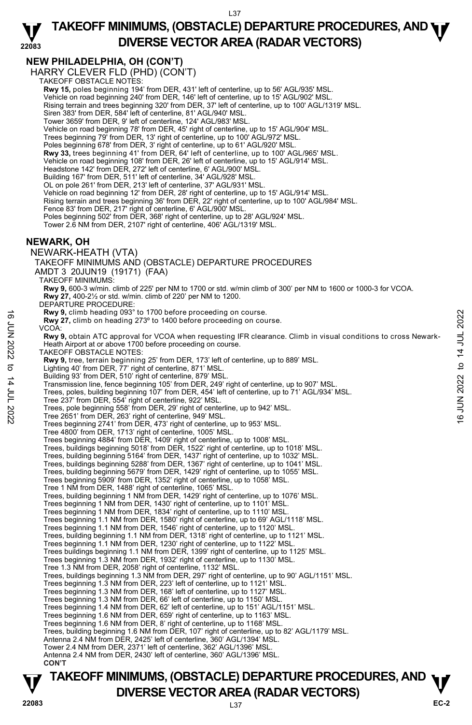#### **22083 TAKEOFF MINIMUMS, (OBSTACLE) DEPARTURE PROCEDURES, AND <b>WE**<br>DREBSE VECTOR AREA (BADAR VECTORS) **DIVERSE VECTOR AREA (RADAR VECTORS)**

# **NEW PHILADELPHIA, OH (CON'T)**

HARRY CLEVER FLD (PHD) (CON'T) TAKEOFF OBSTACLE NOTES:

**Rwy 15,** poles beginning 194' from DER, 431' left of centerline, up to 56' AGL/935' MSL. Vehicle on road beginning 240' from DER, 146' left of centerline, up to 15' AGL/902' MSL. Rising terrain and trees beginning 320' from DER, 37' left of centerline, up to 100' AGL/1319' MSL. Siren 383' from DER, 584' left of centerline, 81' AGL/940' MSL. Tower 3659' from DER, 9' left of centerline, 124' AGL/983' MSL. Vehicle on road beginning 78' from DER, 45' right of centerline, up to 15' AGL/904' MSL. Trees beginning 79' from DER, 13' right of centerline, up to 100' AGL/972' MSL. Poles beginning 678' from DER, 3' right of centerline, up to 61' AGL/920' MSL. **Rwy 33,** trees beginning 41' from DER, 64' left of centerline, up to 100' AGL/965' MSL. Vehicle on road beginning 108' from DER, 26' left of centerline, up to 15' AGL/914' MSL. Headstone 142' from DER, 272' left of centerline, 6' AGL/900' MSL. Building 167' from DER, 511' left of centerline, 34' AGL/928' MSL. OL on pole 261' from DER, 213' left of centerline, 37' AGL/931' MSL. Vehicle on road beginning 12' from DER, 28' right of centerline, up to 15' AGL/914' MSL. Rising terrain and trees beginning 36' from DER, 22' right of centerline, up to 100' AGL/984' MSL. Fence 83' from DER, 217' right of centerline, 6' AGL/900' MSL Poles beginning 502' from DER, 368' right of centerline, up to 28' AGL/924' MSL. Tower 2.6 NM from DER, 2107' right of centerline, 406' AGL/1319' MSL. **NEWARK, OH**  NEWARK-HEATH (VTA) TAKEOFF MINIMUMS AND (OBSTACLE) DEPARTURE PROCEDURES AMDT 3 20JUN19 (19171) (FAA) TAKEOFF MINIMUMS: **Rwy 9,** 600-3 w/min. climb of 225' per NM to 1700 or std. w/min climb of 300' per NM to 1600 or 1000-3 for VCOA. **Rwy 27,** 400-2½ or std. w/min. climb of 220' per NM to 1200. DEPARTURE PROCEDURE: **Rwy 9,** climb heading 093° to 1700 before proceeding on course. **Rwy 27,** climb on heading 273º to 1400 before proceeding on course. VCOA: **Rwy 9,** obtain ATC approval for VCOA when requesting IFR clearance. Climb in visual conditions to cross Newark-Heath Airport at or above 1700 before proceeding on course. TAKEOFF OBSTACLE NOTES: **Rwy 9,** tree, terrain beginning 25' from DER, 173' left of centerline, up to 889' MSL. Lighting 40' from DER, 77' right of centerline, 871' MSL. Building 93' from DER, 510' right of centerline, 879' MSL. Transmission line, fence beginning 105' from DER, 249' right of centerline, up to 907' MSL. Trees, poles, building beginning 107' from DER, 454' left of centerline, up to 71' AGL/934' MSL. Tree 237' from DER, 554' right of centerline, 922' MSL. Trees, pole beginning 558' from DER, 29' right of centerline, up to 942' MSL. Tree 2651' from DER, 263' right of centerline, 949' MSL. Trees beginning 2741' from DER, 473' right of centerline, up to 953' MSL. Tree 4800' from DER, 1713' right of centerline, 1005' MSL. Trees beginning 4884' from DER, 1409' right of centerline, up to 1008' MSL. Trees, buildings beginning 5018' from DER, 1522' right of centerline, up to 1018' MSL. Trees, building beginning 5164' from DER, 1437' right of centerline, up to 1032' MSL. Trees, buildings beginning 5288' from DER, 1367' right of centerline, up to 1041' MSL. Trees, building beginning 5679' from DER, 1429' right of centerline, up to 1055' MSL. Trees beginning 5909' from DER, 1352' right of centerline, up to 1058' MSL. Tree 1 NM from DER, 1488' right of centerline, 1065' MSL. Trees, building beginning 1 NM from DER, 1429' right of centerline, up to 1076' MSL. Trees beginning 1 NM from DER, 1430' right of centerline, up to 1101' MSL. Trees beginning 1 NM from DER, 1834' right of centerline, up to 1110' MSL. Trees beginning 1.1 NM from DER, 1580' right of centerline, up to 69' AGL/1118' MSL. Trees beginning 1.1 NM from DER, 1546' right of centerline, up to 1120' MSL. Trees, building beginning 1.1 NM from DER, 1318' right of centerline, up to 1121' MSL. Trees beginning 1.1 NM from DER, 1230' right of centerline, up to 1122' MSL.<br>Trees buildings beginning 1.1 NM from DER, 1399' right of centerline, up to 1125' MSL. Trees beginning 1.3 NM from DER, 1932' right of centerline, up to 1130' MSL. Tree 1.3 NM from DER, 2058' right of centerline, 1132' MSL. Trees, buildings beginning 1.3 NM from DER, 297' right of centerline, up to 90' AGL/1151' MSL.<br>Trees beginning 1.3 NM from DER, 223' left of centerline, up to 1121' MSL. Trees beginning 1.3 NM from DER, 168' left of centerline, up to 1127' MSL. Trees beginning 1.3 NM from DER, 66' left of centerline, up to 1150' MSL. Trees beginning 1.4 NM from DER, 62' left of centerline, up to 151' AGL/1151' MSL. Trees beginning 1.6 NM from DER, 659' right of centerline, up to 1163' MSL. Trees beginning 1.6 NM from DER, 8' right of centerline, up to 1168' MSL. Trees, building beginning 1.6 NM from DER, 107' right of centerline, up to 82' AGL/1179' MSL. Antenna 2.4 NM from DER, 2425' left of centerline, 360' AGL/1394' MSL. Tower 2.4 NM from DER, 2371' left of centerline, 362' AGL/1396' MSL. Antenna 2.4 NM from DER, 2430' left of centerline, 360' AGL/1396' MSL.  **CON'T EVALUATE:**<br> **EVALUATE:**<br> **EVALUATE:**<br> **EVALUATE:**<br> **EVALUATE:**<br> **EVALUATE:**<br> **EVALUATE:**<br> **EVALUATE:**<br> **EVALUATE:**<br> **EVALUATE:**<br> **EVALUATE:**<br> **EVALUATE:**<br> **EVALUATE:**<br> **EVALUATE:**<br> **EVALUATE:**<br> **EVALUATE:**<br> **EVALUATE:**<br>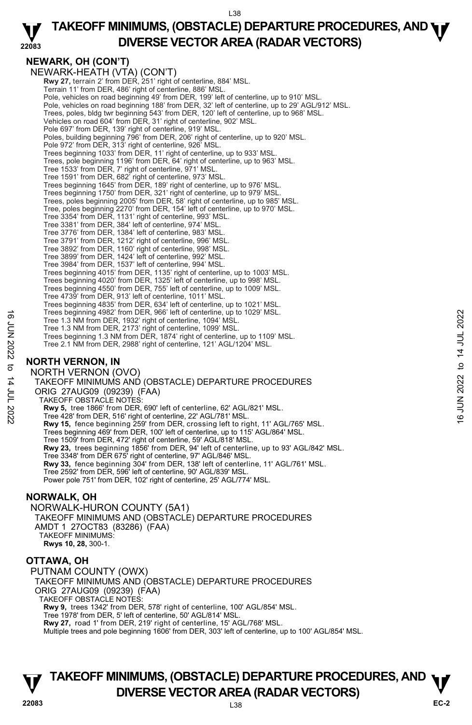#### **22083 TAKEOFF MINIMUMS, (OBSTACLE) DEPARTURE PROCEDURES, AND <b>WE**<br>DREBSE VECTOR AREA (BADAR VECTORS) **DIVERSE VECTOR AREA (RADAR VECTORS)**

## **NEWARK, OH (CON'T)**

NEWARK-HEATH (VTA) (CON'T) **Rwy 27,** terrain 2' from DER, 251' right of centerline, 884' MSL. Terrain 11' from DER, 486' right of centerline, 886' MSL. Pole, vehicles on road beginning 49' from DER, 199' left of centerline, up to 910' MSL. Pole, vehicles on road beginning 188' from DER, 32' left of centerline, up to 29' AGL/912' MSL. Trees, poles, bldg twr beginning 543' from DER, 120' left of centerline, up to 968' MSL. Vehicles on road 604' from DER, 31' right of centerline, 902' MSL. Pole 697' from DER, 139' right of centerline, 919' MSL. Poles, building beginning 796' from DER, 206' right of centerline, up to 920' MSL. Pole 972' from DER, 313' right of centerline, 926' MSL. Trees beginning 1033' from DER, 11' right of centerline, up to 933' MSL. Trees, pole beginning 1196' from DER, 64' right of centerline, up to 963' MSL. Tree 1533' from DER, 7' right of centerline, 971' MSL. Tree 1591' from DER, 682' right of centerline, 973' MSL. Trees beginning 1645' from DER, 189' right of centerline, up to 976' MSL. Trees beginning 1750' from DER, 321' right of centerline, up to 979' MSL. Trees, poles beginning 2005' from DER, 58' right of centerline, up to 985' MSL. Tree, poles beginning 2270' from DER, 154' left of centerline, up to 970' MSL. Tree 3354' from DER, 1131' right of centerline, 993' MSL. Tree 3381' from DER, 384' left of centerline, 974' MSL. Tree 3776' from DER, 1384' left of centerline, 983' MSL. Tree 3791' from DER, 1212' right of centerline, 996' MSL. Tree 3892' from DER, 1160' right of centerline, 998' MSL. Tree 3899' from DER, 1424' left of centerline, 992' MSL. Tree 3984' from DER, 1537' left of centerline, 994' MSL. Trees beginning 4015' from DER, 1135' right of centerline, up to 1003' MSL. Trees beginning 4020' from DER, 1325' left of centerline, up to 998' MSL. Trees beginning 4550' from DER, 755' left of centerline, up to 1009' MSL. Tree 4739' from DER, 913' left of centerline, 1011' MSL. Trees beginning 4835' from DER, 634' left of centerline, up to 1021' MSL. Trees beginning 4982' from DER, 966' left of centerline, up to 1029' MSL. Tree 1.3 NM from DER, 1932' right of centerline, 1094' MSL. Tree 1.3 NM from DER, 2173' right of centerline, 1099' MSL. Trees beginning 1.3 NM from DER, 1874' right of centerline, up to 1109' MSL. Tree 2.1 NM from DER, 2988' right of centerline, 121' AGL/1204' MSL. **NORTH VERNON, IN**  NORTH VERNON (OVO) TAKEOFF MINIMUMS AND (OBSTACLE) DEPARTURE PROCEDURES ORIG 27AUG09 (09239) (FAA) TAKEOFF OBSTACLE NOTES: **Rwy 5,** tree 1866' from DER, 690' left of centerline, 62' AGL/821' MSL. Tree 428' from DER, 516' right of centerline, 22' AGL/781' MSL. **Rwy 15,** fence beginning 259' from DER, crossing left to right, 11' AGL/765' MSL. Trees beginning 469' from DER, 100' left of centerline, up to 115' AGL/864' MSL. Tree 1509' from DER, 472' right of centerline, 59' AGL/818' MSL. **Rwy 23,** trees beginning 1856' from DER, 94' left of centerline, up to 93' AGL/842' MSL. Tree 3348' from DER 675' right of centerline, 97' AGL/846' MSL. **Rwy 33,** fence beginning 304' from DER, 138' left of centerline, 11' AGL/761' MSL.<br>Tree 2592' from DER, 596' left of centerline, 90' AGL/839' MSL. Power pole 751' from DER, 102' right of centerline, 25' AGL/774' MSL. Tree 1.9 NM from DER, 1932 iris of center ine, to 1029' MSL.<br>
Tree 1.3 NM from DER, 1932 right of centerline, 1099' MSL.<br>
Tree 1.3 NM from DER, 1932 right of centerline, 1099' MSL.<br>
Tree 2.1 NM from DER, 1973' right of ce

## **NORWALK, OH**

NORWALK-HURON COUNTY (5A1) TAKEOFF MINIMUMS AND (OBSTACLE) DEPARTURE PROCEDURES AMDT 1 27OCT83 (83286) (FAA) TAKEOFF MINIMUMS: **Rwys 10, 28,** 300-1.

## **OTTAWA, OH**

PUTNAM COUNTY (OWX) TAKEOFF MINIMUMS AND (OBSTACLE) DEPARTURE PROCEDURES ORIG 27AUG09 (09239) (FAA) TAKEOFF OBSTACLE NOTES: **Rwy 9,** trees 1342' from DER, 578' right of centerline, 100' AGL/854' MSL. Tree 1978' from DER, 5' left of centerline, 50' AGL/814' MSL. **Rwy 27,** road 1' from DER, 219' right of centerline, 15' AGL/768' MSL. Multiple trees and pole beginning 1606' from DER, 303' left of centerline, up to 100' AGL/854' MSL.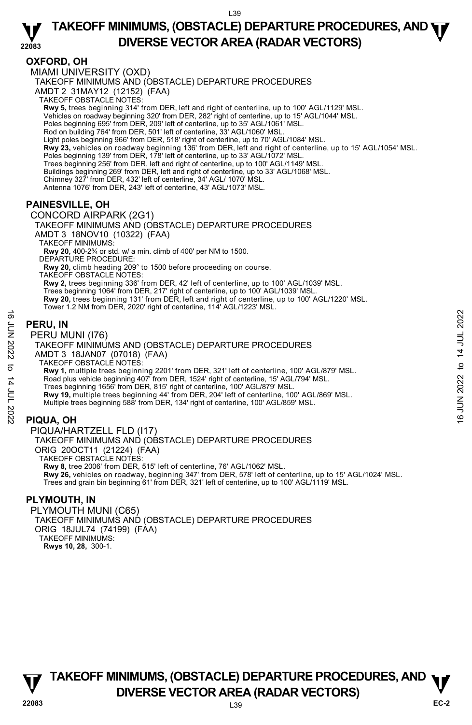## **OXFORD, OH**

MIAMI UNIVERSITY (OXD) TAKEOFF MINIMUMS AND (OBSTACLE) DEPARTURE PROCEDURES AMDT 2 31MAY12 (12152) (FAA) TAKEOFF OBSTACLE NOTES: **Rwy 5,** trees beginning 314' from DER, left and right of centerline, up to 100' AGL/1129' MSL. Vehicles on roadway beginning 320' from DER, 282' right of centerline, up to 15' AGL/1044' MSL. Poles beginning 695' from DER, 209' left of centerline, up to 35' AGL/1061' MSL. Rod on building 764' from DER, 501' left of centerline, 33' AGL/1060' MSL. Light poles beginning 966' from DER, 518' right of centerline, up to 70' AGL/1084' MSL.<br>**Rwy 23,** vehicles on roadway beginning 136' from DER, left and right of centerline, up to 15' AGL/1054' MSL. Poles beginning 139' from DER, 178' left of centerline, up to 33' AGL/1072' MSL. Trees beginning 256' from DER, left and right of centerline, up to 100' AGL/1149' MSL. Buildings beginning 269' from DER, left and right of centerline, up to 33' AGL/1068' MSL. Chimney 327' from DER, 432' left of centerline, 34' AGL/ 1070' MSL. Antenna 1076' from DER, 243' left of centerline, 43' AGL/1073' MSL. **PAINESVILLE, OH** 

## CONCORD AIRPARK (2G1)

TAKEOFF MINIMUMS AND (OBSTACLE) DEPARTURE PROCEDURES AMDT 3 18NOV10 (10322) (FAA) TAKEOFF MINIMUMS: **Rwy 20,** 400-2¾ or std. w/ a min. climb of 400' per NM to 1500. DEPARTURE PROCEDURE: **Rwy 20,** climb heading 209° to 1500 before proceeding on course. TAKEOFF OBSTACLE NOTES: **Rwy 2,** trees beginning 336' from DER, 42' left of centerline, up to 100' AGL/1039' MSL. Trees beginning 1064' from DER, 217' right of centerline, up to 100' AGL/1039' MSL.

**Rwy 20,** trees beginning 131' from DER, left and right of centerline, up to 100' AGL/1220' MSL.<br>Tower 1.2 NM from DER, 2020' right of centerline, 114' AGL/1223' MSL.

## **PERU, IN**

#### PERU MUNI (I76)

TAKEOFF MINIMUMS AND (OBSTACLE) DEPARTURE PROCEDURES AMDT 3 18JAN07 (07018) (FAA) TAKEOFF OBSTACLE NOTES: **Rwy 1,** multiple trees beginning 2201' from DER, 321' left of centerline, 100' AGL/879' MSL. Road plus vehicle beginning 407' from DER, 1524' right of centerline, 15' AGL/794' MSL. Trees beginning 1656' from DER, 815' right of centerline, 100' AGL/879' MSL. **Rwy 19,** multiple trees beginning 44' from DER, 204' left of centerline, 100' AGL/869' MSL. Multiple trees beginning 588' from DER, 134' right of centerline, 100' AGL/859' MSL. **EXELU, IN**<br>  $\frac{1}{2}$ <br> **PERU MUNI (176)**<br>
TAKEOFF MINIMUMS AND (OBSTACLE) DEPARTURE PROCEDURES<br>
AMDT 3 18JAN07 (07018) (FAA)<br>
TAKEOFF MINIMUMS AND (CROSES)<br>
TAKEOFF MINIMUMS AND (CROSES)<br>
TAKEOFF MINIMUMS AND (CROSES)<br>

## **PIQUA, OH**

PIQUA/HARTZELL FLD (I17) TAKEOFF MINIMUMS AND (OBSTACLE) DEPARTURE PROCEDURES ORIG 20OCT11 (21224) (FAA) TAKEOFF OBSTACLE NOTES: **Rwy 8,** tree 2006' from DER, 515' left of centerline, 76' AGL/1062' MSL. **Rwy 26,** vehicles on roadway, beginning 347' from DER, 578' left of centerline, up to 15' AGL/1024' MSL. Trees and grain bin beginning 61' from DER, 321' left of centerline, up to 100' AGL/1119' MSL.

## **PLYMOUTH, IN**

PLYMOUTH MUNI (C65) TAKEOFF MINIMUMS AND (OBSTACLE) DEPARTURE PROCEDURES ORIG 18JUL74 (74199) (FAA) TAKEOFF MINIMUMS: **Rwys 10, 28,** 300-1.

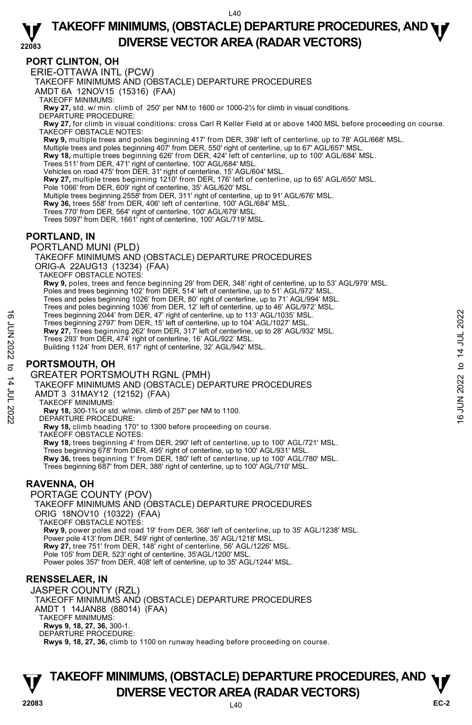#### **22083 TAKEOFF MINIMUMS, (OBSTACLE) DEPARTURE PROCEDURES, AND <b>WE**<br>DREBSE VECTOR AREA (BADAR VECTORS) **DIVERSE VECTOR AREA (RADAR VECTORS)**

## **PORT CLINTON, OH**

ERIE-OTTAWA INTL (PCW)

TAKEOFF MINIMUMS AND (OBSTACLE) DEPARTURE PROCEDURES

AMDT 6A 12NOV15 (15316) (FAA)

TAKEOFF MINIMUMS:

**Rwy 27,** std. w/ min. climb of 250' per NM to 1600 or 1000-2½ for climb in visual conditions. DEPARTURE PROCEDURE:

**Rwy 27,** for climb in visual conditions: cross Carl R Keller Field at or above 1400 MSL before proceeding on course. TAKEOFF OBSTACLE NOTES:

**Rwy 9,** multiple trees and poles beginning 417' from DER, 398' left of centerline, up to 78' AGL/668' MSL.<br>Multiple trees and poles beginning 407' from DER, 550' right of centerline, up to 67' AGL/657' MSL.

**Rwy 18,** multiple trees beginning 626' from DER, 424' left of centerline, up to 100' AGL/684' MSL.

Trees 511' from DER, 471' right of centerline, 100' AGL/684' MSL.

Vehicles on road 475' from DER, 31' right of centerline, 15' AGL/604' MSL.

**Rwy 27,** multiple trees beginning 1210' from DER, 176' left of centerline, up to 65' AGL/650' MSL.

Pole 1066' from DER, 609' right of centerline, 35' AGL/620' MSL. Multiple trees beginning 2558' from DER, 311' right of centerline, up to 91' AGL/676' MSL.

**Rwy 36,** trees 558' from DER, 406' left of centerline, 100' AGL/684' MSL.

Trees 770' from DER, 564' right of centerline, 100' AGL/679' MSL.

Trees 5097' from DER, 1661' right of centerline, 100' AGL/719' MSL.

## **PORTLAND, IN**

PORTLAND MUNI (PLD)

TAKEOFF MINIMUMS AND (OBSTACLE) DEPARTURE PROCEDURES

ORIG-A 22AUG13 (13234) (FAA)

TAKEOFF OBSTACLE NOTES:

**Rwy 9,** poles, trees and fence beginning 29' from DER, 348' right of centerline, up to 53' AGL/979' MSL.

Poles and trees beginning 102' from DER, 514' left of centerline, up to 51' AGL/972' MSL.

Trees and poles beginning 1026' from DER, 80' right of centerline, up to 71' AGL/994' MSL. Trees and poles beginning 1036' from DER, 12' left of centerline, up to 46' AGL/972' MSL.

Trees beginning 2044' from DER, 47' right of centerline, up to 113' AGL/1035' MSL.

Trees beginning 2797' from DER, 15' left of centerline, up to 104' AGL/1027' MSL.

**Rwy 27,** Trees beginning 262' from DER, 317' left of centerline, up to 28' AGL/932' MSL.

Trees 293' from DER, 474' right of centerline, 16' AGL/922' MSL.

Building 1124' from DER, 617' right of centerline, 32' AGL/942' MSL.

## **PORTSMOUTH, OH**

GREATER PORTSMOUTH RGNL (PMH)

TAKEOFF MINIMUMS AND (OBSTACLE) DEPARTURE PROCEDURES Trees beginning 2044' from DER, 47' right of centerline, up to 113' AGL/1035' MSL.<br>
These beginning 277' from DER, 13' left of centerline, up to 104' AGL/1027' MSL.<br>
These 293' from DER, 474' right of centerline, 16' AGL/

AMDT 3 31MAY12 (12152) (FAA)

TAKEOFF MINIMUMS:

**Rwy 18,** 300-1¾ or std. w/min. climb of 257' per NM to 1100. DEPARTURE PROCEDURE:

**Rwy 18,** climb heading 170° to 1300 before proceeding on course.

TAKEOFF OBSTACLE NOTES:

**Rwy 18,** trees beginning 4' from DER, 290' left of centerline, up to 100' AGL/721' MSL.

Trees beginning 678' from DER, 495' right of centerline, up to 100' AGL/931' MSL. **Rwy 36,** trees beginning 1' from DER, 180' left of centerline, up to 100' AGL/780' MSL. Trees beginning 687' from DER, 388' right of centerline, up to 100' AGL/710' MSL.

## **RAVENNA, OH**

PORTAGE COUNTY (POV) TAKEOFF MINIMUMS AND (OBSTACLE) DEPARTURE PROCEDURES ORIG 18NOV10 (10322) (FAA) TAKEOFF OBSTACLE NOTES: **Rwy 9,** power poles and road 19' from DER, 368' left of centerline, up to 35' AGL/1238' MSL. Power pole 413' from DER, 549' right of centerline, 35' AGL/1218' MSL. **Rwy 27,** tree 751' from DER, 148' right of centerline, 56' AGL/1226' MSL. Pole 105' from DER, 523' right of centerline, 35'AGL/1200' MSL. Power poles 357' from DER, 408' left of centerline, up to 35' AGL/1244' MSL.

#### **RENSSELAER, IN**

JASPER COUNTY (RZL) TAKEOFF MINIMUMS AND (OBSTACLE) DEPARTURE PROCEDURES AMDT 1 14JAN88 (88014) (FAA) TAKEOFF MINIMUMS: **Rwys 9, 18, 27, 36,** 300-1. DEPARTURE PROCEDURE: **Rwys 9, 18, 27, 36,** climb to 1100 on runway heading before proceeding on course.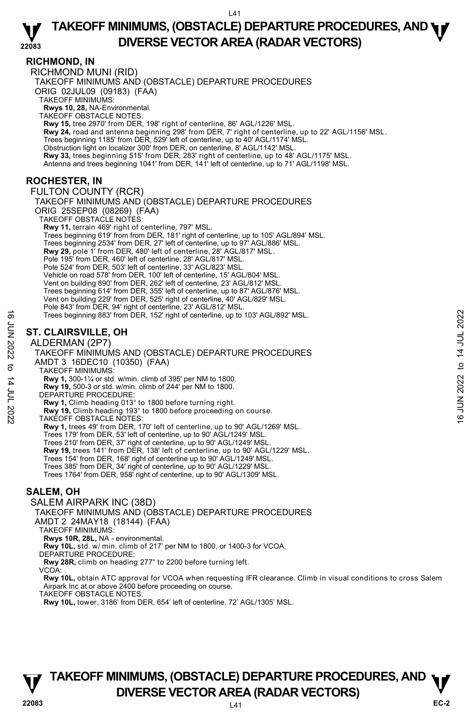#### **RICHMOND, IN**  RICHMOND MUNI (RID) TAKEOFF MINIMUMS AND (OBSTACLE) DEPARTURE PROCEDURES ORIG 02JUL09 (09183) (FAA) TAKEOFF MINIMUMS: **Rwys 10, 28,** NA-Environmental. TAKEOFF OBSTACLE NOTES: **Rwy 15,** tree 2970' from DER, 198' right of centerline, 86' AGL/1226' MSL. **Rwy 24,** road and antenna beginning 298' from DER, 7' right of centerline, up to 22' AGL/1156' MSL. Trees beginning 1185' from DER, 529' left of centerline, up to 40' AGL/1174' MSL. Obstruction light on localizer 300' from DER, on centerline, 8' AGL/1142' MSL. **Rwy 33,** trees beginning 515' from DER, 283' right of centerline, up to 48' AGL/1175' MSL. Antenna and trees beginning 1041' from DER, 141' left of centerline, up to 71' AGL/1198' MSL. **ROCHESTER, IN**  FULTON COUNTY (RCR) TAKEOFF MINIMUMS AND (OBSTACLE) DEPARTURE PROCEDURES ORIG 25SEP08 (08269) (FAA) TAKEOFF OBSTACLE NOTES: **Rwy 11,** terrain 469' right of centerline, 797' MSL. Trees beginning 619' from from DER, 181' right of centerline, up to 105' AGL/894' MSL. Trees beginning 2534' from DER, 27' left of centerline, up to 97' AGL/886' MSL.<br>**Rwy 29,** pole 1' from DER, 480' left of centerline, 28' AGL/817' MSL. Pole 195' from DER, 460' left of centerline, 28' AGL/817' MSL. Pole 524' from DER, 503' left of centerline, 33' AGL/823' MSL. Vehicle on road 578' from DER, 100' left of centerline, 15' AGL/804' MSL. Vent on building 890' from DER, 262' left of centerline, 23' AGL/812' MSL. Trees beginning 614' from DER, 355' left of centerline, up to 87' AGL/876' MSL. Vent on building 229' from DER, 525' right of centerline, 40' AGL/829' MSL. Pole 843' from DER, 94' right of centerline, 23' AGL/812' MSL. Trees beginning 883' from DER, 152' right of centerline, up to 103' AGL/892' MSL. **ST. CLAIRSVILLE, OH**  ALDERMAN (2P7) TAKEOFF MINIMUMS AND (OBSTACLE) DEPARTURE PROCEDURES AMDT 3 16DEC10 (10350) (FAA) TAKEOFF MINIMUMS: **Rwy 1,** 300-1¼ or std. w/min. climb of 395' per NM to 1800. **Rwy 19,** 500-3 or std. w/min. climb of 244' per NM to 1800. DEPARTURE PROCEDURE: **Rwy 1,** Climb heading 013° to 1800 before turning right. **Rwy 19,** Climb heading 193° to 1800 before proceeding on course. TAKEOFF OBSTACLE NOTES: **Rwy 1,** trees 49' from DER, 170' left of centerline, up to 90' AGL/1269' MSL. Trees 179' from DER, 53' left of centerline, up to 90' AGL/1249' MSL. Trees 210' from DER, 37' right of centerline, up to 90' AGL/1249' MSL. Trees beginning 883' from DER, 152' right of centerline, up to 103' AGL/892' MSL.<br>
ST. CLAIRSVILLE, OH<br>
ALDERMAN (2P7)<br>
TAKEOFF MINIMUMS AND (OBSTACLE) DEPARTURE PROCEDURES<br>
AMDIT 3 16DEC10 (10350) (FAA)<br>
TAKEOFF MINIMUMS

**Rwy 19,** trees 141' from DER, 138' left of centerline, up to 90' AGL/1229' MSL.

Trees 154' from DER, 168' right of centerline up to 90' AGL/1249' MSL.

Trees 385' from DER, 34' right of centerline, up to 90' AGL/1229' MSL. Trees 1764' from DER, 958' right of centerline, up to 90' AGL/1309' MSL.

## **SALEM, OH**

SALEM AIRPARK INC (38D)

TAKEOFF MINIMUMS AND (OBSTACLE) DEPARTURE PROCEDURES

AMDT 2 24MAY18 (18144) (FAA)

TAKEOFF MINIMUMS:

**Rwys 10R, 28L,** NA - environmental.

**Rwy 10L,** std. w/ min. climb of 217' per NM to 1800, or 1400-3 for VCOA. DEPARTURE PROCEDURE:

**Rwy 28R,** climb on heading 277° to 2200 before turning left.

VCOA:

**Rwy 10L,** obtain ATC approval for VCOA when requesting IFR clearance. Climb in visual conditions to cross Salem Airpark Inc at or above 2400 before proceeding on course.

TAKEOFF OBSTACLE NOTES:

**Rwy 10L,** tower, 3186' from DER, 654' left of centerline, 72' AGL/1305' MSL.

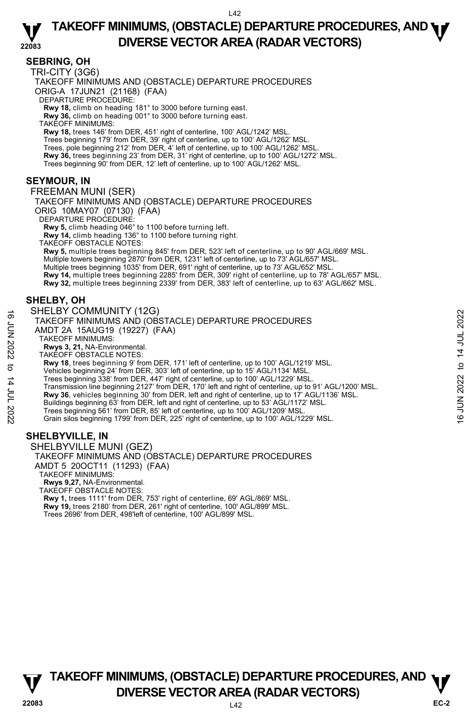## **SEBRING, OH**

TRI-CITY (3G6)

TAKEOFF MINIMUMS AND (OBSTACLE) DEPARTURE PROCEDURES

ORIG-A 17JUN21 (21168) (FAA)

DEPARTURE PROCEDURE:

**Rwy 18,** climb on heading 181° to 3000 before turning east.  **Rwy 36,** climb on heading 001° to 3000 before turning east.

TAKEOFF MINIMUMS:

 **Rwy 18,** trees 146' from DER, 451' right of centerline, 100' AGL/1242' MSL. Trees beginning 179' from DER, 39' right of centerline, up to 100' AGL/1262' MSL.<br>Trees, pole beginning 212' from DER, 4' left of centerline, up to 100' AGL/1262' MSL. **Rwy 36,** trees beginning 23' from DER, 31' right of centerline, up to 100' AGL/1272' MSL. Trees beginning 90' from DER, 12' left of centerline, up to 100' AGL/1262' MSL.

## **SEYMOUR, IN**

FREEMAN MUNI (SER)

TAKEOFF MINIMUMS AND (OBSTACLE) DEPARTURE PROCEDURES

ORIG 10MAY07 (07130) (FAA)

DEPARTURE PROCEDURE

**Rwy 5,** climb heading 046° to 1100 before turning left.

**Rwy 14,** climb heading 136° to 1100 before turning right.

TAKEOFF OBSTACLE NOTES: **Rwy 5,** multiple trees beginning 845' from DER, 523' left of centerline, up to 90' AGL/669' MSL. Multiple towers beginning 2870' from DER, 1231' left of centerline, up to 73' AGL/657' MSL. Multiple trees beginning 1035' from DER, 691' right of centerline, up to 73' AGL/652' MSL. **Rwy 14,** multiple trees beginning 2285' from DER, 309' right of centerline, up to 78' AGL/657' MSL.<br>**Rwy 32,** multiple trees beginning 2339' from DER, 383' left of centerline, up to 63' AGL/662' MSL.

## **SHELBY, OH**

## SHELBY COMMUNITY (12G)

- TAKEOFF MINIMUMS AND (OBSTACLE) DEPARTURE PROCEDURES
- AMDT 2A 15AUG19 (19227) (FAA)

TAKEOFF MINIMUMS:

**Rwys 3, 21,** NA-Environmental. TAKEOFF OBSTACLE NOTES:

**Rwy 18**, trees beginning 9' from DER, 171' left of centerline, up to 100' AGL/1219' MSL.

Vehicles beginning 24' from DER, 303' left of centerline, up to 15' AGL/1134' MSL.

Trees beginning 338' from DER, 447' right of centerline, up to 100' AGL/1229' MSL.<br>Transmission line beginning 2127' from DER, 170' left and right of centerline, up to 91' AGL/1200' MSL. **Rwy 36**, vehicles beginning 30' from DER, left and right of centerline, up to 17' AGL/1136' MSL. THELD TOUNIVIONITY (12C)<br>
TAKEOFF MINIMUMS AND (OBSTACLE) DEPARTURE PROCEDURES<br>
AMDT 2A 15AUG19 (19227) (FAA)<br>
TAKEOFF MINIMUMS:<br>
RWS 3.21, NA-Environmental.<br>
RWS 3.21, NA-Environmental.<br>
TAKEOFF OBSTACLE NOTES:<br>
TAKEOFF

Buildings beginning 63' from DER, left and right of centerline, up to 53' AGL/1172' MSL.

Trees beginning 561' from DER, 85' left of centerline, up to 100' AGL/1209' MSL.

Grain silos beginning 1799' from DER, 225' right of centerline, up to 100' AGL/1229' MSL.

## **SHELBYVILLE, IN**

SHELBYVILLE MUNI (GEZ) TAKEOFF MINIMUMS AND (OBSTACLE) DEPARTURE PROCEDURES AMDT 5 20OCT11 (11293) (FAA) TAKEOFF MINIMUMS: **Rwys 9,27,** NA-Environmental. TAKEOFF OBSTACLE NOTES: **Rwy 1,** trees 1111' from DER, 753' right of centerline, 69' AGL/869' MSL. **Rwy 19,** trees 2180' from DER, 261' right of centerline, 100' AGL/899' MSL.

Trees 2696' from DER, 498'left of centerline, 100' AGL/899' MSL.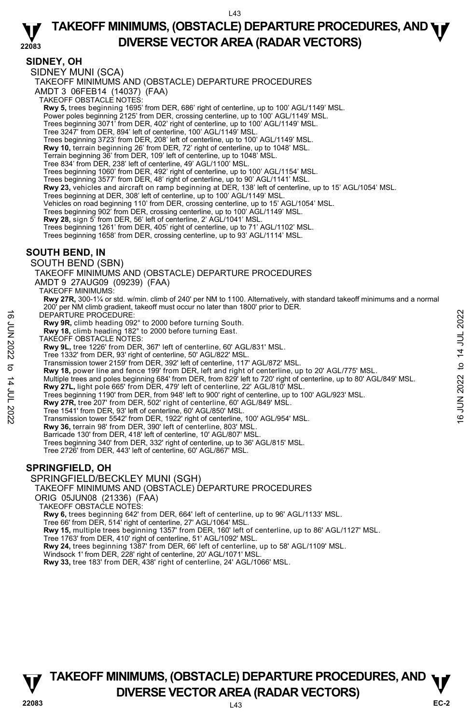#### **22083 TAKEOFF MINIMUMS, (OBSTACLE) DEPARTURE PROCEDURES, AND <b>WE**<br>DREBSE VECTOR AREA (BADAR VECTORS) **DIVERSE VECTOR AREA (RADAR VECTORS)**

## **SIDNEY, OH**

SIDNEY MUNI (SCA)

TAKEOFF MINIMUMS AND (OBSTACLE) DEPARTURE PROCEDURES

AMDT 3 06FEB14 (14037) (FAA)

TAKEOFF OBSTACLE NOTES:

**Rwy 5,** trees beginning 1695' from DER, 686' right of centerline, up to 100' AGL/1149' MSL.<br>Power poles beginning 2125' from DER, crossing centerline, up to 100' AGL/1149' MSL.

Trees beginning 3071' from DER, 402' right of centerline, up to 100' AGL/1149' MSL.

Tree 3247' from DER, 894' left of centerline, 100' AGL/1149' MSL.

Trees beginning 3723' from DER, 208' left of centerline, up to 100' AGL/1149' MSL.

**Rwy 10,** terrain beginning 26' from DER, 72' right of centerline, up to 1048' MSL.

Terrain beginning 36' from DER, 109' left of centerline, up to 1048' MSL.

Tree 834' from DER, 238' left of centerline, 49' AGL/1100' MSL.

Trees beginning 1060' from DER, 492' right of centerline, up to 100' AGL/1154' MSL.

Trees beginning 3577' from DER, 48' right of centerline, up to 90' AGL/1141' MSL.

**Rwy 23,** vehicles and aircraft on ramp beginning at DER, 138' left of centerline, up to 15' AGL/1054' MSL.

Trees beginning at DER, 308' left of centerline, up to 100' AGL/1149' MSL.

Vehicles on road beginning 110' from DER, crossing centerline, up to 15' AGL/1054' MSL.

Trees beginning 902' from DER, crossing centerline, up to 100' AGL/1149' MSL.

**Rwy 28,** sign 5' from DER, 56' left of centerline, 2' AGL/1041' MSL.

Trees beginning 1261' from DER, 405' right of centerline, up to 71' AGL/1102' MSL.

Trees beginning 1658' from DER, crossing centerline, up to 93' AGL/1114' MSL.

## **SOUTH BEND, IN**

SOUTH BEND (SBN)

TAKEOFF MINIMUMS AND (OBSTACLE) DEPARTURE PROCEDURES

AMDT 9 27AUG09 (09239) (FAA)

TAKEOFF MINIMUMS:

**Rwy 27R,** 300-1¼ or std. w/min. climb of 240' per NM to 1100. Alternatively, with standard takeoff minimums and a normal per NM climb gradient, takeoff must occur no later than 1800' prior to DER.

DEPARTURE PROCEDURE:

**Rwy 9R,** climb heading 092° to 2000 before turning South. **Rwy 18,** climb heading 182° to 2000 before turning East.

TAKEOFF OBSTACLE NOTES:

**Rwy 9L,** tree 1226' from DER, 367' left of centerline, 60' AGL/831' MSL.

Tree 1332' from DER, 93' right of centerline, 50' AGL/822' MSL.

Transmission tower 2159' from DER, 392' left of centerline, 117' AGL/872' MSL.

**Rwy 18,** power line and fence 199' from DER, left and right of centerline, up to 20' AGL/775' MSL.

Multiple trees and poles beginning 684' from DER, from 829' left to 720' right of centerline, up to 80' AGL/849' MSL. **Rwy 27L,** light pole 665' from DER, 479' left of centerline, 22' AGL/810' MSL. DEPARTURE PROCEDURE:<br> **EVARYON**, climb heading 082° to 2000 before turning South.<br> **EVARYON 202**<br> **EVARYON 1, the 122** f form DER, 367' left of centerline, 60' AGL/831' MSL.<br>
THAKEOFF OBSTACLE NOTES: 160' AGL/822' MSL.<br>

Trees beginning 1190' from DER, from 948' left to 900' right of centerline, up to 100' AGL/923' MSL.

**Rwy 27R,** tree 207' from DER, 502' right of centerline, 60' AGL/849' MSL.

Tree 1541' from DER, 93' left of centerline, 60' AGL/850' MSL. Transmission tower 5542' from DER, 1922' right of centerline, 100' AGL/954' MSL.

**Rwy 36,** terrain 98' from DER, 390' left of centerline, 803' MSL.

Barricade 130' from DER, 418' left of centerline, 10' AGL/807' MSL.

Trees beginning 340' from DER, 332' right of centerline, up to 36' AGL/815' MSL.

Tree 2726' from DER, 443' left of centerline, 60' AGL/867' MSL.

## **SPRINGFIELD, OH**

SPRINGFIELD/BECKLEY MUNI (SGH)

TAKEOFF MINIMUMS AND (OBSTACLE) DEPARTURE PROCEDURES

ORIG 05JUN08 (21336) (FAA)

TAKEOFF OBSTACLE NOTES:

**Rwy 6,** trees beginning 642' from DER, 664' left of centerline, up to 96' AGL/1133' MSL. Tree 66' from DER, 514' right of centerline, 27' AGL/1064' MSL.

**Rwy 15,** multiple trees beginning 1357' from DER, 160' left of centerline, up to 86' AGL/1127' MSL.

Tree 1763' from DER, 410' right of centerline, 51' AGL/1092' MSL.

**Rwy 24,** trees beginning 1387' from DER, 66' left of centerline, up to 58' AGL/1109' MSL.<br>Windsock 1' from DER, 228' right of centerline, 20' AGL/1071' MSL.

**Rwy 33,** tree 183' from DER, 438' right of centerline, 24' AGL/1066' MSL.

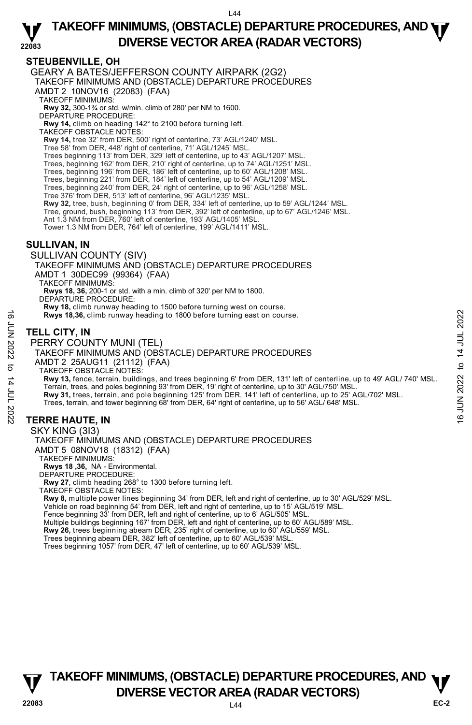#### **22083 TAKEOFF MINIMUMS, (OBSTACLE) DEPARTURE PROCEDURES, AND <b>WE**<br>DREBSE VECTOR AREA (BADAR VECTORS) **DIVERSE VECTOR AREA (RADAR VECTORS)**

## **STEUBENVILLE, OH**

GEARY A BATES/JEFFERSON COUNTY AIRPARK (2G2) TAKEOFF MINIMUMS AND (OBSTACLE) DEPARTURE PROCEDURES AMDT 2 10NOV16 (22083) (FAA) TAKEOFF MINIMUMS: **Rwy 32,** 300-1¾ or std. w/min. climb of 280' per NM to 1600. DEPARTURE PROCEDURE: **Rwy 14,** climb on heading 142° to 2100 before turning left. TAKEOFF OBSTACLE NOTES: **Rwy 14,** tree 32' from DER, 500' right of centerline, 73' AGL/1240' MSL. Tree 58' from DER, 448' right of centerline, 71' AGL/1245' MSL. Trees beginning 113' from DER, 329' left of centerline, up to 43' AGL/1207' MSL. Trees, beginning 162' from DER, 210' right of centerline, up to 74' AGL/1251' MSL. Trees, beginning 196' from DER, 186' left of centerline, up to 60' AGL/1208' MSL. Trees, beginning 221' from DER, 184' left of centerline, up to 54' AGL/1209' MSL. Trees, beginning 240' from DER, 24' right of centerline, up to 96' AGL/1258' MSL. Tree 376' from DER, 513' left of centerline, 96' AGL/1235' MSL. **Rwy 32,** tree, bush, beginning 0' from DER, 334' left of centerline, up to 59' AGL/1244' MSL. Tree, ground, bush, beginning 113' from DER, 392' left of centerline, up to 67' AGL/1246' MSL. Ant 1.3 NM from DER, 760' left of centerline, 193' AGL/1405' MSL. Tower 1.3 NM from DER, 764' left of centerline, 199' AGL/1411' MSL. **SULLIVAN, IN**  SULLIVAN COUNTY (SIV) TAKEOFF MINIMUMS AND (OBSTACLE) DEPARTURE PROCEDURES AMDT 1 30DEC99 (99364) (FAA) TAKEOFF MINIMUMS: **Rwys 18, 36,** 200-1 or std. with a min. climb of 320' per NM to 1800. DEPARTURE PROCEDURE: **Rwy 18,** climb runway heading to 1500 before turning west on course. **Rwys 18,36,** climb runway heading to 1800 before turning east on course. **TELL CITY, IN**  PERRY COUNTY MUNI (TEL) TAKEOFF MINIMUMS AND (OBSTACLE) DEPARTURE PROCEDURES AMDT 2 25AUG11 (21112) (FAA) TAKEOFF OBSTACLE NOTES: **Rwy 13,** fence, terrain, buildings, and trees beginning 6' from DER, 131' left of centerline, up to 49' AGL/ 740' MSL.<br>Terrain, trees, and poles beginning 93' from DER, 19' right of centerline, up to 30' AGL/750' MSL.<br>**Rw** Trees, terrain, and tower beginning 68' from DER, 64' right of centerline, up to 56' AGL/ 648' MSL. **TERRE HAUTE, IN**  SKY KING (3I3) **16 FOLL CITY, IN**<br>  $\frac{1}{2}$ <br> **TELL CITY, IN**<br> **PERRY COUNTY MUNI (TEL)**<br> **TELL CITY, IN**<br> **PERRY COUNTY MUNI (TEL)**<br>
TAKEOFF MINIMUMS AND (OBSTACLE) DEPARTURE PROCEDURES<br>
AMDT 2 25 ANUG11 (21112) (FAA)<br>
TAKEOFF OBSTACLE

## TAKEOFF MINIMUMS AND (OBSTACLE) DEPARTURE PROCEDURES AMDT 5 08NOV18 (18312) (FAA) TAKEOFF MINIMUMS: **Rwys 18 ,36,** NA - Environmental. DEPARTURE PROCEDURE: **Rwy 27**, climb heading 268° to 1300 before turning left.

TAKEOFF OBSTACLE NOTES:

**Rwy 8,** multiple power lines beginning 34' from DER, left and right of centerline, up to 30' AGL/529' MSL. Vehicle on road beginning 54' from DER, left and right of centerline, up to 15' AGL/519' MSL. Fence beginning 33' from DER, left and right of centerline, up to 6' AGL/505' MSL. Multiple buildings beginning 167' from DER, left and right of centerline, up to 60' AGL/589' MSL. **Rwy 26,** trees beginning abeam DER, 235' right of centerline, up to 60' AGL/559' MSL. Trees beginning abeam DER, 382' left of centerline, up to 60' AGL/539' MSL.

Trees beginning 1057' from DER, 47' left of centerline, up to 60' AGL/539' MSL.

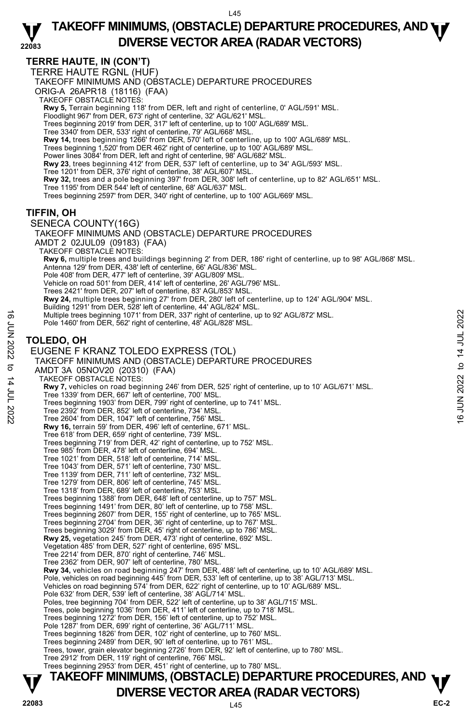## **TERRE HAUTE, IN (CON'T)**

TERRE HAUTE RGNL (HUF)

TAKEOFF MINIMUMS AND (OBSTACLE) DEPARTURE PROCEDURES

ORIG-A 26APR18 (18116) (FAA)

TAKEOFF OBSTACLE NOTES:

**Rwy 5,** Terrain beginning 118' from DER, left and right of centerline, 0' AGL/591' MSL.

Floodlight 967' from DER, 673' right of centerline, 32' AGL/621' MSL. Trees beginning 2019' from DER, 317' left of centerline, up to 100' AGL/689' MSL.

Tree 3340' from DER, 533' right of centerline, 79' AGL/668' MSL.

**Rwy 14,** trees beginning 1266' from DER, 570' left of centerline, up to 100' AGL/689' MSL.

Trees beginning 1,520' from DER 462' right of centerline, up to 100' AGL/689' MSL.

Power lines 3084' from DER, left and right of centerline, 98' AGL/682' MSL.

**Rwy 23**, trees beginning 412' from DER, 537' left of centerline, up to 34' AGL/593' MSL.<br>Tree 1201' from DER, 376' right of centerline, 38' AGL/607' MSL.

- 
- **Rwy 32,** trees and a pole beginning 397' from DER, 308' left of centerline, up to 82' AGL/651' MSL.
- Tree 1195' from DER 544' left of centerline, 68' AGL/637' MSL.
- Trees beginning 2597' from DER, 340' right of centerline, up to 100' AGL/669' MSL.

## **TIFFIN, OH**

SENECA COUNTY(16G) TAKEOFF MINIMUMS AND (OBSTACLE) DEPARTURE PROCEDURES AMDT 2 02JUL09 (09183) (FAA) TAKEOFF OBSTACLÈ NOTES: **Rwy 6,** multiple trees and buildings beginning 2' from DER, 186' right of centerline, up to 98' AGL/868' MSL. Antenna 129' from DER, 438' left of centerline, 66' AGL/836' MSL. Pole 408' from DER, 477' left of centerline, 39' AGL/809' MSL. Vehicle on road 501' from DER, 414' left of centerline, 26' AGL/796' MSL. Trees 2421' from DER, 207' left of centerline, 83' AGL/853' MSL. **Rwy 24,** multiple trees beginning 27' from DER, 280' left of centerline, up to 124' AGL/904' MSL.<br>Building 1291' from DER, 528' left of centerline, 44' AGL/824' MSL. Multiple trees beginning 1071' from DER, 337' right of centerline, up to 92' AGL/872' MSL. Pole 1460' from DER, 562' right of centerline, 48' AGL/828' MSL. **TOLEDO, OH**  EUGENE F KRANZ TOLEDO EXPRESS (TOL) TAKEOFF MINIMUMS AND (OBSTACLE) DEPARTURE PROCEDURES AMDT 3A 05NOV20 (20310) (FAA) TAKEOFF OBSTACLE NOTES: **Rwy 7,** vehicles on road beginning 246' from DER, 525' right of centerline, up to 10' AGL/671' MSL. Tree 1339' from DER, 667' left of centerline, 700' MSL. Trees beginning 1903' from DER, 799' right of centerline, up to 741' MSL. Tree 2392' from DER, 852' left of centerline, 734' MSL. Tree 2604' from DER, 1047' left of centerline, 756' MSL. **Rwy 16,** terrain 59' from DER, 496' left of centerline, 671' MSL. Tree 618' from DER, 659' right of centerline, 739' MSL. Trees beginning 719' from DER, 42' right of centerline, up to 752' MSL. Tree 985' from DER, 478' left of centerline, 694' MSL. Tree 1021' from DER, 518' left of centerline, 714' MSL. Tree 1043' from DER, 571' left of centerline, 730' MSL. Tree 1139' from DER, 711' left of centerline, 732' MSL. Tree 1279' from DER, 806' left of centerline, 745' MSL. Tree 1318' from DER, 689' left of centerline, 753' MSL. Trees beginning 1388' from DER, 648' left of centerline, up to 757' MSL. Trees beginning 1491' from DER, 80' left of centerline, up to 758' MSL. Trees beginning 2607' from DER, 155' right of centerline, up to 765' MSL. Trees beginning 2704' from DER, 36' right of centerline, up to 767' MSL. Trees beginning 3029' from DER, 45' right of centerline, up to 786' MSL. **Rwy 25,** vegetation 245' from DER, 473' right of centerline, 692' MSL. Vegetation 485' from DER, 527' right of centerline, 695' MSL. Tree 2214' from DER, 870' right of centerline, 746' MSL. Tree 2362' from DER, 907' left of centerline, 780' MSL. **Rwy 34,** vehicles on road beginning 247' from DER, 488' left of centerline, up to 10' AGL/689' MSL.<br>Pole, vehicles on road beginning 445' from DER, 533' left of centerline, up to 38' AGL/713' MSL. Vehicles on road beginning 574' from DER, 622' right of centerline, up to 10' AGL/689' MSL. Pole 632' from DER, 539' left of centerline, 38' AGL/714' MSL. Poles, tree beginning 704' from DER, 522' left of centerline, up to 38' AGL/715' MSL. Trees, pole beginning 1036' from DER, 411' left of centerline, up to 718' MSL. Trees beginning 1272' from DER, 156' left of centerline, up to 752' MSL. Pole 1287' from DER, 699' right of centerline, 36' AGL/711' MSL.<br>Trees beginning 1826' from DER, 102' right of centerline, up to 760' MSL.<br>Trees beginning 2489' from DER, 90' left of centerline, up to 761' MSL. Trees, tower, grain elevator beginning 2726' from DER, 92' left of centerline, up to 780' MSL. Tree 2912' from DER, 119' right of centerline, 766' MSL. Trees beginning 2953' from DER, 451' right of centerline, up to 780' MSL. Multiple trees beginning 1071' from DER, 337' right of centerline, up to 92' AGL/872' MSL.<br>
Pole 1460' from DER, 562' right of centerline, 48' AGL/828' MSL.<br>
TOLEDO, OH<br>
EUGENE F KRANZ TOLEDO EXPRESS (TOL)<br>
TAKEOFF MINIMU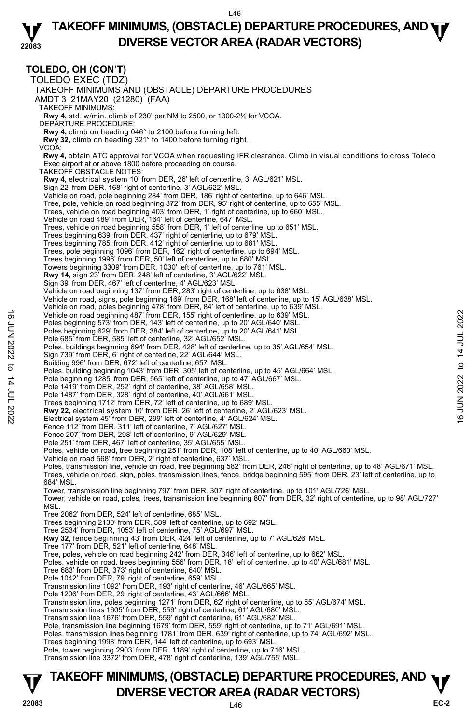#### **22083 TAKEOFF MINIMUMS, (OBSTACLE) DEPARTURE PROCEDURES, AND <b>WE**<br>DREBSE VECTOR AREA (BADAR VECTORS) **DIVERSE VECTOR AREA (RADAR VECTORS)**

## **TOLEDO, OH (CON'T)**

TOLEDO EXEC (TDZ) TAKEOFF MINIMUMS AND (OBSTACLE) DEPARTURE PROCEDURES AMDT 3 21MAY20 (21280) (FAA) TAKEOFF MINIMUMS: **Rwy 4,** std. w/min. climb of 230' per NM to 2500, or 1300-2½ for VCOA. DEPARTURE PROCEDURE: **Rwy 4,** climb on heading 046° to 2100 before turning left. **Rwy 32,** climb on heading 321° to 1400 before turning right. VCOA:  **Rwy 4,** obtain ATC approval for VCOA when requesting IFR clearance. Climb in visual conditions to cross Toledo Exec airport at or above 1800 before proceeding on course. TAKEOFF OBSTACLE NOTES: **Rwy 4,** electrical system 10' from DER, 26' left of centerline, 3' AGL/621' MSL. Sign 22' from DER, 168' right of centerline, 3' AGL/622' MSL. Vehicle on road, pole beginning 284' from DER, 186' right of centerline, up to 646' MSL. Tree, pole, vehicle on road beginning 372' from DER, 95' right of centerline, up to 655' MSL. Trees, vehicle on road beginning 403' from DER, 1' right of centerline, up to 660' MSL. Vehicle on road 489' from DER, 164' left of centerline, 647' MSL. Trees, vehicle on road beginning 558' from DER, 1' left of centerline, up to 651' MSL. Trees beginning 639' from DER, 437' right of centerline, up to 679' MSL. Trees beginning 785' from DER, 412' right of centerline, up to 681' MSL. Trees, pole beginning 1096' from DER, 162' right of centerline, up to 694' MSL. Trees beginning 1996' from DER, 50' left of centerline, up to 680' MSL. Towers beginning 3309' from DER, 1030' left of centerline, up to 761' MSL. **Rwy 14,** sign 23' from DER, 248' left of centerline, 3' AGL/622' MSL. Sign 39' from DER, 467' left of centerline, 4' AGL/623' MSL. Vehicle on road beginning 137' from DER, 283' right of centerline, up to 638' MSL. Vehicle on road, signs, pole beginning 169' from DER, 168' left of centerline, up to 15' AGL/638' MSL.<br>Vehicle on road, poles beginning 478' from DER, 84' left of centerline, up to 639' MSL. Vehicle on road beginning 487' from DER, 155' right of centerline, up to 639' MSL. Poles beginning 573' from DER, 143' left of centerline, up to 20' AGL/640' MSL. Poles beginning 629' from DER, 384' left of centerline, up to 20' AGL/641' MSL. Pole 685' from DER, 585' left of centerline, 32' AGL/652' MSL. Poles, buildings beginning 694' from DER, 428' left of centerline, up to 35' AGL/654' MSL. Sign 739' from DER, 6' right of centerline, 22' AGL/644' MSL. Building 996' from DER, 672' left of centerline, 657' MSL. Poles, building beginning 1043' from DER, 305' left of centerline, up to 45' AGL/664' MSL. Pole beginning 1285' from DER, 565' left of centerline, up to 47' AGL/667' MSL. Pole 1419' from DER, 252' right of centerline, 38' AGL/658' MSL. Pole 1487' from DER, 328' right of centerline, 40' AGL/661' MSL. Trees beginning 1712' from DER, 72' left of centerline, up to 689' MSL. **Rwy 22,** electrical system 10' from DER, 26' left of centerline, 2' AGL/623' MSL.<br>Electrical system 45' from DER, 299' left of centerline, 4' AGL/624' MSL. Fence 112' from DER, 311' left of centerline, 7' AGL/627' MSL. Fence 207' from DER, 298' left of centerline, 9' AGL/629' MSL. Pole 251' from DER, 467' left of centerline, 35' AGL/655' MSL. Poles, vehicle on road, tree beginning 251' from DER, 108' left of centerline, up to 40' AGL/660' MSL. Vehicle on road 568' from DER, 2' right of centerline, 637' MSL. Poles, transmission line, vehicle on road, tree beginning 582' from DER, 246' right of centerline, up to 48' AGL/671' MSL.<br>Trees, vehicle on road, sign, poles, transmission lines, fence, bridge beginning 595' from DER, 23' 684' MSL. Tower, transmission line beginning 797' from DER, 307' right of centerline, up to 101' AGL/726' MSL. Tower, vehicle on road, poles, trees, transmission line beginning 807' from DER, 32' right of centerline, up to 98' AGL/727' MSL. Tree 2062' from DER, 524' left of centerline, 685' MSL. Trees beginning 2130' from DER, 589' left of centerline, up to 692' MSL. Tree 2534' from DER, 1053' left of centerline, 75' AGL/697' MSL. **Rwy 32,** fence beginning 43' from DER, 424' left of centerline, up to 7' AGL/626' MSL. Tree 177' from DER, 521' left of centerline, 648' MSL. Tree, poles, vehicle on road beginning 242' from DER, 346' left of centerline, up to 662' MSL. Poles, vehicle on road, trees beginning 556' from DER, 18' left of centerline, up to 40' AGL/681' MSL. Tree 683' from DER, 373' right of centerline, 640' MSL. Pole 1042' from DER, 79' right of centerline, 659' MSL. Transmission line 1092' from DER, 193' right of centerline, 46' AGL/665' MSL. Pole 1206' from DER, 29' right of centerline, 43' AGL/666' MSL. Transmission line, poles beginning 1271' from DER, 62' right of centerline, up to 55' AGL/674' MSL.<br>Transmission lines 1605' from DER, 559' right of centerline, 61' AGL/680' MSL. Transmission line 1676' from DER, 559' right of centerline, 61' AGL/682' MSL. Pole, transmission line beginning 1679' from DER, 559' right of centerline, up to 71' AGL/691' MSL.<br>Poles, transmission lines beginning 1781' from DER, 639' right of centerline, up to 74' AGL/692' MSL. Trees beginning 1998' from DER, 144' left of centerline, up to 693' MSL. Pole, tower beginning 2903' from DER, 1189' right of centerline, up to 716' MSL. Transmission line 3372' from DER, 478' right of centerline, 139' AGL/755' MSL. Vehicle on road beginning 487' from DER, 155' right of centerline, up to 639' MSL.<br>
Poles beginning 629' from DER, 148' left of centerline, up to 20' AGL/644' MSL.<br>
Poles beginning 629' from DER, 384' left of centerline,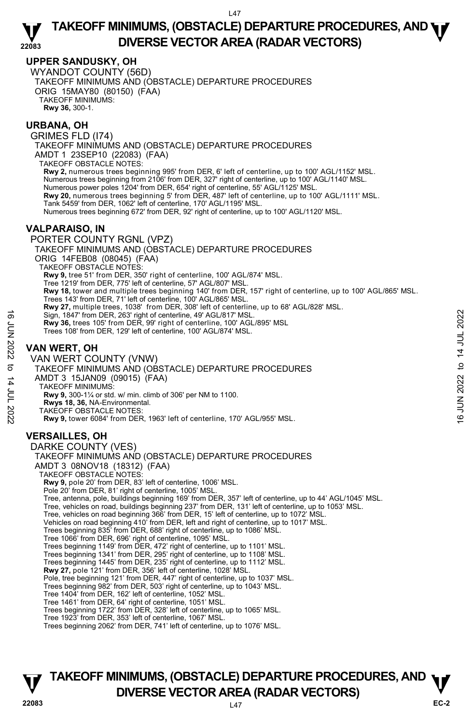## **UPPER SANDUSKY, OH**

WYANDOT COUNTY (56D) TAKEOFF MINIMUMS AND (OBSTACLE) DEPARTURE PROCEDURES ORIG 15MAY80 (80150) (FAA) TAKEOFF MINIMUMS: **Rwy 36,** 300-1.

## **URBANA, OH**

GRIMES FLD (I74) TAKEOFF MINIMUMS AND (OBSTACLE) DEPARTURE PROCEDURES AMDT 1 23SEP10 (22083) (FAA) TAKEOFF OBSTACLE NOTES: **Rwy 2,** numerous trees beginning 995' from DER, 6' left of centerline, up to 100' AGL/1152' MSL. Numerous trees beginning from 2106' from DER, 327' right of centerline, up to 100' AGL/1140' MSL. Numerous power poles 1204' from DER, 654' right of centerline, 55' AGL/1125' MSL. **Rwy 20,** numerous trees beginning 5' from DER, 487' left of centerline, up to 100' AGL/1111' MSL. Tank 5459' from DER, 1062' left of centerline, 170' AGL/1195' MSL. Numerous trees beginning 672' from DER, 92' right of centerline, up to 100' AGL/1120' MSL. PORTER COUNTY RGNL (VPZ)

## **VALPARAISO, IN**

TAKEOFF MINIMUMS AND (OBSTACLE) DEPARTURE PROCEDURES ORIG 14FEB08 (08045) (FAA) TAKEOFF OBSTACLE NOTES: **Rwy 9,** tree 51' from DER, 350' right of centerline, 100' AGL/874' MSL. Tree 1219' from DER, 775' left of centerline, 57' AGL/807' MSL. **Rwy 18,** tower and multiple trees beginning 140' from DER, 157' right of centerline, up to 100' AGL/865' MSL. Trees 143' from DER, 71' left of centerline, 100' AGL/865' MSL.<br>**Rwy 27,** multiple trees, 1038' from DER, 308' left of centerline, up to 68' AGL/828' MSL. Sign, 1847' from DER, 263' right of centerline, 49' AGL/817' MSL. **Rwy 36,** trees 105' from DER, 99' right of centerline, 100' AGL/895' MSL Trees 108' from DER, 129' left of centerline, 100' AGL/874' MSL.

## **VAN WERT, OH**

VAN WERT COUNTY (VNW) TAKEOFF MINIMUMS AND (OBSTACLE) DEPARTURE PROCEDURES AMDT 3 15JAN09 (09015) (FAA) TAKEOFF MINIMUMS: **Rwy 9,** 300-1¼ or std. w/ min. climb of 306' per NM to 1100. **Rwys 18, 36,** NA-Environmental. TAKEOFF OBSTACLE NOTES: **Rwy 9,** tower 6084' from DER, 1963' left of centerline, 170' AGL/955' MSL. **VERSAILLES, OH**  16<br>  $\frac{1}{2}$  Sign, 1847 from DER, 263' right of centerline, 49' AGL/817' MSL.<br>
Trees 108' from DER, 129' left of centerline, 100' AGL/895' MSL<br>
Trees 108' from DER, 129' left of centerline, 100' AGL/895' MSL.<br>
<br> **VAN WE** 

DARKE COUNTY (VES) TAKEOFF MINIMUMS AND (OBSTACLE) DEPARTURE PROCEDURES AMDT 3 08NOV18 (18312) (FAA) TAKEOFF OBSTACLE NOTES: **Rwy 9,** pole 20' from DER, 83' left of centerline, 1006' MSL. Pole 20' from DER, 81' right of centerline, 1005' MSL. Tree, antenna, pole, buildings beginning 169' from DER, 357' left of centerline, up to 44' AGL/1045' MSL. Tree, vehicles on road, buildings beginning 237' from DER, 131' left of centerline, up to 1053' MSL. Tree, vehicles on road beginning 366' from DER, 15' left of centerline, up to 1072' MSL. Vehicles on road beginning 410' from DER, left and right of centerline, up to 1017' MSL. Trees beginning 835' from DER, 688' right of centerline, up to 1086' MSL. Tree 1066' from DER, 696' right of centerline, 1095' MSL. Trees beginning 1149' from DER, 472' right of centerline, up to 1101' MSL. Trees beginning 1341' from DER, 295' right of centerline, up to 1108' MSL. Trees beginning 1445' from DER, 235' right of centerline, up to 1112' MSL. **Rwy 27,** pole 121' from DER, 356' left of centerline, 1028' MSL.<br>Pole, tree beginning 121' from DER, 447' right of centerline, up to 1037' MSL. Trees beginning 982' from DER, 503' right of centerline, up to 1043' MSL. Tree 1404' from DER, 162' left of centerline, 1052' MSL. Tree 1461' from DER, 64' right of centerline, 1051' MSL. Trees beginning 1722' from DER, 328' left of centerline, up to 1065' MSL. Tree 1923' from DER, 353' left of centerline, 1067' MSL. Trees beginning 2062' from DER, 741' left of centerline, up to 1076' MSL.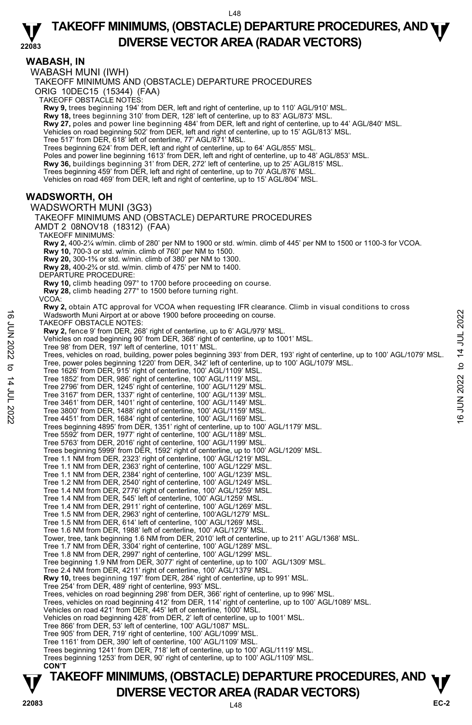**WABASH, IN**  WABASH MUNI (IWH) TAKEOFF MINIMUMS AND (OBSTACLE) DEPARTURE PROCEDURES ORIG 10DEC15 (15344) (FAA) TAKEOFF OBSTACLE NOTES: **Rwy 9,** trees beginning 194' from DER, left and right of centerline, up to 110' AGL/910' MSL. **Rwy 18,** trees beginning 310' from DER, 128' left of centerline, up to 83' AGL/873' MSL. **Rwy 27,** poles and power line beginning 484' from DER, left and right of centerline, up to 44' AGL/840' MSL. Vehicles on road beginning 502' from DER, left and right of centerline, up to 15' AGL/813' MSL. Tree 517' from DER, 618' left of centerline, 77' AGL/871' MSL. Trees beginning 624' from DER, left and right of centerline, up to 64' AGL/855' MSL. Poles and power line beginning 1613' from DER, left and right of centerline, up to 48' AGL/853' MSL. **Rwy 36,** buildings beginning 31' from DER, 272' left of centerline, up to 25' AGL/815' MSL. Trees beginning 459' from DER, left and right of centerline, up to 70' AGL/876' MSL. Vehicles on road 469' from DER, left and right of centerline, up to 15' AGL/804' MSL. **WADSWORTH, OH**  WADSWORTH MUNI (3G3) TAKEOFF MINIMUMS AND (OBSTACLE) DEPARTURE PROCEDURES AMDT 2 08NOV18 (18312) (FAA) TAKEOFF MINIMUMS: **Rwy 2,** 400-2¼ w/min. climb of 280' per NM to 1900 or std. w/min. climb of 445' per NM to 1500 or 1100-3 for VCOA. **Rwy 10,** 700-3 or std. w/min. climb of 760' per NM to 1500. **Rwy 20,** 300-1⅝ or std. w/min. climb of 380' per NM to 1300. **Rwy 28,** 400-2¾ or std. w/min. climb of 475' per NM to 1400. DEPARTURE PROCEDURE **Rwy 10,** climb heading 097° to 1700 before proceeding on course. **Rwy 28,** climb heading 277° to 1500 before turning right. VCOA: **Rwy 2,** obtain ATC approval for VCOA when requesting IFR clearance. Climb in visual conditions to cross Wadsworth Muni Airport at or above 1900 before proceeding on course. TAKEOFF OBSTACLE NOTES: **Rwy 2,** fence 9' from DER, 268' right of centerline, up to 6' AGL/979' MSL. Vehicles on road beginning 90' from DER, 368' right of centerline, up to 1001' MSL. Tree 98' from DER, 197' left of centerline, 1011' MSL. Trees, vehicles on road, building, power poles beginning 393' from DER, 193' right of centerline, up to 100' AGL/1079' MSL.<br>Tree, power poles beginning 1220' from DER, 342' left of centerline, up to 100' AGL/1079' MSL. Tree 1626' from DER, 915' right of centerline, 100' AGL/1109' MSL. Tree 1852' from DER, 986' right of centerline, 100' AGL/1119' MSL. Tree 2796' from DER, 1245' right of centerline, 100' AGL/1129' MSL. Tree 3167' from DER, 1337' right of centerline, 100' AGL/1139' MSL. Tree 3461' from DER, 1401' right of centerline, 100' AGL/1149' MSL. Tree 3800' from DER, 1488' right of centerline, 100' AGL/1159' MSL. Tree 4451' from DER, 1684' right of centerline, 100' AGL/1169' MSL. Trees beginning 4895' from DER, 1351' right of centerline, up to 100' AGL/1179' MSL. Tree 5592' from DER, 1977' right of centerline, 100' AGL/1189' MSL. Tree 5763' from DER, 2016' right of centerline, 100' AGL/1199' MSL. Trees beginning 5999' from DER, 1592' right of centerline, up to 100' AGL/1209' MSL. Tree 1.1 NM from DER, 2323' right of centerline, 100' AGL/1219' MSL. Tree 1.1 NM from DER, 2363' right of centerline, 100' AGL/1229' MSL. Tree 1.1 NM from DER, 2384' right of centerline, 100' AGL/1239' MSL. Tree 1.2 NM from DER, 2540' right of centerline, 100' AGL/1249' MSL. Tree 1.4 NM from DER, 2776' right of centerline, 100' AGL/1259' MSL. Tree 1.4 NM from DER, 545' left of centerline, 100' AGL/1259' MSL. Tree 1.4 NM from DER, 2911' right of centerline, 100' AGL/1269' MSL. Tree 1.5 NM from DER, 2963' right of centerline, 100'AGL/1279' MSL. Tree 1.5 NM from DER, 614' left of centerline, 100' AGL/1269' MSL. Tree 1.6 NM from DER, 1988' left of centerline, 100' AGL/1279' MSL. Tower, tree, tank beginning 1.6 NM from DER, 2010' left of centerline, up to 211' AGL/1368' MSL. Tree 1.7 NM from DER, 3304' right of centerline, 100' AGL/1289' MSL. Tree 1.8 NM from DER, 2997' right of centerline, 100' AGL/1299' MSL. Tree beginning 1.9 NM from DER, 3077' right of centerline, up to 100' AGL/1309' MSL. Tree 2.4 NM from DER, 4211' right of centerline, 100' AGL/1379' MSL.<br>**Rwy 10,** trees beginning 197' from DER, 284' right of centerline, up to 991' MSL. Tree 254' from DER, 489' right of centerline, 993' MSL. Trees, vehicles on road beginning 298' from DER, 366' right of centerline, up to 996' MSL. Trees, vehicles on road beginning 412' from DER, 114' right of centerline, up to 100' AGL/1089' MSL. Vehicles on road 421' from DER, 445' left of centerline, 1000' MSL. Vehicles on road beginning 428' from DER, 2' left of centerline, up to 1001' MSL. Tree 866' from DER, 53' left of centerline, 100' AGL/1087' MSL. Tree 905' from DER, 719' right of centerline, 100' AGL/1099' MSL. Tree 1161' from DER, 390' left of centerline, 100' AGL/1109' MSL. Trees beginning 1241' from DER, 718' left of centerline, up to 100' AGL/1119' MSL. Trees beginning 1253' from DER, 90' right of centerline, up to 100' AGL/1109' MSL.  **CON'T**  Vadsworth Muni Airport at or above 1900 before proceeding on course.<br>
TAKEOFF OBSTACLE NOTES:<br>
TRAVE 2, fence 9' from DER, 268' right of centerline, up to 6' AGL/979' MSL.<br>
Vehicles on road beginning 90' from DER, 368' ri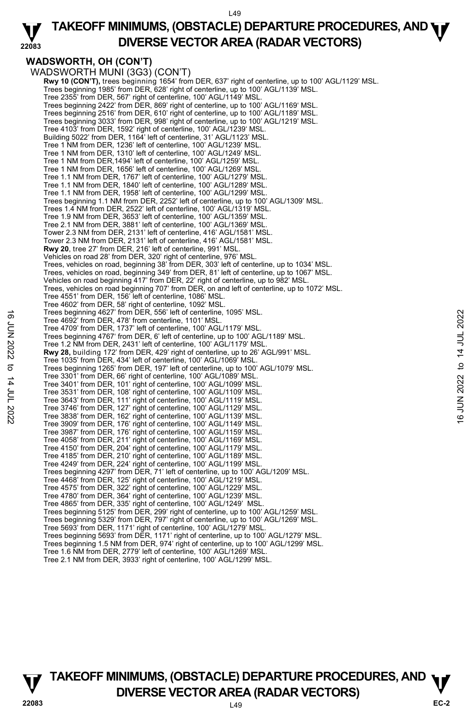

## **WADSWORTH, OH (CON'T)**

WADSWORTH MUNI (3G3) (CON'T) **Rwy 10 (CON'T),** trees beginning 1654' from DER, 637' right of centerline, up to 100' AGL/1129' MSL. Trees beginning 1985' from DER, 628' right of centerline, up to 100' AGL/1139' MSL. Tree 2355' from DER, 567' right of centerline, 100' AGL/1149' MSL. Trees beginning 2422' from DER, 869' right of centerline, up to 100' AGL/1169' MSL. Trees beginning 2516' from DER, 610' right of centerline, up to 100' AGL/1189' MSL. Trees beginning 3033' from DER, 998' right of centerline, up to 100' AGL/1219' MSL. Tree 4103' from DER, 1592' right of centerline, 100' AGL/1239' MSL. Building 5022' from DER, 1164' left of centerline, 31' AGL/1123' MSL. Tree 1 NM from DER, 1236' left of centerline, 100' AGL/1239' MSL. Tree 1 NM from DER, 1310' left of centerline, 100' AGL/1249' MSL. Tree 1 NM from DER,1494' left of centerline, 100' AGL/1259' MSL. Tree 1 NM from DER, 1656' left of centerline, 100' AGL/1269' MSL. Tree 1.1 NM from DER, 1767' left of centerline, 100' AGL/1279' MSL. Tree 1.1 NM from DER, 1840' left of centerline, 100' AGL/1289' MSL. Tree 1.1 NM from DER, 1958' left of centerline, 100' AGL/1299' MSL. Trees beginning 1.1 NM from DER, 2252' left of centerline, up to 100' AGL/1309' MSL. Trees 1.4 NM from DER, 2522' left of centerline, 100' AGL/1319' MSL. Tree 1.9 NM from DER, 3653' left of centerline, 100' AGL/1359' MSL. Tree 2.1 NM from DER, 3881' left of centerline, 100' AGL/1369' MSL. Tower 2.3 NM from DER, 2131' left of centerline, 416' AGL/1581' MSL. Tower 2.3 NM from DER, 2131' left of centerline, 416' AGL/1581' MSL. **Rwy 20**, tree 27' from DER, 216' left of centerline, 991' MSL. Vehicles on road 28' from DER, 320' right of centerline, 976' MSL. Trees, vehicles on road, beginning 38' from DER, 303' left of centerline, up to 1034' MSL. Trees, vehicles on road, beginning 349' from DER, 81' left of centerline, up to 1067' MSL. Vehicles on road beginning 417' from DER, 22' right of centerline, up to 982' MSL. Trees, vehicles on road beginning 707' from DER, on and left of centerline, up to 1072' MSL. Tree 4551' from DER, 156' left of centerline, 1086' MSL. Tree 4602' from DER, 58' right of centerline, 1092' MSL. Trees beginning 4627' from DER, 556' left of centerline, 1095' MSL. Tree 4692' from DER, 478' from centerline, 1101' MSL. Tree 4709' from DER, 1737' left of centerline, 100' AGL/1179' MSL. Trees beginning 4767' from DER, 6' left of centerline, up to 100' AGL/1189' MSL. Tree 1.2 NM from DER, 2431' left of centerline, 100' AGL/1179' MSL. **Rwy 28,** building 172' from DER, 429' right of centerline, up to 26' AGL/991' MSL. Tree 1035' from DER, 434' left of centerline, 100' AGL/1069' MSL. Trees beginning 1265' from DER, 197' left of centerline, up to 100' AGL/1079' MSL. Tree 3301' from DER, 66' right of centerline, 100' AGL/1089' MSL. Tree 3401' from DER, 101' right of centerline, 100' AGL/1099' MSL. Tree 3531' from DER, 108' right of centerline, 100' AGL/1109' MSL. Tree 3643' from DER, 111' right of centerline, 100' AGL/1119' MSL. Tree 3746' from DER, 127' right of centerline, 100' AGL/1129' MSL. Tree 3838' from DER, 162' right of centerline, 100' AGL/1139' MSL. Tree 3909' from DER, 176' right of centerline, 100' AGL/1149' MSL. Tree 3987' from DER, 176' right of centerline, 100' AGL/1159' MSL. Tree 4058' from DER, 211' right of centerline, 100' AGL/1169' MSL. Tree 4150' from DER, 204' right of centerline, 100' AGL/1179' MSL. Tree 4185' from DER, 210' right of centerline, 100' AGL/1189' MSL. Tree 4249' from DER, 224' right of centerline, 100' AGL/1199' MSL. Trees beginning 4297' from DER, 71' left of centerline, up to 100' AGL/1209' MSL. Tree 4468' from DER, 125' right of centerline, 100' AGL/1219' MSL. Tree 4575' from DER, 322' right of centerline, 100' AGL/1229' MSL. Tree 4780' from DER, 364' right of centerline, 100' AGL/1239' MSL. Tree 4865' from DER, 335' right of centerline, 100' AGL/1249' MSL. Trees beginning 5125' from DER, 299' right of centerline, up to 100' AGL/1259' MSL. Trees beginning 5329' from DER, 797' right of centerline, up to 100' AGL/1269' MSL. Tree 5693' from DER, 1171' right of centerline, 100' AGL/1279' MSL. Trees beginning 5693' from DER, 1171' right of centerline, up to 100' AGL/1279' MSL. Trees beginning 1.5 NM from DER, 974' right of centerline, up to 100' AGL/1299' MSL. Tree 1.6 NM from DER, 2779' left of centerline, 100' AGL/1269' MSL. Tree 2.1 NM from DER, 3933' right of centerline, 100' AGL/1299' MSL. Tree Beginning 4827 from DER, 195° left of centerline, 1095 MSL.<br>
Tree 4692 from DER, 1737' left of centerline, 100' AGL/1179' MSL.<br>
Tree 4709' from DER, 1737' left of centerline, 100' AGL/1179' MSL.<br>
Tree 1.2 NM from DER

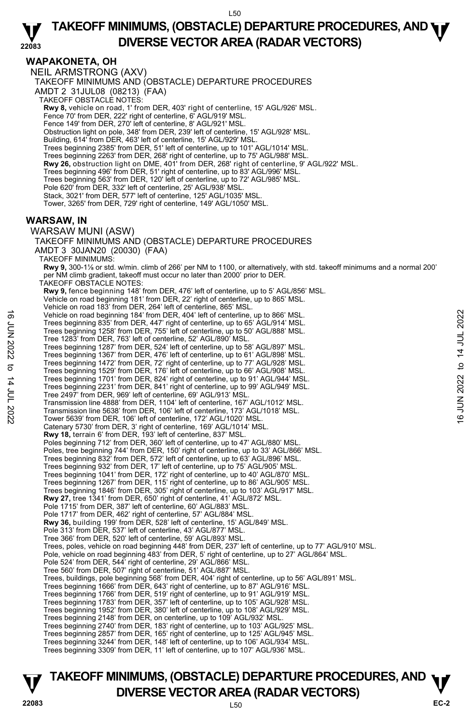#### **22083 TAKEOFF MINIMUMS, (OBSTACLE) DEPARTURE PROCEDURES, AND <b>WE**<br>DREBSE VECTOR AREA (BADAR VECTORS) **DIVERSE VECTOR AREA (RADAR VECTORS)**

## **WAPAKONETA, OH**

NEIL ARMSTRONG (AXV) TAKEOFF MINIMUMS AND (OBSTACLE) DEPARTURE PROCEDURES AMDT 2 31JUL08 (08213) (FAA) TAKEOFF OBSTACLE NOTES: **Rwy 8,** vehicle on road, 1' from DER, 403' right of centerline, 15' AGL/926' MSL.<br>Fence 70' from DER, 222' right of centerline, 6' AGL/919' MSL. Fence 149' from DER, 270' left of centerline, 8' AGL/921' MSL. Obstruction light on pole, 348' from DER, 239' left of centerline, 15' AGL/928' MSL. Building, 614' from DER, 463' left of centerline, 15' AGL/929' MSL. Trees beginning 2385' from DER, 51' left of centerline, up to 101' AGL/1014' MSL. Trees beginning 2263' from DER, 268' right of centerline, up to 75' AGL/988' MSL.<br>**Rwy 26,** obstruction light on DME, 401' from DER, 268' right of centerline, 9' AGL/922' MSL.<br>Trees beginning 496' from DER, 51' right of ce Trees beginning 563' from DER, 120' left of centerline, up to 72' AGL/985' MSL. Pole 620' from DER, 332' left of centerline, 25' AGL/938' MSL. Stack, 3021' from DER, 577' left of centerline, 125' AGL/1035' MSL. Tower, 3265' from DER, 729' right of centerline, 149' AGL/1050' MSL. **WARSAW, IN**  WARSAW MUNI (ASW) TAKEOFF MINIMUMS AND (OBSTACLE) DEPARTURE PROCEDURES AMDT 3 30JAN20 (20030) (FAA) TAKEOFF MINIMUMS: **Rwy 9,** 300-1⅛ or std. w/min. climb of 266' per NM to 1100, or alternatively, with std. takeoff minimums and a normal 200' per NM climb gradient, takeoff must occur no later than 2000' prior to DER. TAKEOFF OBSTACLE NOTES: **Rwy 9,** fence beginning 148' from DER, 476' left of centerline, up to 5' AGL/856' MSL. Vehicle on road beginning 181' from DER, 22' right of centerline, up to 865' MSL. Vehicle on road 183' from DER, 264' left of centerline, 865' MSL. Vehicle on road beginning 184' from DER, 404' left of centerline, up to 866' MSL. Trees beginning 835' from DER, 447' right of centerline, up to 65' AGL/914' MSL. Trees beginning 1258' from DER, 755' left of centerline, up to 50' AGL/888' MSL. Tree 1283' from DER, 763' left of centerline, 52' AGL/890' MSL. Trees beginning 1287' from DER, 524' left of centerline, up to 58' AGL/897' MSL.<br>Trees beginning 1367' from DER, 476' left of centerline, up to 61' AGL/898' MSL.<br>Trees beginning 1472' from DER, 72' right of centerline, up Trees beginning 1529' from DER, 176' left of centerline, up to 66' AGL/908' MSL.<br>Trees beginning 1701' from DER, 824' right of centerline, up to 91' AGL/944' MSL.<br>Trees beginning 2231' from DER, 841' right of centerline, u Tree 2497' from DER, 969' left of centerline, 69' AGL/913' MSL. Transmission line 4888' from DER, 1104' left of centerline, 167' AGL/1012' MSL. Transmission line 5638' from DER, 106' left of centerline, 173' AGL/1018' MSL. Tower 5639' from DER, 106' left of centerline, 172' AGL/1020' MSL. Catenary 5730' from DER, 3' right of centerline, 169' AGL/1014' MSL. **Rwy 18,** terrain 6' from DER, 193' left of centerline, 837' MSL. Poles beginning 712' from DER, 360' left of centerline, up to 47' AGL/880' MSL. Poles, tree beginning 744' from DER, 150' right of centerline, up to 33' AGL/866' MSL. Trees beginning 832' from DER, 572' left of centerline, up to 63' AGL/896' MSL. Trees beginning 932' from DER, 17' left of centerline, up to 75' AGL/905' MSL. Trees beginning 1041' from DER, 172' right of centerline, up to 40' AGL/870' MSL. Trees beginning 1267' from DER, 115' right of centerline, up to 86' AGL/905' MSL. Trees beginning 1846' from DER, 305' right of centerline, up to 103' AGL/917' MSL.<br>**Rwy 27,** tree 1341' from DER, 650' right of centerline, 41' AGL/872' MSL. Pole 1715' from DER, 387' left of centerline, 60' AGL/883' MSL. Pole 1717' from DER, 462' right of centerline, 57' AGL/884' MSL.<br>**Rwy 36,** building 199' from DER, 528' left of centerline, 15' AGL/849' MSL.<br>Pole 313' from DER, 537' left of centerline, 43' AGL/877' MSL. Tree 366' from DER, 520' left of centerline, 59' AGL/893' MSL. Trees, poles, vehicle on road beginning 448' from DER, 237' left of centerline, up to 77' AGL/910' MSL.<br>Pole, vehicle on road beginning 483' from DER, 5' right of centerline, up to 27' AGL/864' MSL. Pole 524' from DER, 544' right of centerline, 29' AGL/866' MSL. Tree 560' from DER, 507' right of centerline, 51' AGL/887' MSL. Trees, buildings, pole beginning 568' from DER, 404' right of centerline, up to 56' AGL/891' MSL. Trees beginning 1666' from DER, 643' right of centerline, up to 87' AGL/916' MSL. Trees beginning 1766' from DER, 519' right of centerline, up to 91' AGL/919' MSL. Trees beginning 1783' from DER, 357' left of centerline, up to 105' AGL/928' MSL. Trees beginning 1952' from DER, 380' left of centerline, up to 108' AGL/929' MSL. Trees beginning 2148' from DER, on centerline, up to 109' AGL/932' MSL. Trees beginning 2740' from DER, 183' right of centerline, up to 103' AGL/925' MSL.<br>Trees beginning 2857' from DER, 165' right of centerline, up to 125' AGL/945' MSL.<br>Trees beginning 3244' from DER, 148' left of centerline, Trees beginning 3309' from DER, 11' left of centerline, up to 107' AGL/936' MSL. Vehicle on road beginning 184' from DER, 404' left of centerline, up to 866' MSL.<br>
Trees beginning 325' from DER, 475' left of centerline, up to 50' AGL/914' MSL.<br>
Tree 1283' from DER, 763' left of centerline, up to 50' A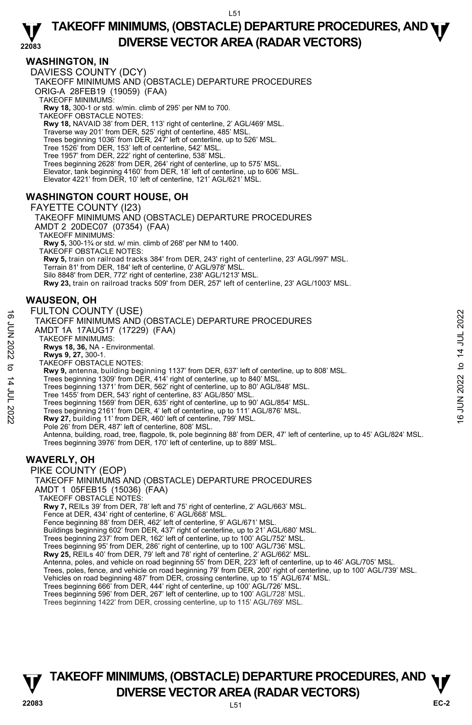## **WASHINGTON, IN**

DAVIESS COUNTY (DCY) TAKEOFF MINIMUMS AND (OBSTACLE) DEPARTURE PROCEDURES ORIG-A 28FEB19 (19059) (FAA) TAKEOFF MINIMUMS: **Rwy 18,** 300-1 or std. w/min. climb of 295' per NM to 700. TAKEOFF OBSTACLE NOTES: **Rwy 18,** NAVAID 38' from DER, 113' right of centerline, 2' AGL/469' MSL. Traverse way 201' from DER, 525' right of centerline, 485' MSL. Trees beginning 1036' from DER, 247' left of centerline, up to 526' MSL. Tree 1526' from DER, 153' left of centerline, 542' MSL. Tree 1957' from DER, 222' right of centerline, 538' MSL. Trees beginning 2628' from DER, 264' right of centerline, up to 575' MSL. Elevator, tank beginning 4160' from DER, 18' left of centerline, up to 606' MSL. Elevator 4221' from DER, 10' left of centerline, 121' AGL/621' MSL.

## **WASHINGTON COURT HOUSE, OH**

FAYETTE COUNTY (I23) TAKEOFF MINIMUMS AND (OBSTACLE) DEPARTURE PROCEDURES AMDT 2 20DEC07 (07354) (FAA) TAKEOFF MINIMUMS: **Rwy 5,** 300-1¾ or std. w/ min. climb of 268' per NM to 1400. TAKEOFF OBSTACLE NOTES: **Rwy 5,** train on railroad tracks 384' from DER, 243' right of centerline, 23' AGL/997' MSL. Terrain 81' from DER, 184' left of centerline, 0' AGL/978' MSL. Silo 8848' from DER, 772' right of centerline, 238' AGL/1213' MSL. **Rwy 23,** train on railroad tracks 509' from DER, 257' left of centerline, 23' AGL/1003' MSL.

#### **WAUSEON, OH**

#### FULTON COUNTY (USE)

- TAKEOFF MINIMUMS AND (OBSTACLE) DEPARTURE PROCEDURES AMDT 1A 17AUG17 (17229) (FAA) TAKEOFF MINIMUMS: **Rwys 18, 36,** NA - Environmental. **Rwys 9, 27,** 300-1. TAKEOFF OBSTACLE NOTES: **Rwy 9,** antenna, building beginning 1137' from DER, 637' left of centerline, up to 808' MSL. Trees beginning 1309' from DER, 414' right of centerline, up to 840' MSL. Trees beginning 1371' from DER, 562' right of centerline, up to 80' AGL/848' MSL. Tree 1455' from DER, 543' right of centerline, 83' AGL/850' MSL. Trees beginning 1569' from DER, 635' right of centerline, up to 90' AGL/854' MSL. Trees beginning 2161' from DER, 4' left of centerline, up to 111' AGL/876' MSL.<br>**Rwy 27,** building 11' from DER, 460' left of centerline, 799' MSL. Pole 26' from DER, 487' left of centerline, 808' MSL. Antenna, building, road, tree, flagpole, tk, pole beginning 88' from DER, 47' left of centerline, up to 45' AGL/824' MSL.<br>Trees beginning 3976' from DER, 170' left of centerline, up to 889' MSL. TAKEOFF MINIMUMS AND (OBSTACLE) DEPARTURE PROCEDURES AMDT 1 05FEB15 (15036) (FAA) TAKEOFF OBSTACLE NOTES: **Rwy 7,** REILs 39' from DER, 78' left and 75' right of centerline, 2' AGL/663' MSL. Fence at DER, 434' right of centerline, 6' AGL/668' MSL. Fence beginning 88' from DER, 462' left of centerline, 9' AGL/671' MSL. Buildings beginning 602' from DER, 437' right of centerline, up to 21' AGL/680' MSL. Trees beginning 237' from DER, 162' left of centerline, up to 100' AGL/752' MSL. Trees beginning 95' from DER, 286' right of centerline, up to 100' AGL/736' MSL.<br>**Rwy 25,** REILs 40' from DER, 79' left and 78' right of centerline, 2' AGL/662' MSL. Antenna, poles, and vehicle on road beginning 55' from DER, 223' left of centerline, up to 46' AGL/705' MSL. TUL TUN CUUNT I TUOET<br>
TAKEOFF MINIMUMS AND (OBSTACLE) DEPARTURE PROCEDURES<br>
AMDT 1A 17AUG17 (17229) (FAA)<br>
TAKEOFF MINIMUMS:<br>
Rwys 1, 3,6, NA - Environmental.<br>
Rwys 1, 3,6, NA - Environmental.<br>
Rwys 9, 27, 300-1.<br>
TAKE
	- **WAVERLY, OH**

PIKE COUNTY (EOP)

Trees, poles, fence, and vehicle on road beginning 79' from DER, 200' right of centerline, up to 100' AGL/739' MSL.<br>Vehicles on road beginning 487' from DER, crossing centerline, up to 15' AGL/674' MSL. Trees beginning 666' from DER, 444' right of centerline, up 100' AGL/726' MSL.

Trees beginning 596' from DER, 267' left of centerline, up to 100' AGL/728' MSL.

Trees beginning 1422' from DER, crossing centerline, up to 115' AGL/769' MSL.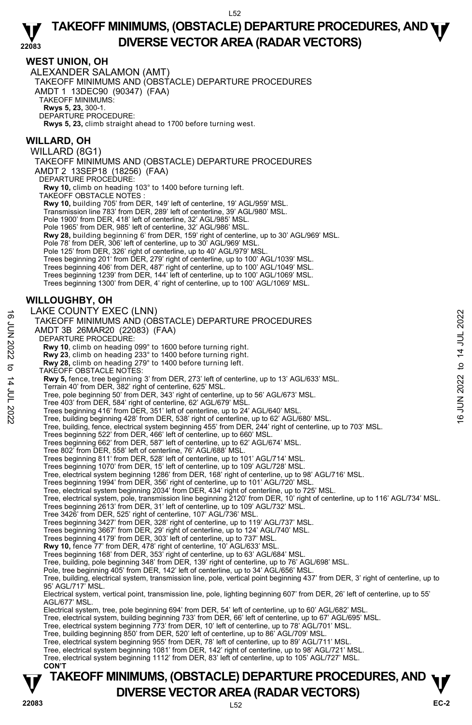## **WEST UNION, OH**

ALEXANDER SALAMON (AMT) TAKEOFF MINIMUMS AND (OBSTACLE) DEPARTURE PROCEDURES AMDT 1 13DEC90 (90347) (FAA) TAKEOFF MINIMUMS: **Rwys 5, 23,** 300-1. DEPARTURE PROCEDURE: **Rwys 5, 23,** climb straight ahead to 1700 before turning west.

## **WILLARD, OH**

WILLARD (8G1) TAKEOFF MINIMUMS AND (OBSTACLE) DEPARTURE PROCEDURES AMDT 2 13SEP18 (18256) (FAA) DEPARTURE PROCEDURE:

**Rwy 10,** climb on heading 103° to 1400 before turning left.

TAKEOFF OBSTACLE NOTES :

**Rwy 10,** building 705' from DER, 149' left of centerline, 19' AGL/959' MSL. Transmission line 783' from DER, 289' left of centerline, 39' AGL/980' MSL.

Pole 1900' from DER, 418' left of centerline, 32' AGL/985' MSL. Pole 1965' from DER, 985' left of centerline, 32' AGL/986' MSL.

**Rwy 28,** building beginning 6' from DER, 159' right of centerline, up to 30' AGL/969' MSL.

Pole 78' from DER, 306' left of centerline, up to 30' AGL/969' MSL

Pole 125' from DER, 326' right of centerline, up to 40' AGL/979' MSL.

Trees beginning 201' from DER, 279' right of centerline, up to 100' AGL/1039' MSL.

Trees beginning 406' from DER, 487' right of centerline, up to 100' AGL/1049' MSL.

Trees beginning 1239' from DER, 144' left of centerline, up to 100' AGL/1069' MSL.

Trees beginning 1300' from DER, 4' right of centerline, up to 100' AGL/1069' MSL.

## **WILLOUGHBY, OH**

LAKE COUNTY EXEC (LNN) TAKEOFF MINIMUMS AND (OBSTACLE) DEPARTURE PROCEDURES AMDT 3B 26MAR20 (22083) (FAA) DEPARTURE PROCEDURE: THE CUUNTIFICATED (LINT)<br>
TAKEOFF MINIMUMS AND (OBSTACLE) DEPARTURE PROCEDURES<br>
AMDT 3B 26MAR20 (22083) (FAA)<br>
DEPARTURE PROCEDURE:<br>
Rwy 23, climb on heading 233° to 1400 before turning right.<br>
Rwy 23, climb on heading 23

 **Rwy 10**, climb on heading 099° to 1600 before turning right.

 **Rwy 23**, climb on heading 233° to 1400 before turning right.  **Rwy 28,** climb on heading 279° to 1400 before turning left.

TAKEOFF OBSTACLE NOTES:

**Rwy 5,** fence, tree beginning 3' from DER, 273' left of centerline, up to 13' AGL/633' MSL.<br>Terrain 40' from DER, 382' right of centerline, 625' MSL.

Tree, pole beginning 50' from DER, 343' right of centerline, up to 56' AGL/673' MSL.

Tree 403' from DER, 584' right of centerline, 62' AGL/679' MSL.

Trees beginning 416' from DER, 351' left of centerline, up to 24' AGL/640' MSL.

Tree, building beginning 428' from DER, 538' right of centerline, up to 62' AGL/680' MSL.

Tree, building, fence, electrical system beginning 455' from DER, 244' right of centerline, up to 703' MSL.

Trees beginning 522' from DER, 466' left of centerline, up to 660' MSL. Trees beginning 662' from DER, 587' left of centerline, up to 62' AGL/674' MSL.

Tree 802' from DER, 558' left of centerline, 76' AGL/688' MSL.

Trees beginning 811' from DER, 528' left of centerline, up to 101' AGL/714' MSL.

Trees beginning 1070' from DER, 15' left of centerline, up to 109' AGL/728' MSL.

Tree, electrical system beginning 1286' from DER, 168' right of centerline, up to 98' AGL/716' MSL.<br>Trees beginning 1994' from DER, 356' right of centerline, up to 101' AGL/720' MSL.

Tree, electrical system beginning 2034' from DER, 434' right of centerline, up to 725' MSL.

Tree, electrical system, pole, transmission line beginning 2120' from DER, 10' right of centerline, up to 116' AGL/734' MSL.

- Trees beginning 2613' from DER, 31' left of centerline, up to 109' AGL/732' MSL.
- 

Tree 3426' from DER, 525' right of centerline, 107' AGL/736' MSL.<br>Trees beginning 3427' from DER, 328' right of centerline, up to 119' AGL/737' MSL.<br>Trees beginning 3667' from DER, 29' right of centerline, up to 124' AGL/7

Trees beginning 4179' from DER, 303' left of centerline, up to 737' MSL.

**Rwy 10,** fence 77' from DER, 478' right of centerline, 10' AGL/633' MSL.<br>Trees beginning 168' from DER, 353' right of centerline, up to 63' AGL/684' MSL.

Tree, building, pole beginning 348' from DER, 139' right of centerline, up to 76' AGL/698' MSL.

Pole, tree beginning 405' from DER, 142' left of centerline, up to 34' AGL/656' MSL

Tree, building, electrical system, transmission line, pole, vertical point beginning 437' from DER, 3' right of centerline, up to 95' AGL/717' MSL.

Electrical system, vertical point, transmission line, pole, lighting beginning 607' from DER, 26' left of centerline, up to 55' AGL/677' MSL.

Electrical system, tree, pole beginning 694' from DER, 54' left of centerline, up to 60' AGL/682' MSL.

Tree, electrical system, building beginning 733' from DER, 66' left of centerline, up to 67' AGL/695' MSL.

Tree, electrical system beginning 773' from DER, 10' left of centerline, up to 78' AGL/701' MSL.

Tree, building beginning 850' from DER, 520' left of centerline, up to 86' AGL/709' MSL.

Tree, electrical system beginning 955' from DER, 78' left of centerline, up to 89' AGL/711' MSL.

Tree, electrical system beginning 1081' from DER, 142' right of centerline, up to 98' AGL/721' MSL.

Tree, electrical system beginning 1112' from DER, 83' left of centerline, up to 105' AGL/727' MSL.  **CON'T**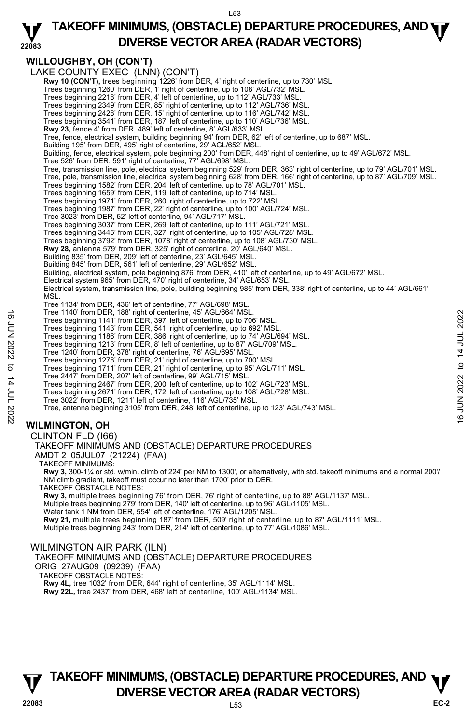

## **WILLOUGHBY, OH (CON'T)**

|                        | <b>WILLOUGHBY, OH (CON'T)</b>                                                                                                                                                                |                |
|------------------------|----------------------------------------------------------------------------------------------------------------------------------------------------------------------------------------------|----------------|
|                        | LAKE COUNTY EXEC (LNN) (CON'T)                                                                                                                                                               |                |
|                        |                                                                                                                                                                                              |                |
|                        | Rwy 10 (CON'T), trees beginning 1226' from DER, 4' right of centerline, up to 730' MSL.<br>Trees beginning 1260' from DER, 1' right of centerline, up to 108' AGL/732' MSL.                  |                |
|                        | Trees beginning 2218' from DER, 4' left of centerline, up to 112' AGL/733' MSL.                                                                                                              |                |
|                        | Trees beginning 2349' from DER, 85' right of centerline, up to 112' AGL/736' MSL.                                                                                                            |                |
|                        | Trees beginning 2428' from DER, 15' right of centerline, up to 116' AGL/742' MSL.                                                                                                            |                |
|                        | Trees beginning 3541' from DER, 187' left of centerline, up to 110' AGL/736' MSL.                                                                                                            |                |
|                        | Rwy 23, fence 4' from DER, 489' left of centerline, 8' AGL/633' MSL.                                                                                                                         |                |
|                        | Tree, fence, electrical system, building beginning 94' from DER, 62' left of centerline, up to 687' MSL.                                                                                     |                |
|                        | Building 195' from DER, 495' right of centerline, 29' AGL/652' MSL.<br>Building, fence, electrical system, pole beginning 200' from DER, 448' right of centerline, up to 49' AGL/672' MSL.   |                |
|                        | Tree 526' from DER, 591' right of centerline, 77' AGL/698' MSL.                                                                                                                              |                |
|                        | Tree, transmission line, pole, electrical system beginning 529' from DER, 363' right of centerline, up to 79' AGL/701' MSL.                                                                  |                |
|                        | Tree, pole, transmission line, electrical system beginning 628' from DER, 166' right of centerline, up to 87' AGL/709' MSL.                                                                  |                |
|                        | Trees beginning 1582' from DER, 204' left of centerline, up to 78' AGL/701' MSL.                                                                                                             |                |
|                        | Trees beginning 1659' from DER, 119' left of centerline, up to 714' MSL.                                                                                                                     |                |
|                        | Trees beginning 1971' from DER, 260' right of centerline, up to 722' MSL.                                                                                                                    |                |
|                        | Trees beginning 1987' from DER, 22' right of centerline, up to 100' AGL/724' MSL.<br>Tree 3023' from DER, 52' left of centerline, 94' AGL/717' MSL.                                          |                |
|                        | Trees beginning 3037' from DER, 269' left of centerline, up to 111' AGL/721' MSL.                                                                                                            |                |
|                        | Trees beginning 3445' from DER, 327' right of centerline, up to 105' AGL/728' MSL.                                                                                                           |                |
|                        | Trees beginning 3792' from DER, 1078' right of centerline, up to 108' AGL/730' MSL.                                                                                                          |                |
|                        | <b>Rwy 28,</b> antenna 579' from DER, 325' right of centerline, 20' AGL/640' MSL.                                                                                                            |                |
|                        | Building 835' from DER, 209' left of centerline, 23' AGL/645' MSL.                                                                                                                           |                |
|                        | Building 845' from DER, 561' left of centerline, 29' AGL/652' MSL.<br>Building, electrical system, pole beginning 876' from DER, 410' left of centerline, up to 49' AGL/672' MSL.            |                |
|                        | Electrical system 965' from DER, 470' right of centerline, 34' AGL/653' MSL.                                                                                                                 |                |
|                        | Electrical system, transmission line, pole, building beginning 985' from DER, 338' right of centerline, up to 44' AGL/661'                                                                   |                |
|                        | MSL.                                                                                                                                                                                         |                |
|                        | Tree 1134' from DER, 436' left of centerline, 77' AGL/698' MSL.                                                                                                                              |                |
|                        | Tree 1140' from DER, 188' right of centerline, 45' AGL/664' MSL.                                                                                                                             | 14 JUL 2022    |
|                        | Trees beginning 1141' from DER, 397' left of centerline, up to 706' MSL.                                                                                                                     |                |
|                        | Trees beginning 1143' from DER, 541' right of centerline, up to 692' MSL.<br>Trees beginning 1186' from DER, 386' right of centerline, up to 74' AGL/694' MSL.                               |                |
|                        | Trees beginning 1213' from DER, 8' left of centerline, up to 87' AGL/709' MSL.                                                                                                               |                |
|                        | Tree 1240' from DER, 378' right of centerline, 76' AGL/695' MSL.                                                                                                                             |                |
|                        | Trees beginning 1278' from DER, 21' right of centerline, up to 700' MSL.                                                                                                                     |                |
|                        | Trees beginning 1711' from DER, 21' right of centerline, up to 95' AGL/711' MSL.                                                                                                             | $\mathbf{c}$   |
|                        | Tree 2447' from DER, 207' left of centerline, 99' AGL/715' MSL.                                                                                                                              | 2022           |
|                        | Trees beginning 2467' from DER, 200' left of centerline, up to 102' AGL/723' MSL.<br>Trees beginning 2671' from DER, 172' left of centerline, up to 108' AGL/728' MSL.                       |                |
|                        | Tree 3022' from DER, 1211' left of centerline, 116' AGL/735' MSL.                                                                                                                            |                |
|                        | Tree, antenna beginning 3105' from DER, 248' left of centerline, up to 123' AGL/743' MSL.                                                                                                    | i<br>Th        |
| 2202 701 14 14 702 202 |                                                                                                                                                                                              | $\overline{6}$ |
|                        | <b>WILMINGTON, OH</b>                                                                                                                                                                        |                |
|                        | CLINTON FLD (166)                                                                                                                                                                            |                |
|                        | TAKEOFF MINIMUMS AND (OBSTACLE) DEPARTURE PROCEDURES                                                                                                                                         |                |
|                        | AMDT 2 05JUL07 (21224) (FAA)                                                                                                                                                                 |                |
|                        | <b>TAKEOFF MINIMUMS:</b>                                                                                                                                                                     |                |
|                        | Rwy 3, 300-1¼ or std. w/min. climb of 224' per NM to 1300', or alternatively, with std. takeoff minimums and a normal 200'/                                                                  |                |
|                        | NM climb gradient, takeoff must occur no later than 1700' prior to DER.                                                                                                                      |                |
|                        | TAKEOFF OBSTACLE NOTES:                                                                                                                                                                      |                |
|                        | Rwy 3, multiple trees beginning 76' from DER, 76' right of centerline, up to 88' AGL/1137' MSL.<br>Multiple trees beginning 279' from DER, 140' left of centerline, up to 96' AGL/1105' MSL. |                |
|                        | Water tank 1 NM from DER, 554' left of centerline, 176' AGL/1205' MSL.                                                                                                                       |                |
|                        | Rwy 21, multiple trees beginning 187' from DER, 509' right of centerline, up to 87' AGL/1111' MSL.                                                                                           |                |
|                        | Multiple trees beginning 243' from DER, 214' left of centerline, up to 77' AGL/1086' MSL.                                                                                                    |                |

## WILMINGTON AIR PARK (ILN)

TAKEOFF MINIMUMS AND (OBSTACLE) DEPARTURE PROCEDURES

ORIG 27AUG09 (09239) (FAA)

TAKEOFF OBSTACLE NOTES: **Rwy 4L,** tree 1032' from DER, 644' right of centerline, 35' AGL/1114' MSL.

**Rwy 22L,** tree 2437' from DER, 468' left of centerline, 100' AGL/1134' MSL.

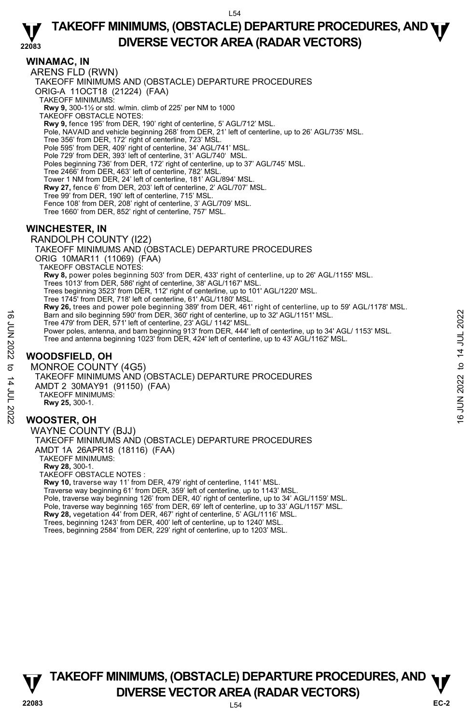# **TAKEOFF MINIMUMS, (OBSTACLE) DEPARTURE PROCEDURES, AND <b>WE**<br>DREBSE VECTOR AREA (BADAR VECTORS) **DIVERSE VECTOR AREA (RADAR VECTORS)**

## **WINAMAC, IN**

**22083**  ARENS FLD (RWN) TAKEOFF MINIMUMS AND (OBSTACLE) DEPARTURE PROCEDURES ORIG-A 11OCT18 (21224) (FAA) TAKEOFF MINIMUMS: **Rwy 9,** 300-1½ or std. w/min. climb of 225' per NM to 1000 TAKEOFF OBSTACLE NOTES: **Rwy 9,** fence 195' from DER, 190' right of centerline, 5' AGL/712' MSL. Pole, NAVAID and vehicle beginning 268' from DER, 21' left of centerline, up to 26' AGL/735' MSL. Tree 356' from DER, 172' right of centerline, 723' MSL. Pole 595' from DER, 409' right of centerline, 34' AGL/741' MSL. Pole 729' from DER, 393' left of centerline, 31' AGL/740' MSL. Poles beginning 736' from DER, 172' right of centerline, up to 37' AGL/745' MSL. Tree 2466' from DER, 463' left of centerline, 782' MSL. Tower 1 NM from DER, 24' left of centerline, 181' AGL/894' MSL. **Rwy 27,** fence 6' from DER, 203' left of centerline, 2' AGL/707' MSL. Tree 99' from DER, 190' left of centerline, 715' MSL. Fence 108' from DER, 208' right of centerline, 3' AGL/709' MSL. Tree 1660' from DER, 852' right of centerline, 757' MSL. **WINCHESTER, IN**  RANDOLPH COUNTY (I22) TAKEOFF MINIMUMS AND (OBSTACLE) DEPARTURE PROCEDURES ORIG 10MAR11 (11069) (FAA) TAKEOFF OBSTACLE NOTES: **Rwy 8,** power poles beginning 503' from DER, 433' right of centerline, up to 26' AGL/1155' MSL. Trees 1013' from DER, 586' right of centerline, 38' AGL/1167' MSL. Trees beginning 3523' from DER, 112' right of centerline, up to 101' AGL/1220' MSL. Tree 1745' from DER, 718' left of centerline, 61' AGL/1180' MSL. **Rwy 26,** trees and power pole beginning 389' from DER, 461' right of centerline, up to 59' AGL/1178' MSL. Barn and silo beginning 590' from DER, 360' right of centerline, up to 32' AGL/1151' MSL. Tree 479' from DER, 571' left of centerline, 23' AGL/ 1142' MSL. Power poles, antenna, and barn beginning 913' from DER, 444' left of centerline, up to 34' AGL/ 1153' MSL. Tree and antenna beginning 1023' from DER, 424' left of centerline, up to 43' AGL/1162' MSL.

# **WOODSFIELD, OH**

MONROE COUNTY (4G5) TAKEOFF MINIMUMS AND (OBSTACLE) DEPARTURE PROCEDURES AMDT 2 30MAY91 (91150) (FAA) TAKEOFF MINIMUMS: **Rwy 25,** 300-1. **WOOSTER, OH**  Barn and silo beginning 590' from DER, 360' right of centerline, up to 32' AGL/1151' MSL.<br>
Tree 479' from DER, 37' left of centerline, 23' AGL/1151' MSL.<br>
Fower poles, antenna, and barn beginning 913' from DER, 444' left

WAYNE COUNTY (BJJ) TAKEOFF MINIMUMS AND (OBSTACLE) DEPARTURE PROCEDURES AMDT 1A 26APR18 (18116) (FAA) TAKEOFF MINIMUMS: **Rwy 28,** 300-1. TAKEOFF OBSTACLE NOTES :

**Rwy 10,** traverse way 11' from DER, 479' right of centerline, 1141' MSL. Traverse way beginning 61' from DER, 359' left of centerline, up to 1143' MSL Pole, traverse way beginning 126' from DER, 40' right of centerline, up to 34' AGL/1159' MSL. Pole, traverse way beginning 165' from DER, 69' left of centerline, up to 33' AGL/1157' MSL. **Rwy 28,** vegetation 44' from DER, 467' right of centerline, 5' AGL/1116' MSL. Trees, beginning 1243' from DER, 400' left of centerline, up to 1240' MSL. Trees, beginning 2584' from DER, 229' right of centerline, up to 1203' MSL.

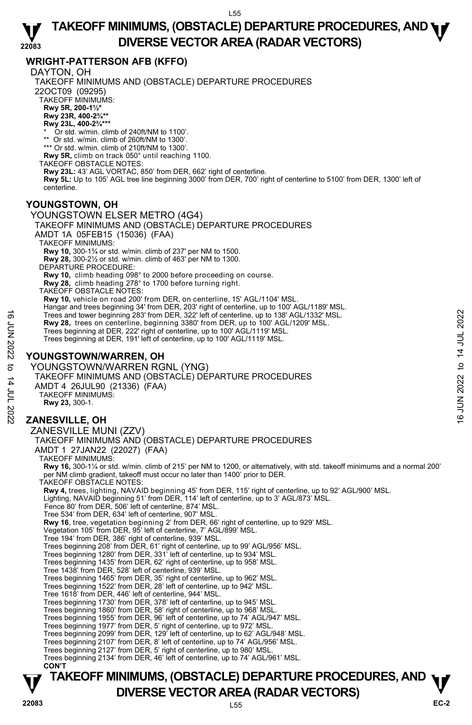#### **22083 TAKEOFF MINIMUMS, (OBSTACLE) DEPARTURE PROCEDURES, AND <b>WE**<br>DREBSE VECTOR AREA (BADAR VECTORS) **DIVERSE VECTOR AREA (RADAR VECTORS)**

# **WRIGHT-PATTERSON AFB (KFFO)**

DAYTON, OH

TAKEOFF MINIMUMS AND (OBSTACLE) DEPARTURE PROCEDURES 22OCT09 (09295) TAKEOFF MINIMUMS: **Rwy 5R, 200-1½\* Rwy 23R, 400-2¾\*\* Rwy 23L, 400-2¾\*\*\*** Or std. w/min. climb of 240ft/NM to 1100'. \*\* Or std. w/min. climb of 260ft/NM to 1300 \*\*\* Or std. w/min. climb of 210ft/NM to 1300'. **Rwy 5R,** climb on track 050° until reaching 1100. TAKEOFF OBSTACLE NOTES: **Rwy 23L:** 43' AGL VORTAC, 850' from DER, 662' right of centerline.  **Rwy 5L:** Up to 105' AGL tree line beginning 3000' from DER, 700' right of centerline to 5100' from DER, 1300' left of centerline. **YOUNGSTOWN, OH**  YOUNGSTOWN ELSER METRO (4G4) TAKEOFF MINIMUMS AND (OBSTACLE) DEPARTURE PROCEDURES AMDT 1A 05FEB15 (15036) (FAA) TAKEOFF MINIMUMS: **Rwy 10,** 300-1¾ or std. w/min. climb of 237' per NM to 1500. **Rwy 28,** 300-2½ or std. w/min. climb of 463' per NM to 1300. DEPARTURE PROCEDURE: **Rwy 10,** climb heading 098° to 2000 before proceeding on course. **Rwy 28,** climb heading 278° to 1700 before turning right. TAKEOFF OBSTACLE NOTES: **Rwy 10,** vehicle on road 200' from DER, on centerline, 15' AGL/1104' MSL.<br>Hangar and trees beginning 34' from DER, 203' right of centerline, up to 100' AGL/1189' MSL. Trees and tower beginning 283' from DER, 322' left of centerline, up to 138' AGL/1332' MSL. **Rwy 28,** trees on centerline, beginning 3380' from DER, up to 100' AGL/1209' MSL. Trees beginning at DER, 222' right of centerline, up to 100' AGL/1119' MSL. Trees beginning at DER, 191' left of centerline, up to 100' AGL/1119' MSL. **YOUNGSTOWN/WARREN, OH**  YOUNGSTOWN/WARREN RGNL (YNG) TAKEOFF MINIMUMS AND (OBSTACLE) DEPARTURE PROCEDURES AMDT 4 26JUL90 (21336) (FAA) TAKEOFF MINIMUMS: **Rwy 23,** 300-1. **ZANESVILLE, OH**  ZANESVILLE MUNI (ZZV) TAKEOFF MINIMUMS AND (OBSTACLE) DEPARTURE PROCEDURES AMDT 1 27JAN22 (22027) (FAA) TAKEOFF MINIMUMS: **Rwy 16,** 300-1¼ or std. w/min. climb of 215' per NM to 1200, or alternatively, with std. takeoff minimums and a normal 200' per NM climb gradient, takeoff must occur no later than 1400' prior to DER. TAKEOFF OBSTACLE NOTES: **Rwy 4,** trees, lighting, NAVAID beginning 45' from DER, 115' right of centerline, up to 92' AGL/900' MSL.<br>Lighting, NAVAID beginning 51' from DER, 114' left of centerline, up to 3' AGL/873' MSL. Fence 80' from DER, 506' left of centerline, 874' MSL. Tree 534' from DER, 634' left of centerline, 907' MSL. **Rwy 16**, tree, vegetation beginning 2' from DER, 66' right of centerline, up to 929' MSL.<br>Vegetation 105' from DER, 95' left of centerline, 7' AGL/899' MSL. Tree 194' from DER, 386' right of centerline, 939' MSL. Trees beginning 208' from DER, 61' right of centerline, up to 99' AGL/956' MSL. Trees beginning 1280' from DER, 331' left of centerline, up to 934' MSL. Trees beginning 1435' from DER, 62' right of centerline, up to 958' MSL. Tree 1438' from DER, 528' left of centerline, 939' MSL. Trees beginning 1465' from DER, 35' right of centerline, up to 962' MSL. Trees beginning 1522' from DER, 28' left of centerline, up to 942' MSL. Tree 1618' from DER, 446' left of centerline, 944' MSL. Trees beginning 1730' from DER, 378' left of centerline, up to 945' MSL. Trees beginning 1860' from DER, 58' right of centerline, up to 968' MSL. Trees beginning 1955' from DER, 96' left of centerline, up to 74' AGL/947' MSL. Trees beginning 1977' from DER, 5' right of centerline, up to 972' MSL.<br>Trees beginning 2099' from DER, 129' left of centerline, up to 62' AGL/948' MSL.<br>Trees beginning 2107' from DER, 8' left of centerline, up to 74' AGL/ Trees beginning 2127' from DER, 5' right of centerline, up to 980' MSL. Trees beginning 2134' from DER, 46' left of centerline, up to 74' AGL/961' MSL.  **CON'T** Tree's and tower beginning '283' from DER, 322' left of centerline, up to 138' AGL/1332' MSL.<br>
Frees beginning at DER, 222' right of centerline, up to 100' AGL/1119' MSL.<br>
Trees beginning at DER, 191' left of centerline,